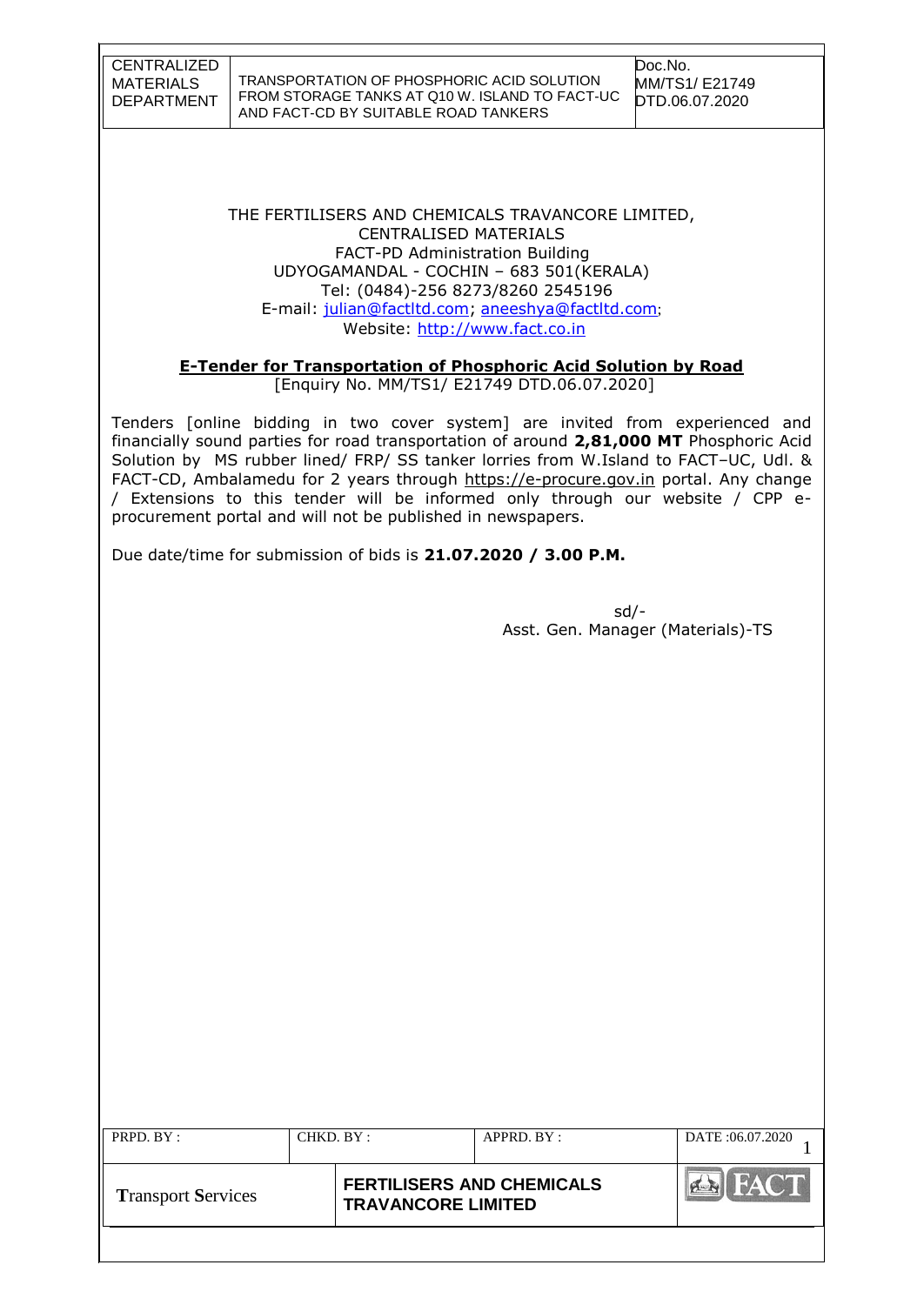| CENTRALIZED |
|-------------|
| MATERIALS   |
| DEPARTMENT  |

THE FERTILISERS AND CHEMICALS TRAVANCORE LIMITED, CENTRALISED MATERIALS FACT-PD Administration Building UDYOGAMANDAL - COCHIN – 683 501(KERALA) Tel: (0484)-256 8273/8260 2545196 E-mail: [julian@factltd.com;](mailto:julian@factltd.com) [aneeshya@factltd.com](mailto:aneeshya@factltd.com); Website: [http://www.fact.co.in](http://www.fact.co.in/)

## **E-Tender for Transportation of Phosphoric Acid Solution by Road**

[Enquiry No. MM/TS1/ E21749 DTD.06.07.2020]

Tenders [online bidding in two cover system] are invited from experienced and financially sound parties for road transportation of around **2,81,000 MT** Phosphoric Acid Solution by MS rubber lined/ FRP/ SS tanker lorries from W.Island to FACT–UC, Udl. & FACT-CD, Ambalamedu for 2 years through [https://e-procure.gov.in](https://e-procure.gov.in/) portal. Any change / Extensions to this tender will be informed only through our website / CPP eprocurement portal and will not be published in newspapers.

Due date/time for submission of bids is **21.07.2020 / 3.00 P.M.**

sd/- Asst. Gen. Manager (Materials)-TS

| PRPD. BY :                | CHKD. BY : |                                                               | APPRD. BY: | DATE:06.07.2020    |
|---------------------------|------------|---------------------------------------------------------------|------------|--------------------|
| <b>Transport Services</b> |            | <b>FERTILISERS AND CHEMICALS</b><br><b>TRAVANCORE LIMITED</b> |            | FACT<br><b>A-N</b> |
|                           |            |                                                               |            |                    |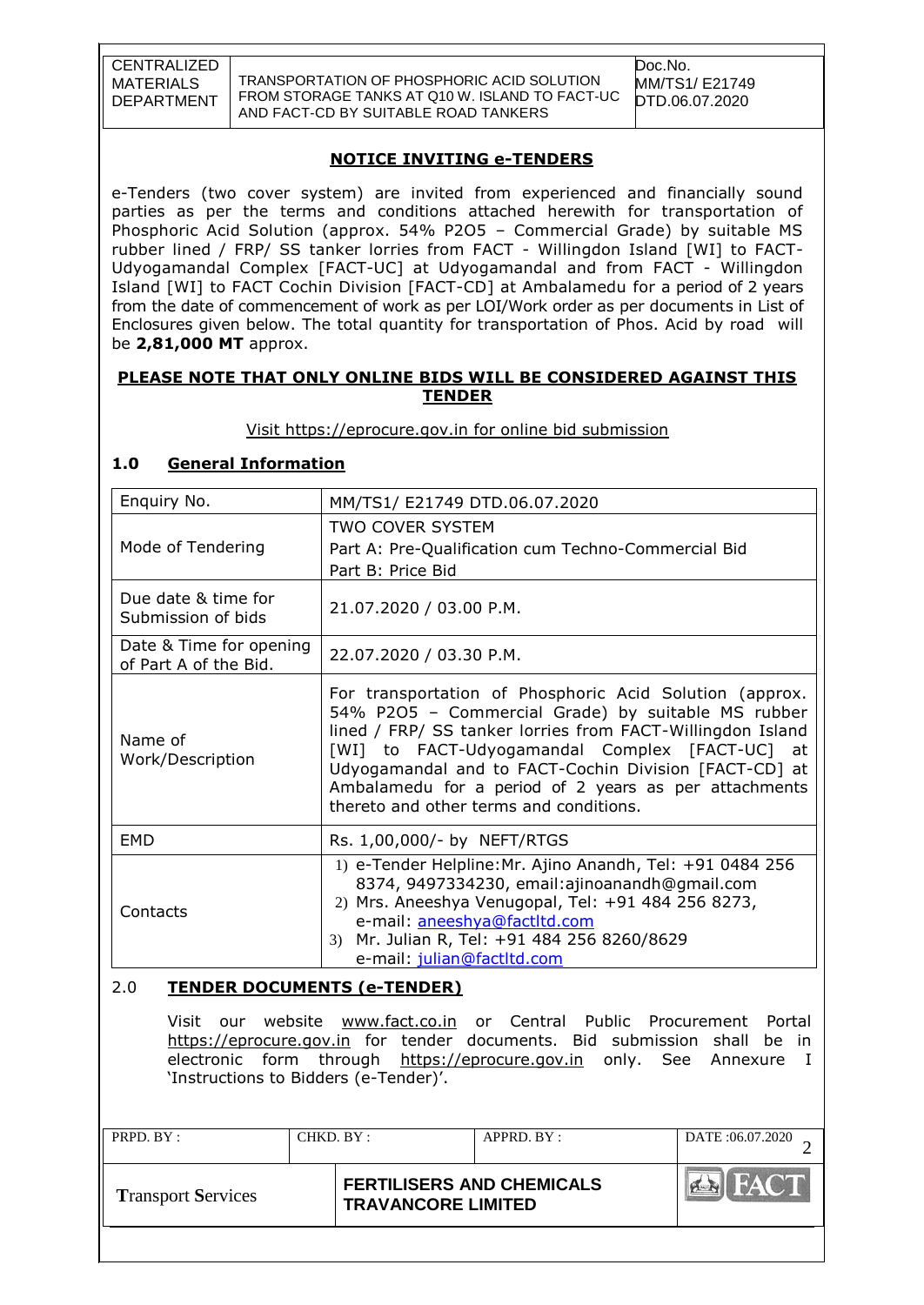TRANSPORTATION OF PHOSPHORIC ACID SOLUTION FROM STORAGE TANKS AT Q10 W. ISLAND TO FACT-UC AND FACT-CD BY SUITABLE ROAD TANKERS

Doc.No. MM/TS1/ E21749 DTD.06.07.2020

## **NOTICE INVITING e-TENDERS**

e-Tenders (two cover system) are invited from experienced and financially sound parties as per the terms and conditions attached herewith for transportation of Phosphoric Acid Solution (approx. 54% P2O5 – Commercial Grade) by suitable MS rubber lined / FRP/ SS tanker lorries from FACT - Willingdon Island [WI] to FACT-Udyogamandal Complex [FACT-UC] at Udyogamandal and from FACT - Willingdon Island [WI] to FACT Cochin Division [FACT-CD] at Ambalamedu for a period of 2 years from the date of commencement of work as per LOI/Work order as per documents in List of Enclosures given below. The total quantity for transportation of Phos. Acid by road will be **2,81,000 MT** approx.

#### **PLEASE NOTE THAT ONLY ONLINE BIDS WILL BE CONSIDERED AGAINST THIS TENDER**

Visit [https://eprocure.gov.in](https://eprocure.gov.in/) for online bid submission

## **1.0 General Information**

| Enquiry No.                                      | MM/TS1/ E21749 DTD.06.07.2020                                                                                                                                                                                                                                                                                                                                                              |  |  |  |
|--------------------------------------------------|--------------------------------------------------------------------------------------------------------------------------------------------------------------------------------------------------------------------------------------------------------------------------------------------------------------------------------------------------------------------------------------------|--|--|--|
|                                                  | <b>TWO COVER SYSTEM</b>                                                                                                                                                                                                                                                                                                                                                                    |  |  |  |
| Mode of Tendering                                | Part A: Pre-Qualification cum Techno-Commercial Bid                                                                                                                                                                                                                                                                                                                                        |  |  |  |
|                                                  | Part B: Price Bid                                                                                                                                                                                                                                                                                                                                                                          |  |  |  |
| Due date & time for<br>Submission of bids        | 21.07.2020 / 03.00 P.M.                                                                                                                                                                                                                                                                                                                                                                    |  |  |  |
| Date & Time for opening<br>of Part A of the Bid. | 22.07.2020 / 03.30 P.M.                                                                                                                                                                                                                                                                                                                                                                    |  |  |  |
| Name of<br>Work/Description                      | For transportation of Phosphoric Acid Solution (approx.<br>54% P2O5 - Commercial Grade) by suitable MS rubber<br>lined / FRP/ SS tanker lorries from FACT-Willingdon Island<br>[WI] to FACT-Udyogamandal Complex [FACT-UC] at<br>Udyogamandal and to FACT-Cochin Division [FACT-CD] at<br>Ambalamedu for a period of 2 years as per attachments<br>thereto and other terms and conditions. |  |  |  |
| <b>EMD</b>                                       | Rs. 1,00,000/- by NEFT/RTGS                                                                                                                                                                                                                                                                                                                                                                |  |  |  |
| Contacts                                         | 1) e-Tender Helpline: Mr. Ajino Anandh, Tel: +91 0484 256<br>8374, 9497334230, email:ajinoanandh@gmail.com<br>2) Mrs. Aneeshya Venugopal, Tel: +91 484 256 8273,<br>e-mail: aneeshya@factltd.com<br>Mr. Julian R, Tel: +91 484 256 8260/8629<br>3 <sup>)</sup><br>e-mail: julian@factltd.com                                                                                               |  |  |  |

#### 2.0 **TENDER DOCUMENTS (e-TENDER)**

Visit our website [www.fact.co.in](http://www.fact.co.in/) or Central Public Procurement Portal [https://eprocure.gov.in](https://eprocure.gov.in/) for tender documents. Bid submission shall be in electronic form through [https://eprocure.gov.in](https://eprocure.gov.in/) only. See Annexure I 'Instructions to Bidders (e-Tender)'.

| PRPD. BY:                 | CHKD. BY : |                                                               | APPRD. BY: | DATE: 06.07.2020                |
|---------------------------|------------|---------------------------------------------------------------|------------|---------------------------------|
| <b>Transport Services</b> |            | <b>FERTILISERS AND CHEMICALS</b><br><b>TRAVANCORE LIMITED</b> |            | <b>I FACT</b><br><b>PERSONA</b> |
|                           |            |                                                               |            |                                 |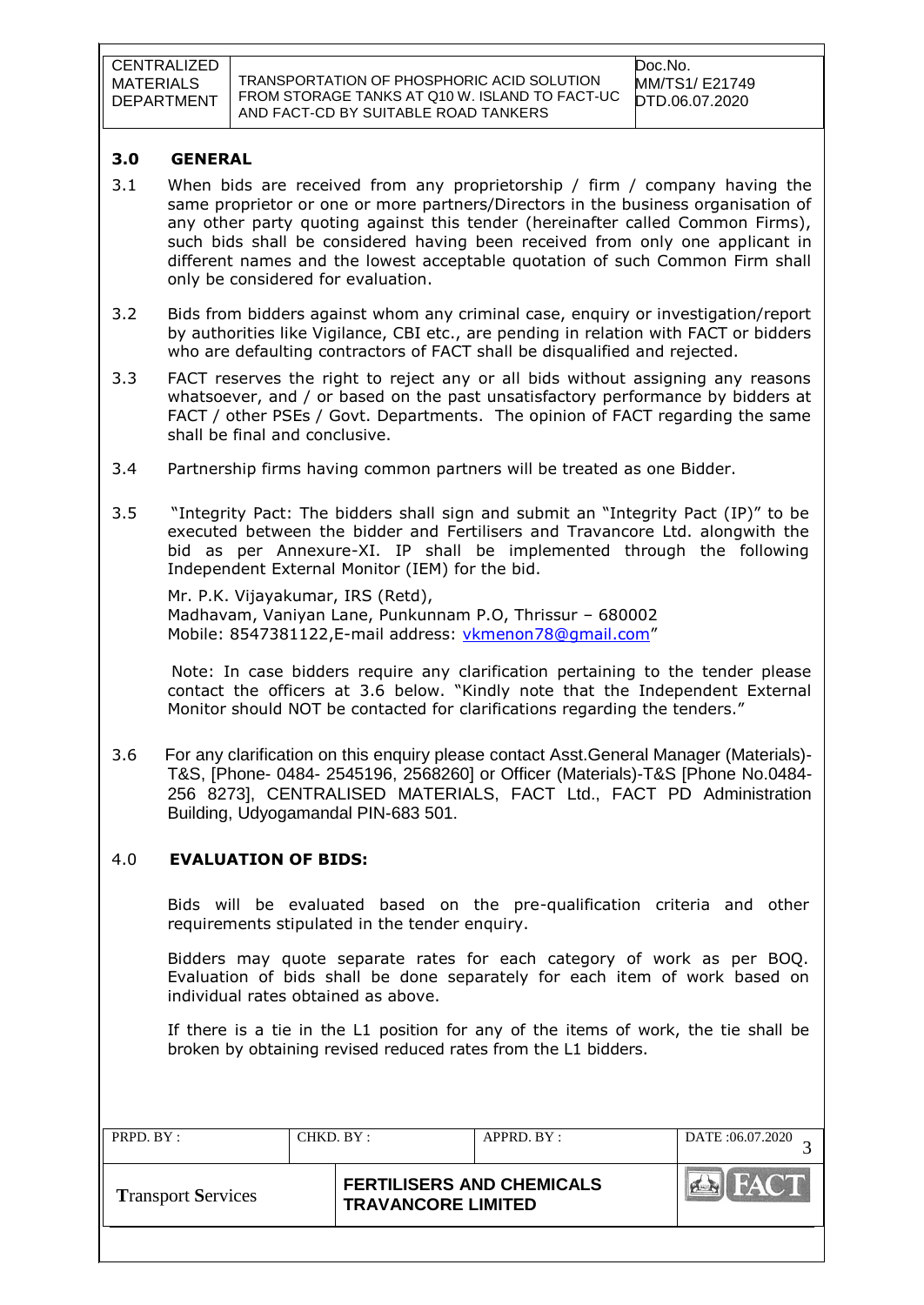TRANSPORTATION OF PHOSPHORIC ACID SOLUTION FROM STORAGE TANKS AT Q10 W. ISLAND TO FACT-UC AND FACT-CD BY SUITABLE ROAD TANKERS

#### **3.0 GENERAL**

- 3.1 When bids are received from any proprietorship / firm / company having the same proprietor or one or more partners/Directors in the business organisation of any other party quoting against this tender (hereinafter called Common Firms), such bids shall be considered having been received from only one applicant in different names and the lowest acceptable quotation of such Common Firm shall only be considered for evaluation.
- 3.2 Bids from bidders against whom any criminal case, enquiry or investigation/report by authorities like Vigilance, CBI etc., are pending in relation with FACT or bidders who are defaulting contractors of FACT shall be disqualified and rejected.
- 3.3 FACT reserves the right to reject any or all bids without assigning any reasons whatsoever, and / or based on the past unsatisfactory performance by bidders at FACT / other PSEs / Govt. Departments. The opinion of FACT regarding the same shall be final and conclusive.
- 3.4 Partnership firms having common partners will be treated as one Bidder.
- 3.5 "Integrity Pact: The bidders shall sign and submit an "Integrity Pact (IP)" to be executed between the bidder and Fertilisers and Travancore Ltd. alongwith the bid as per Annexure-XI. IP shall be implemented through the following Independent External Monitor (IEM) for the bid.

Mr. P.K. Vijayakumar, IRS (Retd), Madhavam, Vaniyan Lane, Punkunnam P.O, Thrissur – 680002 Mobile: [8547381122,](callto:8547381122)E-mail address: [vkmenon78@gmail.com](mailto:vkmenon78@gmail.com)"

 Note: In case bidders require any clarification pertaining to the tender please contact the officers at 3.6 below. "Kindly note that the Independent External Monitor should NOT be contacted for clarifications regarding the tenders."

3.6 For any clarification on this enquiry please contact Asst.General Manager (Materials)- T&S, [Phone- 0484- 2545196, 2568260] or Officer (Materials)-T&S [Phone No.0484- 256 8273], CENTRALISED MATERIALS, FACT Ltd., FACT PD Administration Building, Udyogamandal PIN-683 501.

#### 4.0 **EVALUATION OF BIDS:**

Bids will be evaluated based on the pre-qualification criteria and other requirements stipulated in the tender enquiry.

Bidders may quote separate rates for each category of work as per BOQ. Evaluation of bids shall be done separately for each item of work based on individual rates obtained as above.

If there is a tie in the L1 position for any of the items of work, the tie shall be broken by obtaining revised reduced rates from the L1 bidders.

| PRPD. BY:                 | CHKD. BY: | APPRD. BY:                                                    | DATE:06.07.2020 |
|---------------------------|-----------|---------------------------------------------------------------|-----------------|
| <b>Transport Services</b> |           | <b>FERTILISERS AND CHEMICALS</b><br><b>TRAVANCORE LIMITED</b> |                 |
|                           |           |                                                               |                 |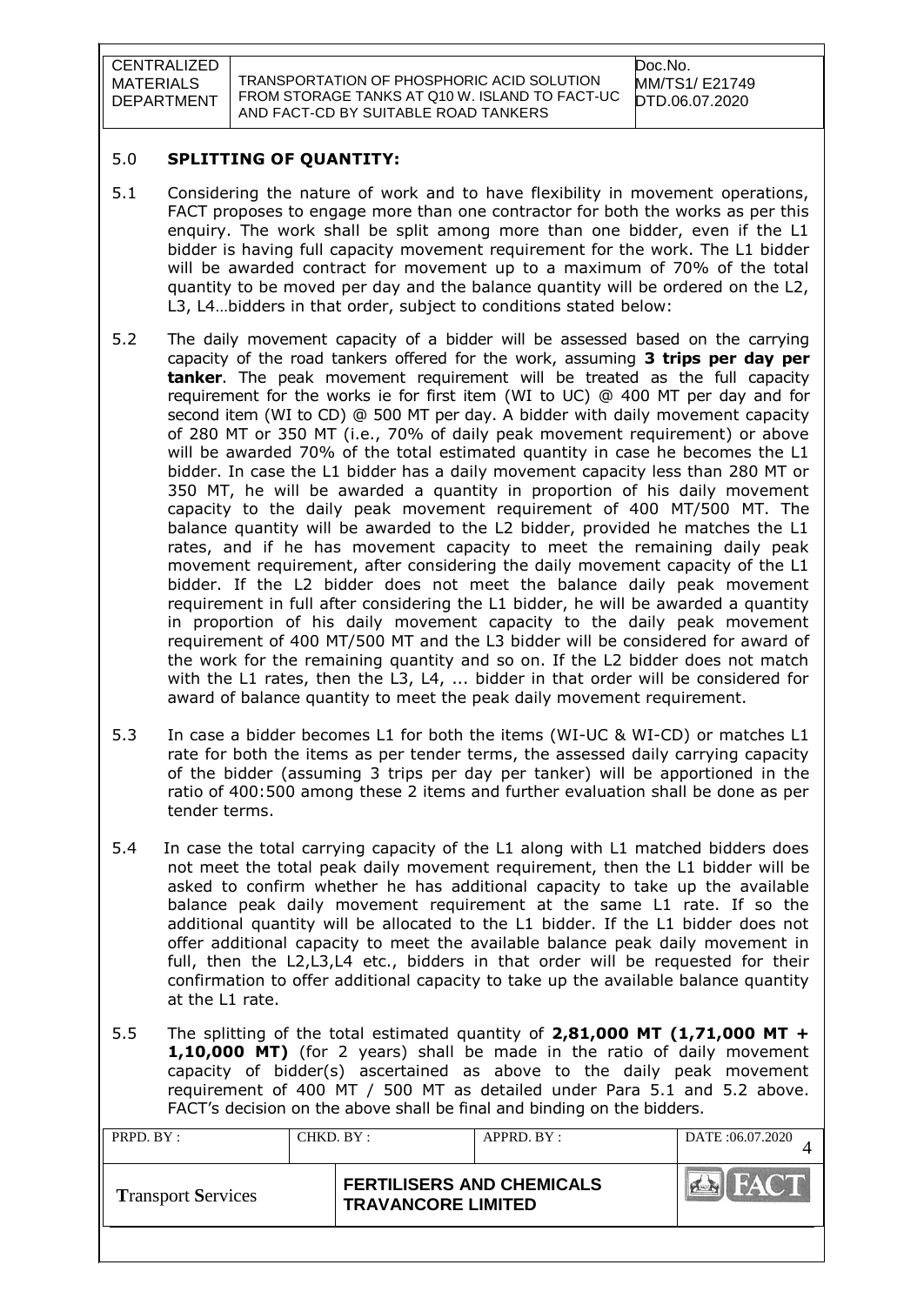TRANSPORTATION OF PHOSPHORIC ACID SOLUTION FROM STORAGE TANKS AT Q10 W. ISLAND TO FACT-UC AND FACT-CD BY SUITABLE ROAD TANKERS

#### 5.0 **SPLITTING OF QUANTITY:**

- 5.1 Considering the nature of work and to have flexibility in movement operations, FACT proposes to engage more than one contractor for both the works as per this enquiry. The work shall be split among more than one bidder, even if the L1 bidder is having full capacity movement requirement for the work. The L1 bidder will be awarded contract for movement up to a maximum of 70% of the total quantity to be moved per day and the balance quantity will be ordered on the L2, L3, L4…bidders in that order, subject to conditions stated below:
- 5.2 The daily movement capacity of a bidder will be assessed based on the carrying capacity of the road tankers offered for the work, assuming **3 trips per day per tanker**. The peak movement requirement will be treated as the full capacity requirement for the works ie for first item (WI to UC) @ 400 MT per day and for second item (WI to CD) @ 500 MT per day. A bidder with daily movement capacity of 280 MT or 350 MT (i.e., 70% of daily peak movement requirement) or above will be awarded 70% of the total estimated quantity in case he becomes the L1 bidder. In case the L1 bidder has a daily movement capacity less than 280 MT or 350 MT, he will be awarded a quantity in proportion of his daily movement capacity to the daily peak movement requirement of 400 MT/500 MT. The balance quantity will be awarded to the L2 bidder, provided he matches the L1 rates, and if he has movement capacity to meet the remaining daily peak movement requirement, after considering the daily movement capacity of the L1 bidder. If the L2 bidder does not meet the balance daily peak movement requirement in full after considering the L1 bidder, he will be awarded a quantity in proportion of his daily movement capacity to the daily peak movement requirement of 400 MT/500 MT and the L3 bidder will be considered for award of the work for the remaining quantity and so on. If the L2 bidder does not match with the L1 rates, then the L3, L4, ... bidder in that order will be considered for award of balance quantity to meet the peak daily movement requirement.
- 5.3 In case a bidder becomes L1 for both the items (WI-UC & WI-CD) or matches L1 rate for both the items as per tender terms, the assessed daily carrying capacity of the bidder (assuming 3 trips per day per tanker) will be apportioned in the ratio of 400:500 among these 2 items and further evaluation shall be done as per tender terms.
- 5.4 In case the total carrying capacity of the L1 along with L1 matched bidders does not meet the total peak daily movement requirement, then the L1 bidder will be asked to confirm whether he has additional capacity to take up the available balance peak daily movement requirement at the same L1 rate. If so the additional quantity will be allocated to the L1 bidder. If the L1 bidder does not offer additional capacity to meet the available balance peak daily movement in full, then the L2,L3,L4 etc., bidders in that order will be requested for their confirmation to offer additional capacity to take up the available balance quantity at the L1 rate.
- 5.5 The splitting of the total estimated quantity of **2,81,000 MT (1,71,000 MT + 1,10,000 MT)** (for 2 years) shall be made in the ratio of daily movement capacity of bidder(s) ascertained as above to the daily peak movement requirement of 400 MT / 500 MT as detailed under Para 5.1 and 5.2 above. FACT"s decision on the above shall be final and binding on the bidders.

| PRPD. BY:                 | CHKD. BY : |                                                               | APPRD. BY: | DATE: 06.07.2020 |
|---------------------------|------------|---------------------------------------------------------------|------------|------------------|
| <b>Transport Services</b> |            | <b>FERTILISERS AND CHEMICALS</b><br><b>TRAVANCORE LIMITED</b> |            | HAC'T            |
|                           |            |                                                               |            |                  |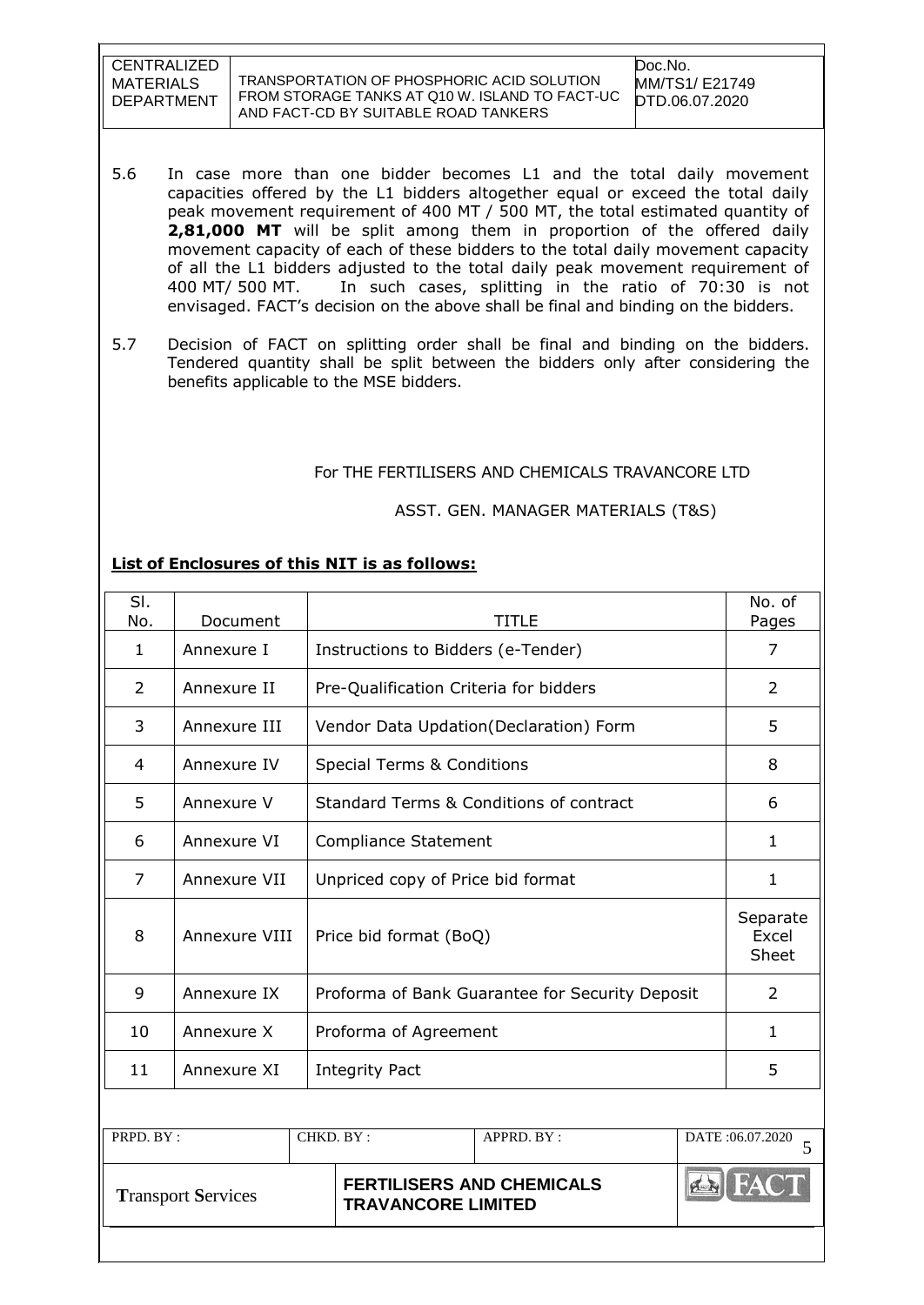TRANSPORTATION OF PHOSPHORIC ACID SOLUTION FROM STORAGE TANKS AT Q10 W. ISLAND TO FACT-UC AND FACT-CD BY SUITABLE ROAD TANKERS

Doc.No. MM/TS1/ E21749 DTD.06.07.2020

- 5.6 In case more than one bidder becomes L1 and the total daily movement capacities offered by the L1 bidders altogether equal or exceed the total daily peak movement requirement of 400 MT / 500 MT, the total estimated quantity of **2,81,000 MT** will be split among them in proportion of the offered daily movement capacity of each of these bidders to the total daily movement capacity of all the L1 bidders adjusted to the total daily peak movement requirement of 400 MT/ 500 MT. In such cases, splitting in the ratio of 70:30 is not envisaged. FACT"s decision on the above shall be final and binding on the bidders.
- 5.7 Decision of FACT on splitting order shall be final and binding on the bidders. Tendered quantity shall be split between the bidders only after considering the benefits applicable to the MSE bidders.

#### For THE FERTILISERS AND CHEMICALS TRAVANCORE LTD

#### ASST. GEN. MANAGER MATERIALS (T&S)

#### **List of Enclosures of this NIT is as follows:**

| SI.<br>No.   | Document      | <b>TITLE</b>                                       | No. of<br>Pages            |
|--------------|---------------|----------------------------------------------------|----------------------------|
| $\mathbf{1}$ | Annexure I    | Instructions to Bidders (e-Tender)                 | 7                          |
| 2            | Annexure II   | Pre-Qualification Criteria for bidders             | 2                          |
| 3            | Annexure III  | Vendor Data Updation(Declaration) Form             | 5                          |
| 4            | Annexure IV   | Special Terms & Conditions                         | 8                          |
| 5            | Annexure V    | <b>Standard Terms &amp; Conditions of contract</b> | 6                          |
| 6            | Annexure VI   | Compliance Statement                               | 1                          |
| 7            | Annexure VII  | Unpriced copy of Price bid format                  | $\mathbf{1}$               |
| 8            | Annexure VIII | Price bid format (BoQ)                             | Separate<br>Excel<br>Sheet |
| 9            | Annexure IX   | Proforma of Bank Guarantee for Security Deposit    | 2                          |
| 10           | Annexure X    | Proforma of Agreement                              | 1                          |
| 11           | Annexure XI   | <b>Integrity Pact</b>                              | 5                          |
|              |               |                                                    |                            |

| PRPD. BY:                 | CHKD. BY:                 | $APPRD$ $BY:$                    | DATE:06.07.2020 |
|---------------------------|---------------------------|----------------------------------|-----------------|
| <b>Transport Services</b> | <b>TRAVANCORE LIMITED</b> | <b>FERTILISERS AND CHEMICALS</b> |                 |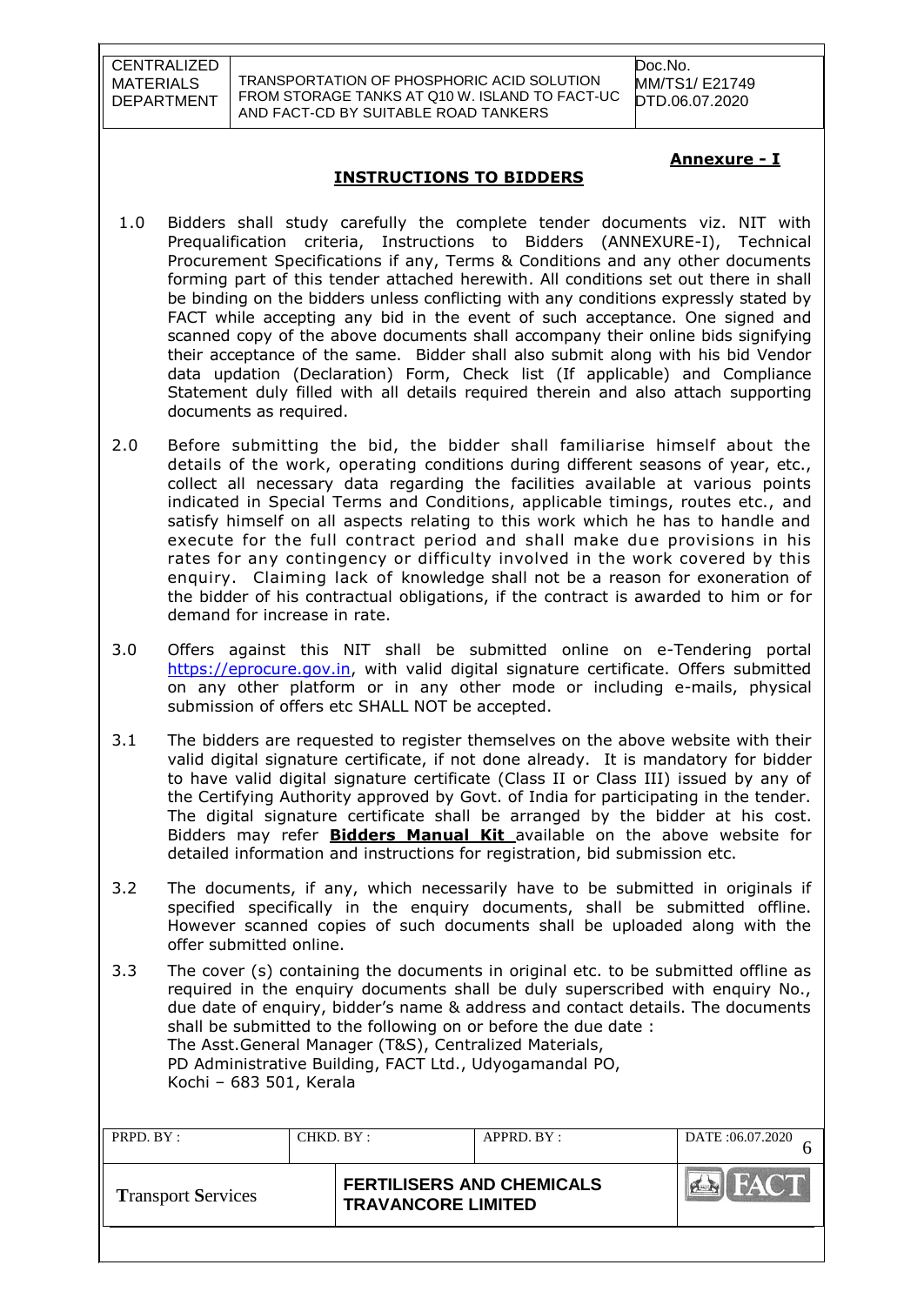TRANSPORTATION OF PHOSPHORIC ACID SOLUTION FROM STORAGE TANKS AT Q10 W. ISLAND TO FACT-UC AND FACT-CD BY SUITABLE ROAD TANKERS

Doc.No. MM/TS1/ E21749 DTD.06.07.2020

## **INSTRUCTIONS TO BIDDERS**

#### **Annexure - I**

- 1.0 Bidders shall study carefully the complete tender documents viz. NIT with Prequalification criteria, Instructions to Bidders (ANNEXURE-I), Technical Procurement Specifications if any, Terms & Conditions and any other documents forming part of this tender attached herewith. All conditions set out there in shall be binding on the bidders unless conflicting with any conditions expressly stated by FACT while accepting any bid in the event of such acceptance. One signed and scanned copy of the above documents shall accompany their online bids signifying their acceptance of the same. Bidder shall also submit along with his bid Vendor data updation (Declaration) Form, Check list (If applicable) and Compliance Statement duly filled with all details required therein and also attach supporting documents as required.
- 2.0 Before submitting the bid, the bidder shall familiarise himself about the details of the work, operating conditions during different seasons of year, etc., collect all necessary data regarding the facilities available at various points indicated in Special Terms and Conditions, applicable timings, routes etc., and satisfy himself on all aspects relating to this work which he has to handle and execute for the full contract period and shall make due provisions in his rates for any contingency or difficulty involved in the work covered by this enquiry. Claiming lack of knowledge shall not be a reason for exoneration of the bidder of his contractual obligations, if the contract is awarded to him or for demand for increase in rate.
- 3.0 Offers against this NIT shall be submitted online on e-Tendering portal [https://eprocure.gov.in,](https://eprocure.gov.in/) with valid digital signature certificate. Offers submitted on any other platform or in any other mode or including e-mails, physical submission of offers etc SHALL NOT be accepted.
- 3.1 The bidders are requested to register themselves on the above website with their valid digital signature certificate, if not done already. It is mandatory for bidder to have valid digital signature certificate (Class II or Class III) issued by any of the Certifying Authority approved by Govt. of India for participating in the tender. The digital signature certificate shall be arranged by the bidder at his cost. Bidders may refer **Bidders Manual Kit** available on the above website for detailed information and instructions for registration, bid submission etc.
- 3.2 The documents, if any, which necessarily have to be submitted in originals if specified specifically in the enquiry documents, shall be submitted offline. However scanned copies of such documents shall be uploaded along with the offer submitted online.
- 3.3 The cover (s) containing the documents in original etc. to be submitted offline as required in the enquiry documents shall be duly superscribed with enquiry No., due date of enquiry, bidder"s name & address and contact details. The documents shall be submitted to the following on or before the due date : The Asst.General Manager (T&S), Centralized Materials, PD Administrative Building, FACT Ltd., Udyogamandal PO, Kochi – 683 501, Kerala

| PRPD. BY:                 | CHKD. BY: |                                                               | APPRD. BY: | DATE:06.07.2020 |
|---------------------------|-----------|---------------------------------------------------------------|------------|-----------------|
| <b>Transport Services</b> |           | <b>FERTILISERS AND CHEMICALS</b><br><b>TRAVANCORE LIMITED</b> |            | FAC.IT          |
|                           |           |                                                               |            |                 |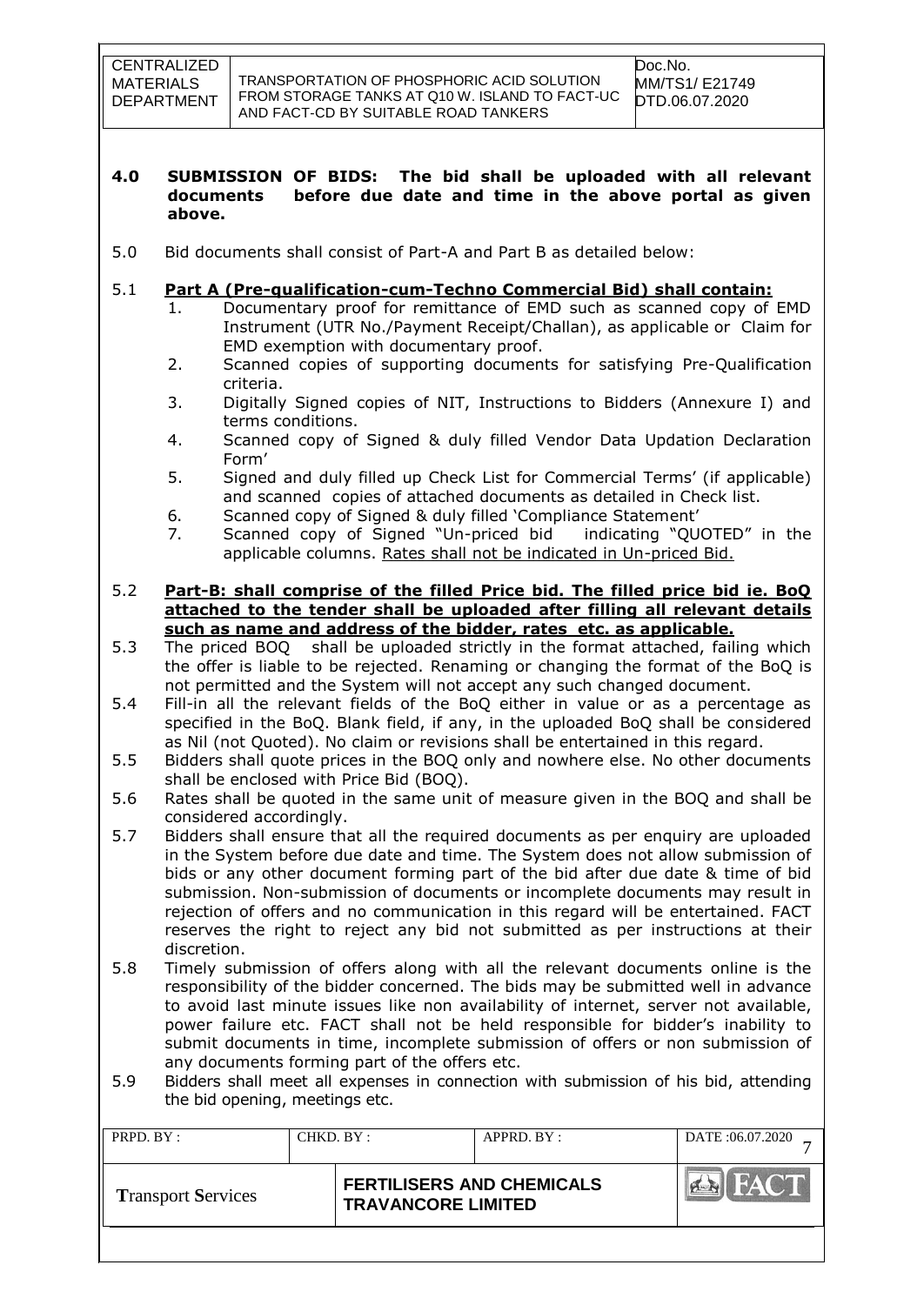#### **4.0 SUBMISSION OF BIDS: The bid shall be uploaded with all relevant documents before due date and time in the above portal as given above.**

5.0 Bid documents shall consist of Part-A and Part B as detailed below:

## 5.1 **Part A (Pre-qualification-cum-Techno Commercial Bid) shall contain:**

- 1. Documentary proof for remittance of EMD such as scanned copy of EMD Instrument (UTR No./Payment Receipt/Challan), as applicable or Claim for EMD exemption with documentary proof.
- 2. Scanned copies of supporting documents for satisfying Pre-Qualification criteria.
- 3. Digitally Signed copies of NIT, Instructions to Bidders (Annexure I) and terms conditions.
- 4. Scanned copy of Signed & duly filled Vendor Data Updation Declaration Form"
- 5. Signed and duly filled up Check List for Commercial Terms" (if applicable) and scanned copies of attached documents as detailed in Check list.
- 6. Scanned copy of Signed & duly filled "Compliance Statement"
- 7. Scanned copy of Signed "Un-priced bid indicating "QUOTED" in the applicable columns. Rates shall not be indicated in Un-priced Bid.
- 5.2 **Part-B: shall comprise of the filled Price bid. The filled price bid ie. BoQ attached to the tender shall be uploaded after filling all relevant details such as name and address of the bidder, rates etc. as applicable.**
- 5.3 The priced BOQ shall be uploaded strictly in the format attached, failing which the offer is liable to be rejected. Renaming or changing the format of the BoQ is not permitted and the System will not accept any such changed document.
- 5.4 Fill-in all the relevant fields of the BoQ either in value or as a percentage as specified in the BoQ. Blank field, if any, in the uploaded BoQ shall be considered as Nil (not Quoted). No claim or revisions shall be entertained in this regard.
- 5.5 Bidders shall quote prices in the BOQ only and nowhere else. No other documents shall be enclosed with Price Bid (BOQ).
- 5.6 Rates shall be quoted in the same unit of measure given in the BOQ and shall be considered accordingly.
- 5.7 Bidders shall ensure that all the required documents as per enquiry are uploaded in the System before due date and time. The System does not allow submission of bids or any other document forming part of the bid after due date & time of bid submission. Non-submission of documents or incomplete documents may result in rejection of offers and no communication in this regard will be entertained. FACT reserves the right to reject any bid not submitted as per instructions at their discretion.
- 5.8 Timely submission of offers along with all the relevant documents online is the responsibility of the bidder concerned. The bids may be submitted well in advance to avoid last minute issues like non availability of internet, server not available, power failure etc. FACT shall not be held responsible for bidder"s inability to submit documents in time, incomplete submission of offers or non submission of any documents forming part of the offers etc.
- 5.9 Bidders shall meet all expenses in connection with submission of his bid, attending the bid opening, meetings etc.

| PRPD. BY:                 | CHKD. BY: |                           | APPRD. BY:                       | DATE:06.07.2020     |
|---------------------------|-----------|---------------------------|----------------------------------|---------------------|
| <b>Transport Services</b> |           | <b>TRAVANCORE LIMITED</b> | <b>FERTILISERS AND CHEMICALS</b> | $H_{\mathbf{A}}(T)$ |
|                           |           |                           |                                  |                     |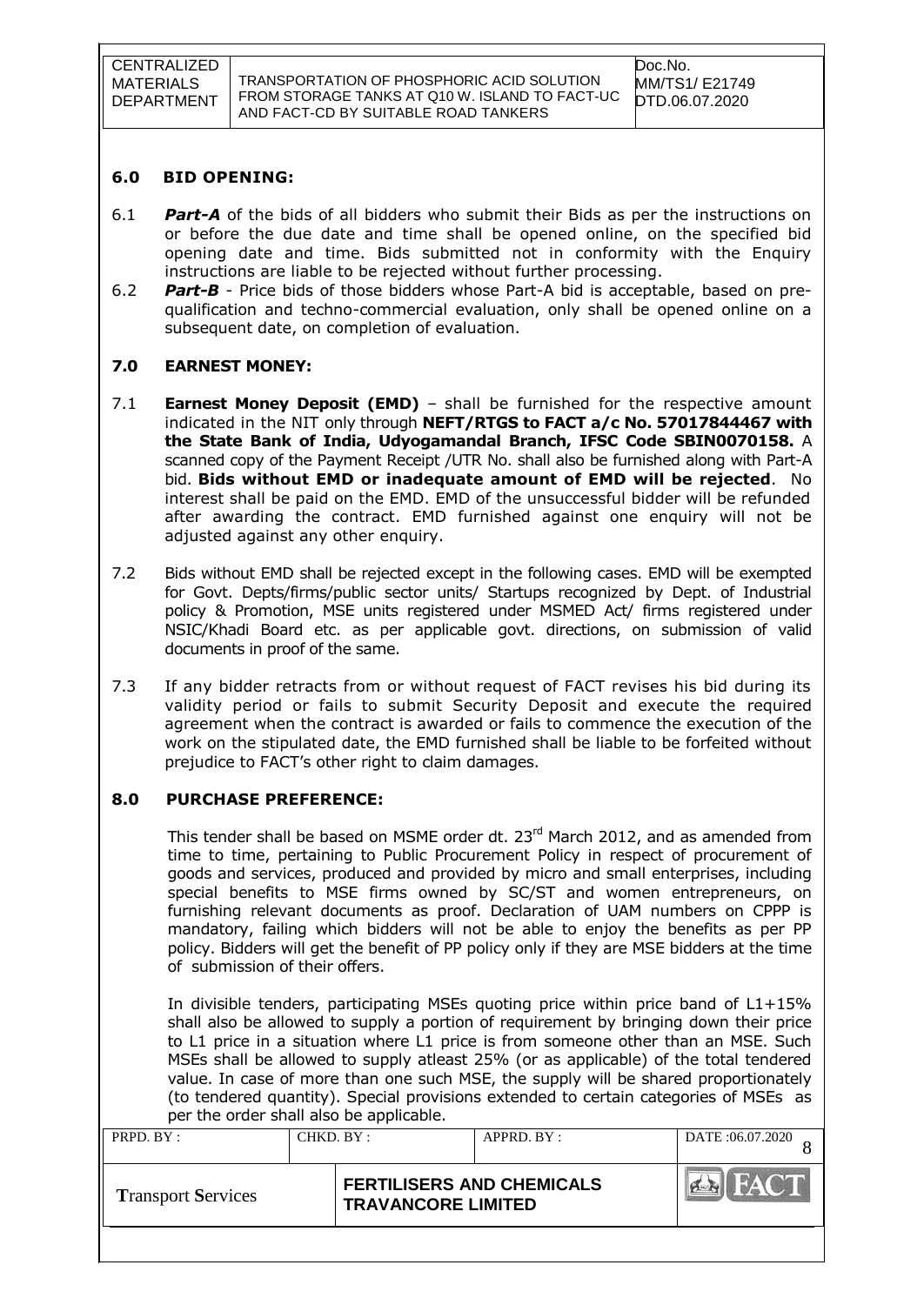#### **6.0 BID OPENING:**

- 6.1 *Part-A* of the bids of all bidders who submit their Bids as per the instructions on or before the due date and time shall be opened online, on the specified bid opening date and time. Bids submitted not in conformity with the Enquiry instructions are liable to be rejected without further processing.
- 6.2 *Part-B* Price bids of those bidders whose Part-A bid is acceptable, based on prequalification and techno-commercial evaluation, only shall be opened online on a subsequent date, on completion of evaluation.

## **7.0 EARNEST MONEY:**

- 7.1 **Earnest Money Deposit (EMD)** shall be furnished for the respective amount indicated in the NIT only through **NEFT/RTGS to FACT a/c No. 57017844467 with the State Bank of India, Udyogamandal Branch, IFSC Code SBIN0070158.** A scanned copy of the Payment Receipt /UTR No. shall also be furnished along with Part-A bid. **Bids without EMD or inadequate amount of EMD will be rejected**. No interest shall be paid on the EMD. EMD of the unsuccessful bidder will be refunded after awarding the contract. EMD furnished against one enquiry will not be adjusted against any other enquiry.
- 7.2 Bids without EMD shall be rejected except in the following cases. EMD will be exempted for Govt. Depts/firms/public sector units/ Startups recognized by Dept. of Industrial policy & Promotion, MSE units registered under MSMED Act/ firms registered under NSIC/Khadi Board etc. as per applicable govt. directions, on submission of valid documents in proof of the same.
- 7.3 If any bidder retracts from or without request of FACT revises his bid during its validity period or fails to submit Security Deposit and execute the required agreement when the contract is awarded or fails to commence the execution of the work on the stipulated date, the EMD furnished shall be liable to be forfeited without prejudice to FACT"s other right to claim damages.

#### **8.0 PURCHASE PREFERENCE:**

This tender shall be based on MSME order dt. 23<sup>rd</sup> March 2012, and as amended from time to time, pertaining to Public Procurement Policy in respect of procurement of goods and services, produced and provided by micro and small enterprises, including special benefits to MSE firms owned by SC/ST and women entrepreneurs, on furnishing relevant documents as proof. Declaration of UAM numbers on CPPP is mandatory, failing which bidders will not be able to enjoy the benefits as per PP policy. Bidders will get the benefit of PP policy only if they are MSE bidders at the time of submission of their offers.

In divisible tenders, participating MSEs quoting price within price band of L1+15% shall also be allowed to supply a portion of requirement by bringing down their price to L1 price in a situation where L1 price is from someone other than an MSE. Such MSEs shall be allowed to supply atleast 25% (or as applicable) of the total tendered value. In case of more than one such MSE, the supply will be shared proportionately (to tendered quantity). Special provisions extended to certain categories of MSEs as per the order shall also be applicable.

| PRPD. BY:                 | CHKD. BY: |                                                               | APPRD. BY: | DATE:06.07.2020 |
|---------------------------|-----------|---------------------------------------------------------------|------------|-----------------|
| <b>Transport Services</b> |           | <b>FERTILISERS AND CHEMICALS</b><br><b>TRAVANCORE LIMITED</b> |            | HAU I           |
|                           |           |                                                               |            |                 |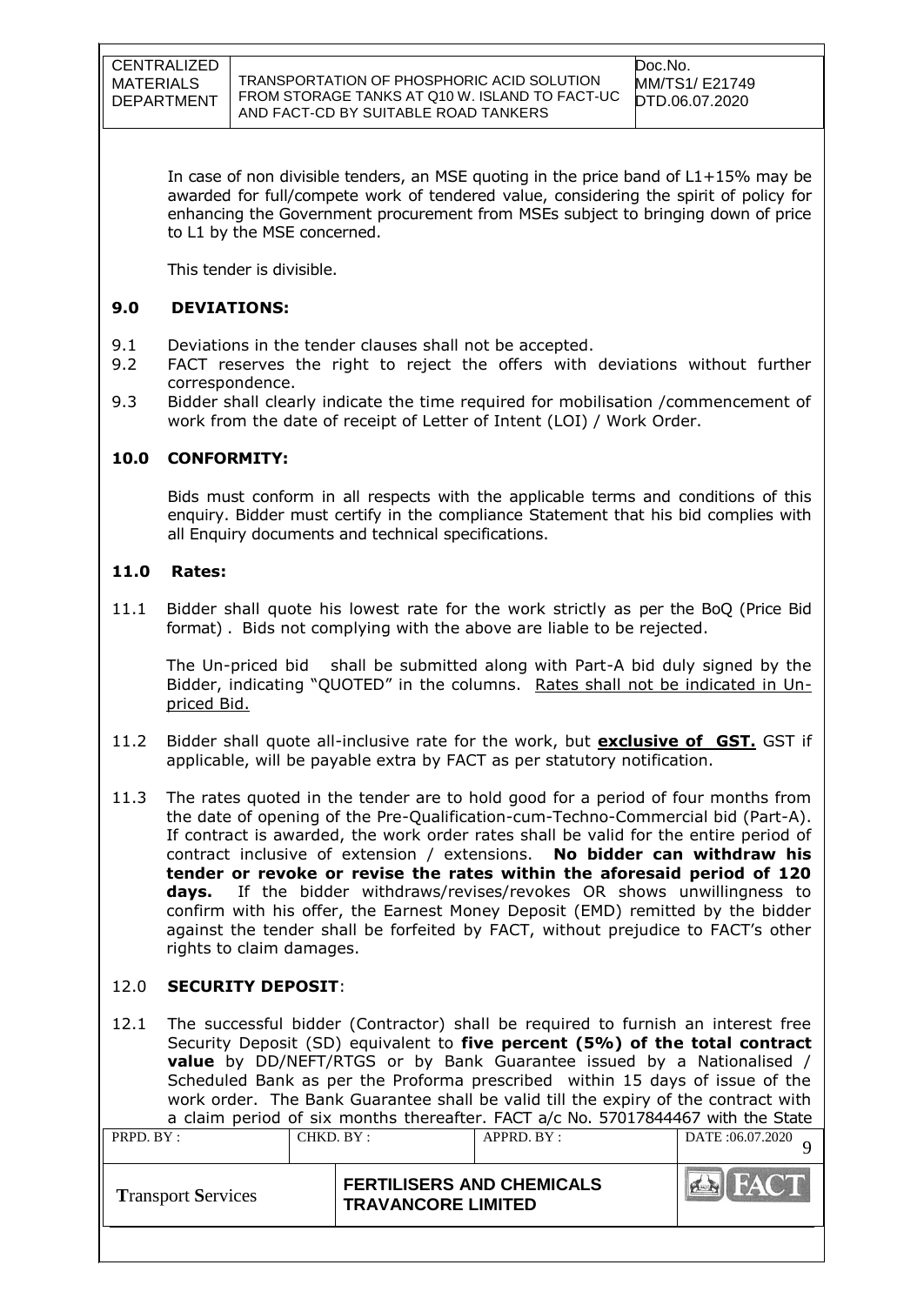In case of non divisible tenders, an MSE quoting in the price band of L1+15% may be awarded for full/compete work of tendered value, considering the spirit of policy for enhancing the Government procurement from MSEs subject to bringing down of price to L1 by the MSE concerned.

This tender is divisible.

## **9.0 DEVIATIONS:**

- 9.1 Deviations in the tender clauses shall not be accepted.
- 9.2 FACT reserves the right to reject the offers with deviations without further correspondence.
- 9.3 Bidder shall clearly indicate the time required for mobilisation /commencement of work from the date of receipt of Letter of Intent (LOI) / Work Order.

## **10.0 CONFORMITY:**

Bids must conform in all respects with the applicable terms and conditions of this enquiry. Bidder must certify in the compliance Statement that his bid complies with all Enquiry documents and technical specifications.

#### **11.0 Rates:**

11.1 Bidder shall quote his lowest rate for the work strictly as per the BoQ (Price Bid format) . Bids not complying with the above are liable to be rejected.

The Un-priced bid shall be submitted along with Part-A bid duly signed by the Bidder, indicating "QUOTED" in the columns. Rates shall not be indicated in Unpriced Bid.

- 11.2 Bidder shall quote all-inclusive rate for the work, but **exclusive of GST.** GST if applicable, will be payable extra by FACT as per statutory notification.
- 11.3 The rates quoted in the tender are to hold good for a period of four months from the date of opening of the Pre-Qualification-cum-Techno-Commercial bid (Part-A). If contract is awarded, the work order rates shall be valid for the entire period of contract inclusive of extension / extensions. **No bidder can withdraw his tender or revoke or revise the rates within the aforesaid period of 120 days.** If the bidder withdraws/revises/revokes OR shows unwillingness to confirm with his offer, the Earnest Money Deposit (EMD) remitted by the bidder against the tender shall be forfeited by FACT, without prejudice to FACT"s other rights to claim damages.

#### 12.0 **SECURITY DEPOSIT**:

12.1 The successful bidder (Contractor) shall be required to furnish an interest free Security Deposit (SD) equivalent to **five percent (5%) of the total contract value** by DD/NEFT/RTGS or by Bank Guarantee issued by a Nationalised / Scheduled Bank as per the Proforma prescribed within 15 days of issue of the work order. The Bank Guarantee shall be valid till the expiry of the contract with a claim period of six months thereafter. FACT a/c No. 57017844467 with the State

| PRPD. BY :                | CHKD. BY : | $APPRD$ . $BY$ :                                              | DATE: 06.07.2020 |
|---------------------------|------------|---------------------------------------------------------------|------------------|
| <b>Transport Services</b> |            | <b>FERTILISERS AND CHEMICALS</b><br><b>TRAVANCORE LIMITED</b> | <b>EN FACT</b>   |
|                           |            |                                                               |                  |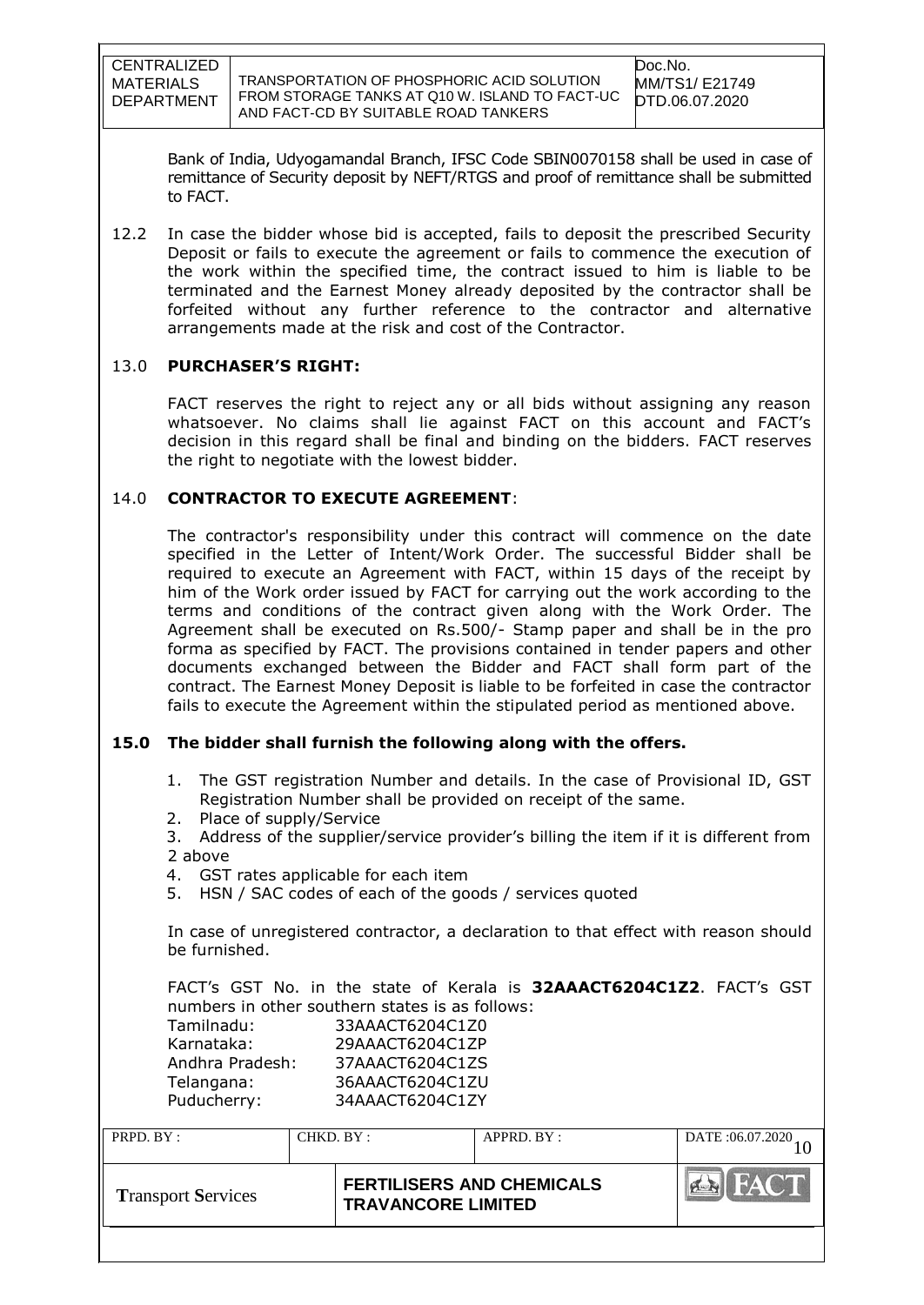TRANSPORTATION OF PHOSPHORIC ACID SOLUTION FROM STORAGE TANKS AT Q10 W. ISLAND TO FACT-UC AND FACT-CD BY SUITABLE ROAD TANKERS

Bank of India, Udyogamandal Branch, IFSC Code SBIN0070158 shall be used in case of remittance of Security deposit by NEFT/RTGS and proof of remittance shall be submitted to FACT.

12.2 In case the bidder whose bid is accepted, fails to deposit the prescribed Security Deposit or fails to execute the agreement or fails to commence the execution of the work within the specified time, the contract issued to him is liable to be terminated and the Earnest Money already deposited by the contractor shall be forfeited without any further reference to the contractor and alternative arrangements made at the risk and cost of the Contractor.

## 13.0 **PURCHASER'S RIGHT:**

FACT reserves the right to reject any or all bids without assigning any reason whatsoever. No claims shall lie against FACT on this account and FACT"s decision in this regard shall be final and binding on the bidders. FACT reserves the right to negotiate with the lowest bidder.

## 14.0 **CONTRACTOR TO EXECUTE AGREEMENT**:

The contractor's responsibility under this contract will commence on the date specified in the Letter of Intent/Work Order. The successful Bidder shall be required to execute an Agreement with FACT, within 15 days of the receipt by him of the Work order issued by FACT for carrying out the work according to the terms and conditions of the contract given along with the Work Order. The Agreement shall be executed on Rs.500/- Stamp paper and shall be in the pro forma as specified by FACT. The provisions contained in tender papers and other documents exchanged between the Bidder and FACT shall form part of the contract. The Earnest Money Deposit is liable to be forfeited in case the contractor fails to execute the Agreement within the stipulated period as mentioned above.

# **15.0 The bidder shall furnish the following along with the offers.**

- 1. The GST registration Number and details. In the case of Provisional ID, GST Registration Number shall be provided on receipt of the same.
- 2. Place of supply/Service
- 3. Address of the supplier/service provider"s billing the item if it is different from 2 above
- 4. GST rates applicable for each item
- 5. HSN / SAC codes of each of the goods / services quoted

In case of unregistered contractor, a declaration to that effect with reason should be furnished.

FACT"s GST No. in the state of Kerala is **32AAACT6204C1Z2**. FACT"s GST numbers in other southern states is as follows:<br>Tamilnadu: 33AAACT6204C170 33AAACT6204C1Z0

| , ummuuu,       | 3388899797978   |
|-----------------|-----------------|
| Karnataka:      | 29AAACT6204C1ZP |
| Andhra Pradesh: | 37AAACT6204C1ZS |
| Telangana:      | 36AAACT6204C1ZU |
| Puducherry:     | 34AAACT6204C1ZY |
|                 |                 |

| PRPD. BY:                 | CHKD. BY: |                                                               | $APPRD$ . $BY$ : | DATE: 06.07.2020 |
|---------------------------|-----------|---------------------------------------------------------------|------------------|------------------|
| <b>Transport Services</b> |           | <b>FERTILISERS AND CHEMICALS</b><br><b>TRAVANCORE LIMITED</b> |                  | HAC I            |
|                           |           |                                                               |                  |                  |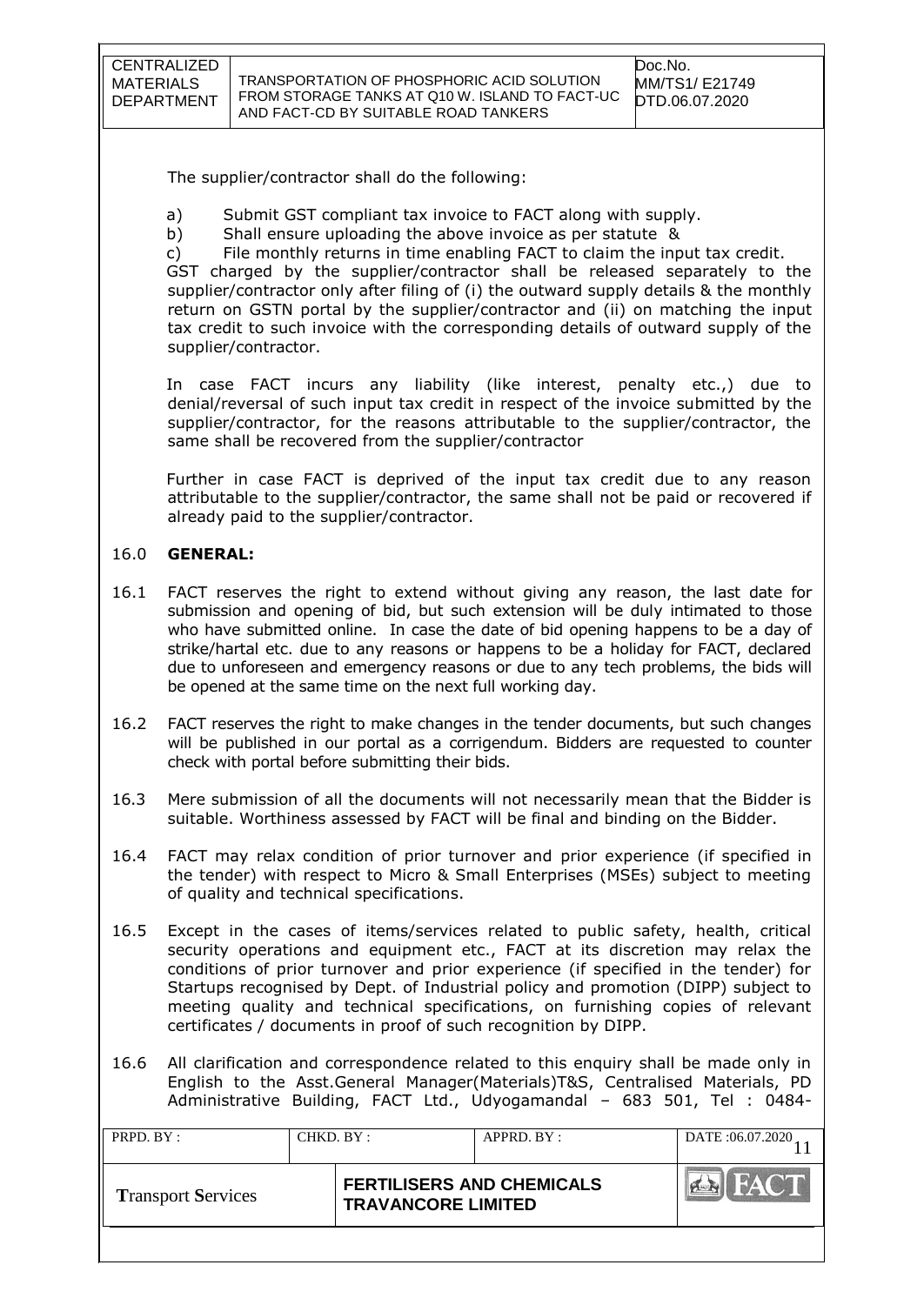| CENTRALIZED |
|-------------|
| MATERIALS   |
| DEPARTMENT  |

The supplier/contractor shall do the following:

- a) Submit GST compliant tax invoice to FACT along with supply.
- b) Shall ensure uploading the above invoice as per statute &

c) File monthly returns in time enabling FACT to claim the input tax credit. GST charged by the supplier/contractor shall be released separately to the supplier/contractor only after filing of (i) the outward supply details & the monthly return on GSTN portal by the supplier/contractor and (ii) on matching the input tax credit to such invoice with the corresponding details of outward supply of the supplier/contractor.

In case FACT incurs any liability (like interest, penalty etc.,) due to denial/reversal of such input tax credit in respect of the invoice submitted by the supplier/contractor, for the reasons attributable to the supplier/contractor, the same shall be recovered from the supplier/contractor

Further in case FACT is deprived of the input tax credit due to any reason attributable to the supplier/contractor, the same shall not be paid or recovered if already paid to the supplier/contractor.

#### 16.0 **GENERAL:**

- 16.1 FACT reserves the right to extend without giving any reason, the last date for submission and opening of bid, but such extension will be duly intimated to those who have submitted online. In case the date of bid opening happens to be a day of strike/hartal etc. due to any reasons or happens to be a holiday for FACT, declared due to unforeseen and emergency reasons or due to any tech problems, the bids will be opened at the same time on the next full working day.
- 16.2 FACT reserves the right to make changes in the tender documents, but such changes will be published in our portal as a corrigendum. Bidders are requested to counter check with portal before submitting their bids.
- 16.3 Mere submission of all the documents will not necessarily mean that the Bidder is suitable. Worthiness assessed by FACT will be final and binding on the Bidder.
- 16.4 FACT may relax condition of prior turnover and prior experience (if specified in the tender) with respect to Micro & Small Enterprises (MSEs) subject to meeting of quality and technical specifications.
- 16.5 Except in the cases of items/services related to public safety, health, critical security operations and equipment etc., FACT at its discretion may relax the conditions of prior turnover and prior experience (if specified in the tender) for Startups recognised by Dept. of Industrial policy and promotion (DIPP) subject to meeting quality and technical specifications, on furnishing copies of relevant certificates / documents in proof of such recognition by DIPP.
- 16.6 All clarification and correspondence related to this enquiry shall be made only in English to the Asst.General Manager(Materials)T&S, Centralised Materials, PD Administrative Building, FACT Ltd., Udyogamandal – 683 501, Tel : 0484-

| PRPD. BY:                 | CHKD. BY : |                                                               | APPRD. BY: | DATE: 06.07.2020 |
|---------------------------|------------|---------------------------------------------------------------|------------|------------------|
| <b>Transport Services</b> |            | <b>FERTILISERS AND CHEMICALS</b><br><b>TRAVANCORE LIMITED</b> |            | <b>HACT</b>      |
|                           |            |                                                               |            |                  |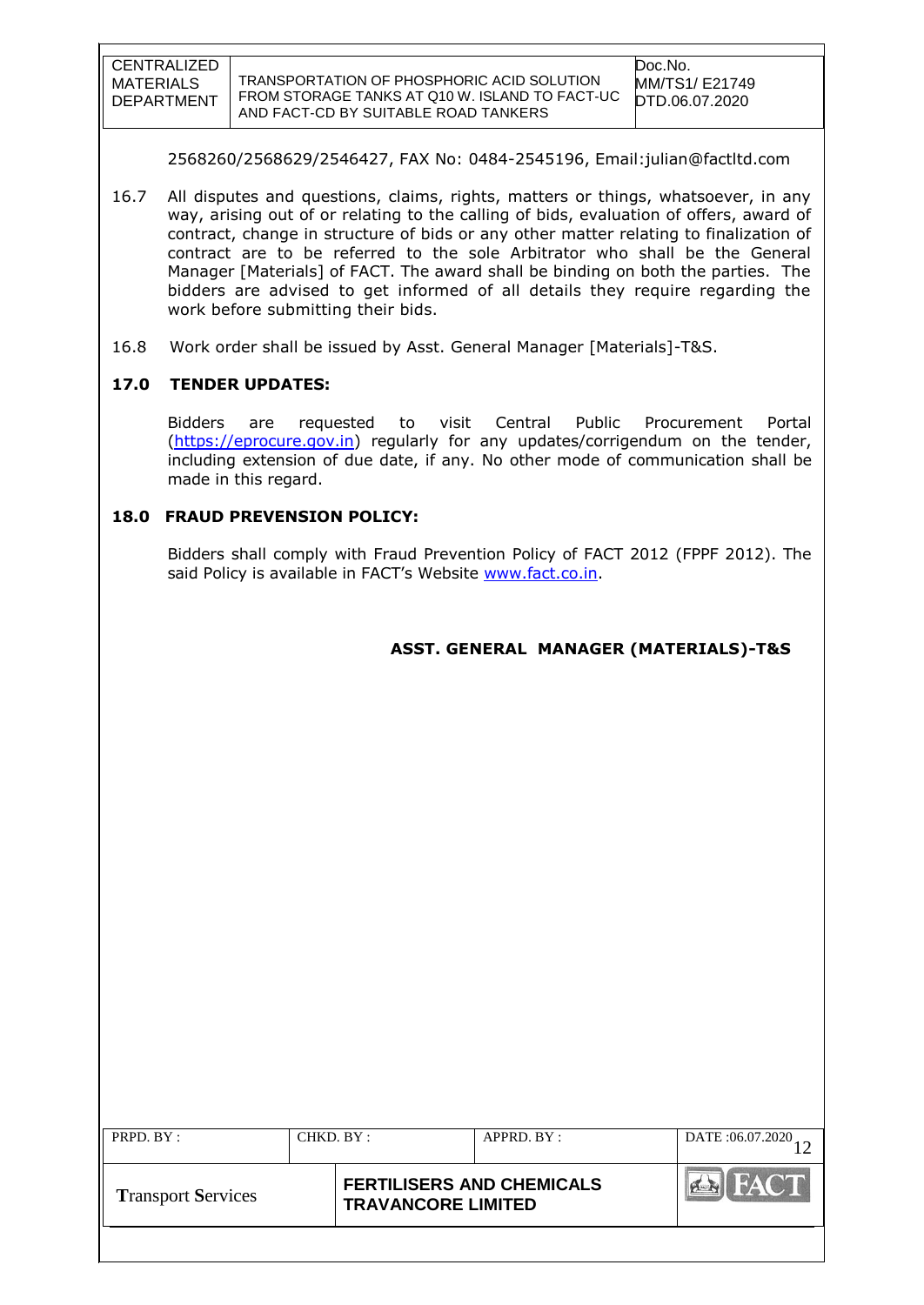| CENTRALIZED |
|-------------|
| MATERIALS   |
| DEPARTMENT  |

2568260/2568629/2546427, FAX No: 0484-2545196, Email:julian@factltd.com

- 16.7 All disputes and questions, claims, rights, matters or things, whatsoever, in any way, arising out of or relating to the calling of bids, evaluation of offers, award of contract, change in structure of bids or any other matter relating to finalization of contract are to be referred to the sole Arbitrator who shall be the General Manager [Materials] of FACT. The award shall be binding on both the parties. The bidders are advised to get informed of all details they require regarding the work before submitting their bids.
- 16.8 Work order shall be issued by Asst. General Manager [Materials]-T&S.

#### **17.0 TENDER UPDATES:**

Bidders are requested to visit Central Public Procurement Portal [\(https://eprocure.gov.in\)](https://eprocure.gov.in/) regularly for any updates/corrigendum on the tender, including extension of due date, if any. No other mode of communication shall be made in this regard.

## **18.0 FRAUD PREVENSION POLICY:**

Bidders shall comply with Fraud Prevention Policy of FACT 2012 (FPPF 2012). The said Policy is available in FACT's Website [www.fact.co.in.](http://www.fact.co.in/)

| ASST. GENERAL MANAGER (MATERIALS)-T&S |
|---------------------------------------|
|---------------------------------------|

| PRPD. BY:                 | CHKD. BY : |                                                               | APPRD. BY: | DATE: 06.07.2020           |
|---------------------------|------------|---------------------------------------------------------------|------------|----------------------------|
| <b>Transport Services</b> |            | <b>FERTILISERS AND CHEMICALS</b><br><b>TRAVANCORE LIMITED</b> |            | <b>FACT</b><br><b>PLAN</b> |
|                           |            |                                                               |            |                            |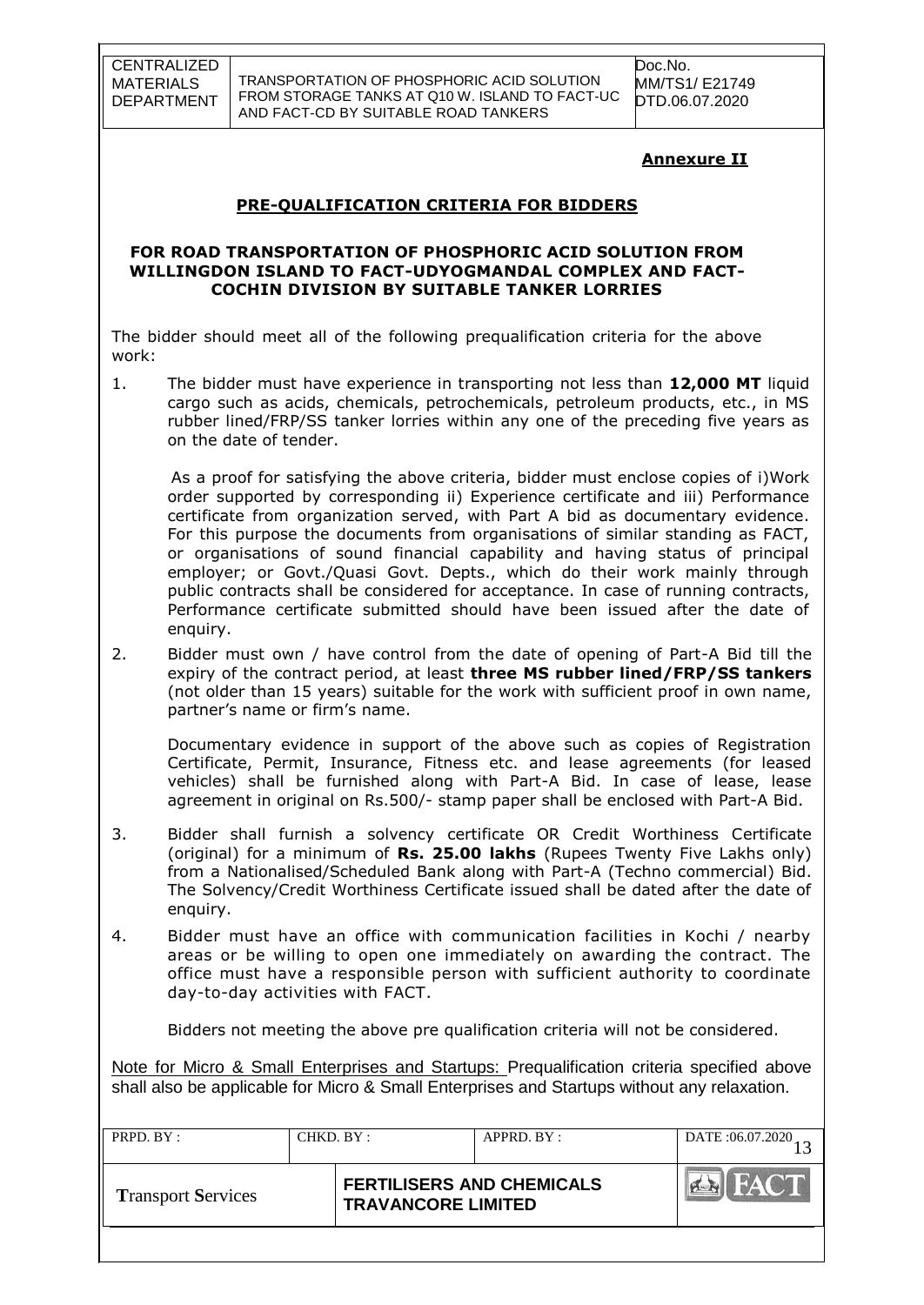TRANSPORTATION OF PHOSPHORIC ACID SOLUTION FROM STORAGE TANKS AT Q10 W. ISLAND TO FACT-UC AND FACT-CD BY SUITABLE ROAD TANKERS

Doc.No. MM/TS1/ E21749 DTD.06.07.2020

## **Annexure II**

## **PRE-QUALIFICATION CRITERIA FOR BIDDERS**

#### **FOR ROAD TRANSPORTATION OF PHOSPHORIC ACID SOLUTION FROM WILLINGDON ISLAND TO FACT-UDYOGMANDAL COMPLEX AND FACT-COCHIN DIVISION BY SUITABLE TANKER LORRIES**

The bidder should meet all of the following prequalification criteria for the above work:

1. The bidder must have experience in transporting not less than **12,000 MT** liquid cargo such as acids, chemicals, petrochemicals, petroleum products, etc., in MS rubber lined/FRP/SS tanker lorries within any one of the preceding five years as on the date of tender.

 As a proof for satisfying the above criteria, bidder must enclose copies of i)Work order supported by corresponding ii) Experience certificate and iii) Performance certificate from organization served, with Part A bid as documentary evidence. For this purpose the documents from organisations of similar standing as FACT, or organisations of sound financial capability and having status of principal employer; or Govt./Quasi Govt. Depts., which do their work mainly through public contracts shall be considered for acceptance. In case of running contracts, Performance certificate submitted should have been issued after the date of enquiry.

2. Bidder must own / have control from the date of opening of Part-A Bid till the expiry of the contract period, at least **three MS rubber lined/FRP/SS tankers** (not older than 15 years) suitable for the work with sufficient proof in own name, partner's name or firm's name.

Documentary evidence in support of the above such as copies of Registration Certificate, Permit, Insurance, Fitness etc. and lease agreements (for leased vehicles) shall be furnished along with Part-A Bid. In case of lease, lease agreement in original on Rs.500/- stamp paper shall be enclosed with Part-A Bid.

- 3. Bidder shall furnish a solvency certificate OR Credit Worthiness Certificate (original) for a minimum of **Rs. 25.00 lakhs** (Rupees Twenty Five Lakhs only) from a Nationalised/Scheduled Bank along with Part-A (Techno commercial) Bid. The Solvency/Credit Worthiness Certificate issued shall be dated after the date of enquiry.
- 4. Bidder must have an office with communication facilities in Kochi / nearby areas or be willing to open one immediately on awarding the contract. The office must have a responsible person with sufficient authority to coordinate day-to-day activities with FACT.

Bidders not meeting the above pre qualification criteria will not be considered.

Note for Micro & Small Enterprises and Startups: Prequalification criteria specified above shall also be applicable for Micro & Small Enterprises and Startups without any relaxation.

| PRPD. BY:                 | CHKD. BY: |                                                               | APPRD. BY: | DATE: 06.07.2020 |
|---------------------------|-----------|---------------------------------------------------------------|------------|------------------|
| <b>Transport Services</b> |           | <b>FERTILISERS AND CHEMICALS</b><br><b>TRAVANCORE LIMITED</b> |            | <b>FACT</b>      |
|                           |           |                                                               |            |                  |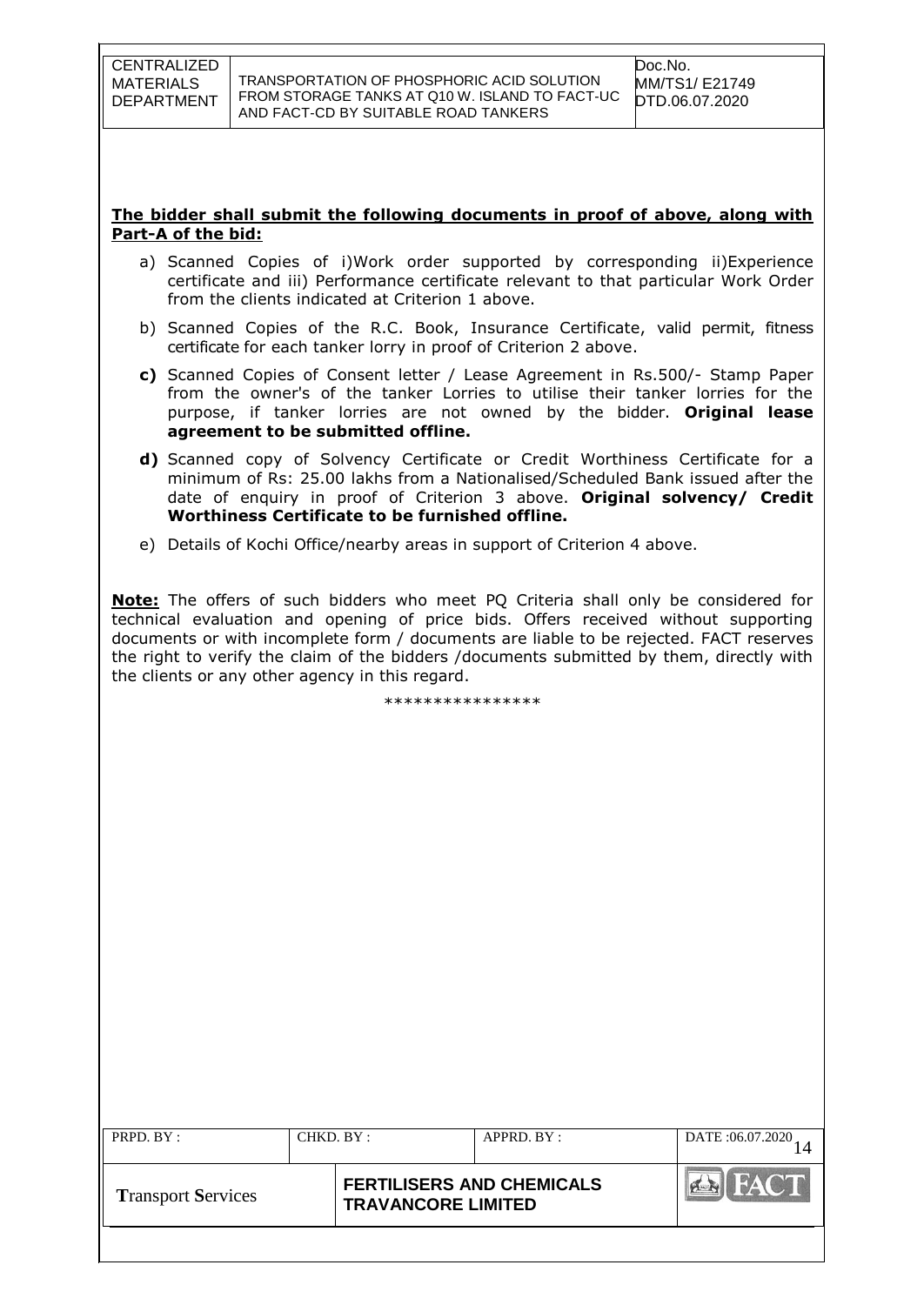#### **The bidder shall submit the following documents in proof of above, along with Part-A of the bid:**

- a) Scanned Copies of i)Work order supported by corresponding ii)Experience certificate and iii) Performance certificate relevant to that particular Work Order from the clients indicated at Criterion 1 above.
- b) Scanned Copies of the R.C. Book, Insurance Certificate, valid permit, fitness certificate for each tanker lorry in proof of Criterion 2 above.
- **c)** Scanned Copies of Consent letter / Lease Agreement in Rs.500/- Stamp Paper from the owner's of the tanker Lorries to utilise their tanker lorries for the purpose, if tanker lorries are not owned by the bidder. **Original lease agreement to be submitted offline.**
- **d)** Scanned copy of Solvency Certificate or Credit Worthiness Certificate for a minimum of Rs: 25.00 lakhs from a Nationalised/Scheduled Bank issued after the date of enquiry in proof of Criterion 3 above. **Original solvency/ Credit Worthiness Certificate to be furnished offline.**
- e) Details of Kochi Office/nearby areas in support of Criterion 4 above.

**Note:** The offers of such bidders who meet PQ Criteria shall only be considered for technical evaluation and opening of price bids. Offers received without supporting documents or with incomplete form / documents are liable to be rejected. FACT reserves the right to verify the claim of the bidders /documents submitted by them, directly with the clients or any other agency in this regard.

\*\*\*\*\*\*\*\*\*\*\*\*\*\*\*\*

| PRPD. BY :                | CHKD. BY : |                                                               | APPRD. BY: | DATE: 06.07.2020 |
|---------------------------|------------|---------------------------------------------------------------|------------|------------------|
| <b>Transport Services</b> |            | <b>FERTILISERS AND CHEMICALS</b><br><b>TRAVANCORE LIMITED</b> |            | HAC T            |
|                           |            |                                                               |            |                  |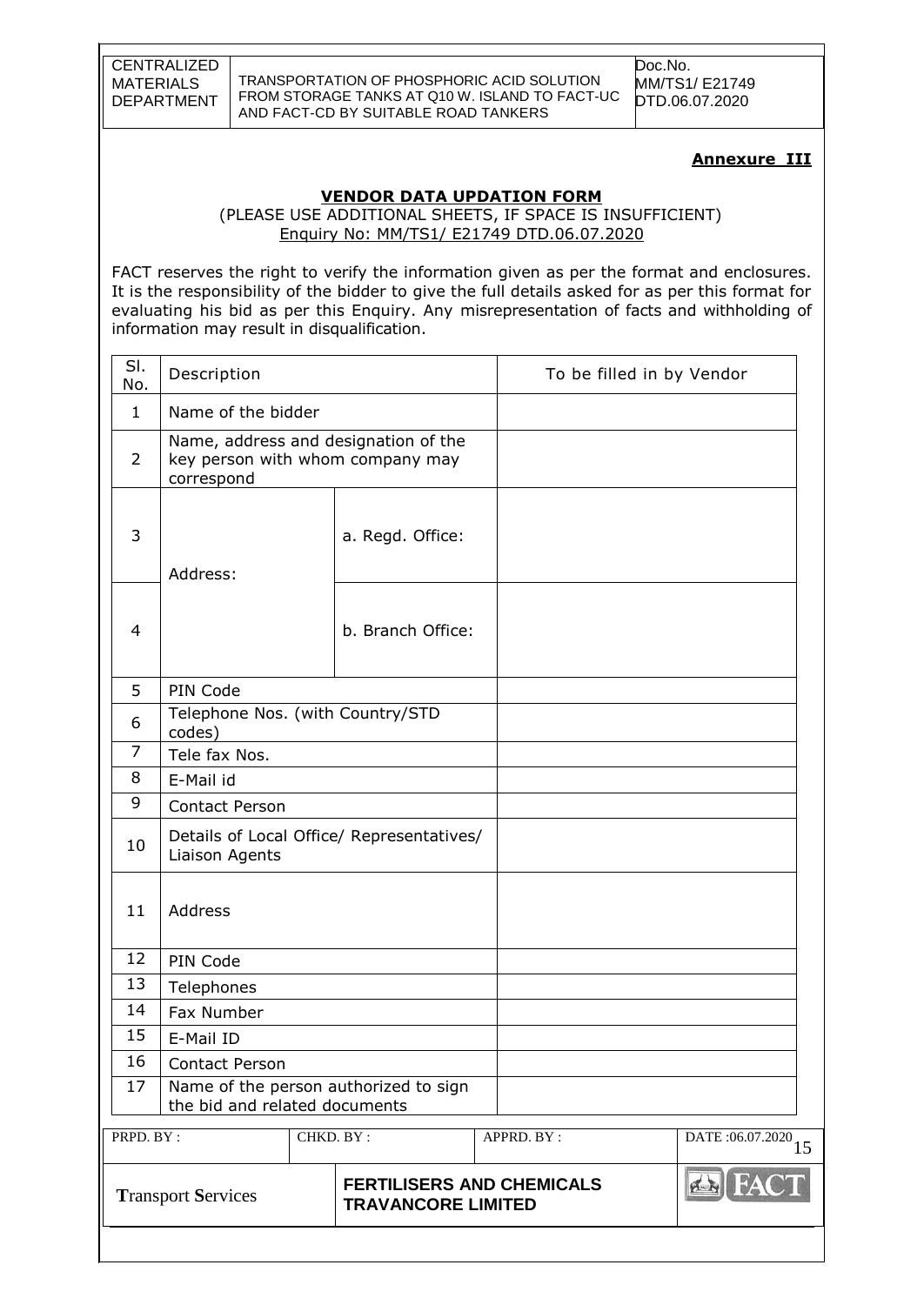TRANSPORTATION OF PHOSPHORIC ACID SOLUTION FROM STORAGE TANKS AT Q10 W. ISLAND TO FACT-UC AND FACT-CD BY SUITABLE ROAD TANKERS

Doc.No. MM/TS1/ E21749 DTD.06.07.2020

#### **Annexure III**

#### **VENDOR DATA UPDATION FORM**

 (PLEASE USE ADDITIONAL SHEETS, IF SPACE IS INSUFFICIENT) Enquiry No: MM/TS1/ E21749 DTD.06.07.2020

FACT reserves the right to verify the information given as per the format and enclosures. It is the responsibility of the bidder to give the full details asked for as per this format for evaluating his bid as per this Enquiry. Any misrepresentation of facts and withholding of information may result in disqualification.

| SI.<br>No.     | Description                                |           |                                                                          |                                  | To be filled in by Vendor        |
|----------------|--------------------------------------------|-----------|--------------------------------------------------------------------------|----------------------------------|----------------------------------|
| $\mathbf{1}$   | Name of the bidder                         |           |                                                                          |                                  |                                  |
| $\overline{2}$ | correspond                                 |           | Name, address and designation of the<br>key person with whom company may |                                  |                                  |
| 3              | Address:                                   |           | a. Regd. Office:                                                         |                                  |                                  |
| 4              |                                            |           | b. Branch Office:                                                        |                                  |                                  |
| 5              | PIN Code                                   |           |                                                                          |                                  |                                  |
| 6              | Telephone Nos. (with Country/STD<br>codes) |           |                                                                          |                                  |                                  |
| 7              | Tele fax Nos.                              |           |                                                                          |                                  |                                  |
| 8              | E-Mail id                                  |           |                                                                          |                                  |                                  |
| 9              | Contact Person                             |           |                                                                          |                                  |                                  |
| 10             | Liaison Agents                             |           | Details of Local Office/ Representatives/                                |                                  |                                  |
| 11             | Address                                    |           |                                                                          |                                  |                                  |
| 12             | PIN Code                                   |           |                                                                          |                                  |                                  |
| 13             | Telephones                                 |           |                                                                          |                                  |                                  |
| 14             | Fax Number                                 |           |                                                                          |                                  |                                  |
| 15             | E-Mail ID                                  |           |                                                                          |                                  |                                  |
| 16             | <b>Contact Person</b>                      |           |                                                                          |                                  |                                  |
| 17             | the bid and related documents              |           | Name of the person authorized to sign                                    |                                  |                                  |
| PRPD. BY:      |                                            | CHKD. BY: |                                                                          | APPRD. BY:                       | DATE: $06.07.2020$ <sub>15</sub> |
|                | <b>Transport Services</b>                  |           | <b>TRAVANCORE LIMITED</b>                                                | <b>FERTILISERS AND CHEMICALS</b> | <b>ERIFA</b>                     |
|                |                                            |           |                                                                          |                                  |                                  |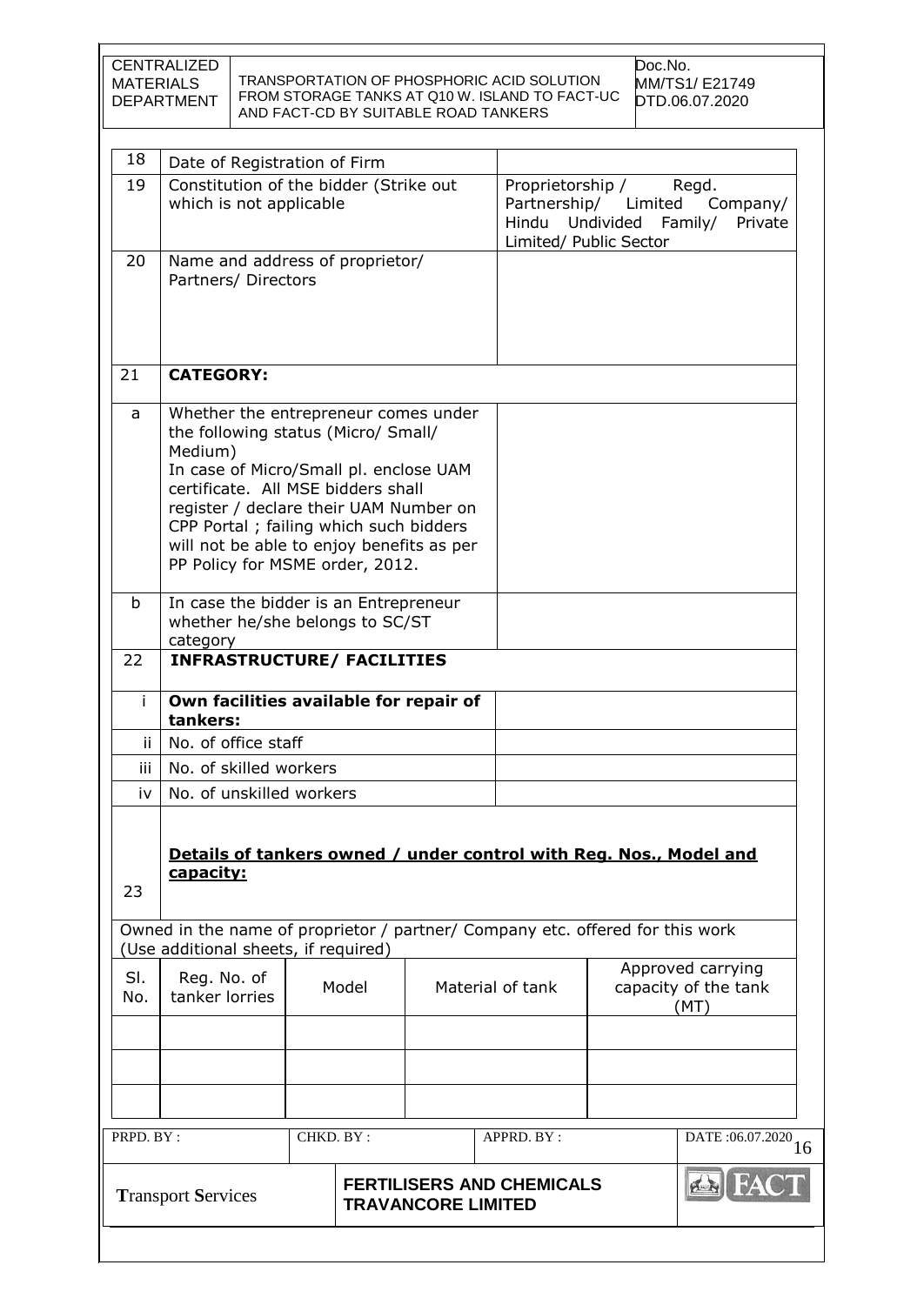| CENTRALIZED       | TRANSPORTATION OF PHOSPHORIC ACID SOLUTION     | Doc.No.        |
|-------------------|------------------------------------------------|----------------|
| MATERIALS         | FROM STORAGE TANKS AT Q10 W. ISLAND TO FACT-UC | MM/TS1/ E21749 |
| <b>DEPARTMENT</b> | AND FACT-CD BY SUITABLE ROAD TANKERS           | DTD.06.07.2020 |

| 18           | Date of Registration of Firm                                                                                                                                                                                                                                                                                                                |           |                                                     |                                                                                                                                                     |
|--------------|---------------------------------------------------------------------------------------------------------------------------------------------------------------------------------------------------------------------------------------------------------------------------------------------------------------------------------------------|-----------|-----------------------------------------------------|-----------------------------------------------------------------------------------------------------------------------------------------------------|
| 19           | Constitution of the bidder (Strike out<br>which is not applicable                                                                                                                                                                                                                                                                           |           | Proprietorship /<br>Hindu<br>Limited/ Public Sector | Regd.<br>Partnership/ Limited<br>Company/<br>Undivided<br>Family/<br>Private                                                                        |
| 20           | Name and address of proprietor/<br>Partners/ Directors                                                                                                                                                                                                                                                                                      |           |                                                     |                                                                                                                                                     |
| 21           | <b>CATEGORY:</b>                                                                                                                                                                                                                                                                                                                            |           |                                                     |                                                                                                                                                     |
| a            | Whether the entrepreneur comes under<br>the following status (Micro/ Small/<br>Medium)<br>In case of Micro/Small pl. enclose UAM<br>certificate. All MSE bidders shall<br>register / declare their UAM Number on<br>CPP Portal ; failing which such bidders<br>will not be able to enjoy benefits as per<br>PP Policy for MSME order, 2012. |           |                                                     |                                                                                                                                                     |
| $\mathsf{b}$ | In case the bidder is an Entrepreneur<br>whether he/she belongs to SC/ST<br>category                                                                                                                                                                                                                                                        |           |                                                     |                                                                                                                                                     |
| 22           | <b>INFRASTRUCTURE/ FACILITIES</b>                                                                                                                                                                                                                                                                                                           |           |                                                     |                                                                                                                                                     |
| Ť.           | Own facilities available for repair of                                                                                                                                                                                                                                                                                                      |           |                                                     |                                                                                                                                                     |
|              |                                                                                                                                                                                                                                                                                                                                             |           |                                                     |                                                                                                                                                     |
| jj.          | tankers:<br>No. of office staff                                                                                                                                                                                                                                                                                                             |           |                                                     |                                                                                                                                                     |
| iii.         | No. of skilled workers                                                                                                                                                                                                                                                                                                                      |           |                                                     |                                                                                                                                                     |
| iv           | No. of unskilled workers                                                                                                                                                                                                                                                                                                                    |           |                                                     |                                                                                                                                                     |
| 23           | capacity:                                                                                                                                                                                                                                                                                                                                   |           |                                                     | Details of tankers owned / under control with Reg. Nos., Model and<br>Owned in the name of proprietor / partner/ Company etc. offered for this work |
|              | (Use additional sheets, if required)                                                                                                                                                                                                                                                                                                        |           |                                                     |                                                                                                                                                     |
| SI.<br>No.   | Reg. No. of<br>tanker lorries                                                                                                                                                                                                                                                                                                               | Model     | Material of tank                                    | Approved carrying<br>capacity of the tank<br>(MT)                                                                                                   |
|              |                                                                                                                                                                                                                                                                                                                                             |           |                                                     |                                                                                                                                                     |
|              |                                                                                                                                                                                                                                                                                                                                             |           |                                                     |                                                                                                                                                     |
| PRPD. BY:    |                                                                                                                                                                                                                                                                                                                                             | CHKD. BY: | APPRD. BY:                                          | DATE:06.07.2020                                                                                                                                     |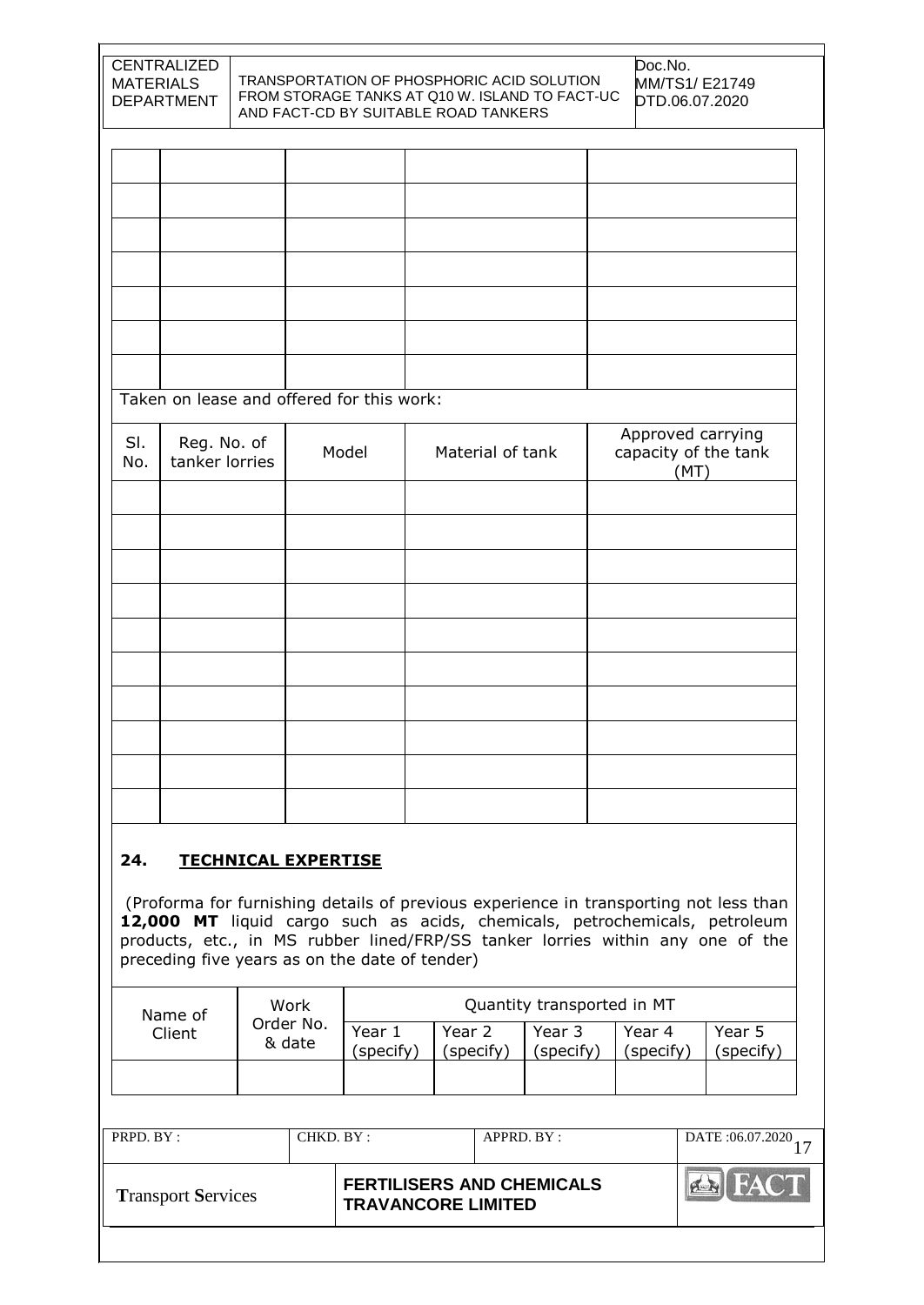| <b>MATERIALS</b>                                                                           | CENTRALIZED<br><b>DEPARTMENT</b> |                            |                     |                                                | TRANSPORTATION OF PHOSPHORIC ACID SOLUTION<br>FROM STORAGE TANKS AT Q10 W. ISLAND TO FACT-UC<br>AND FACT-CD BY SUITABLE ROAD TANKERS |                            | Doc.No.             | MM/TS1/E21749<br>DTD.06.07.2020                                                                                                                                                                                                                       |
|--------------------------------------------------------------------------------------------|----------------------------------|----------------------------|---------------------|------------------------------------------------|--------------------------------------------------------------------------------------------------------------------------------------|----------------------------|---------------------|-------------------------------------------------------------------------------------------------------------------------------------------------------------------------------------------------------------------------------------------------------|
|                                                                                            |                                  |                            |                     |                                                |                                                                                                                                      |                            |                     |                                                                                                                                                                                                                                                       |
|                                                                                            |                                  |                            |                     |                                                |                                                                                                                                      |                            |                     |                                                                                                                                                                                                                                                       |
|                                                                                            |                                  |                            |                     |                                                |                                                                                                                                      |                            |                     |                                                                                                                                                                                                                                                       |
|                                                                                            |                                  |                            |                     |                                                |                                                                                                                                      |                            |                     |                                                                                                                                                                                                                                                       |
|                                                                                            |                                  |                            |                     |                                                |                                                                                                                                      |                            |                     |                                                                                                                                                                                                                                                       |
|                                                                                            |                                  |                            |                     |                                                |                                                                                                                                      |                            |                     |                                                                                                                                                                                                                                                       |
|                                                                                            |                                  |                            |                     | Taken on lease and offered for this work:      |                                                                                                                                      |                            |                     |                                                                                                                                                                                                                                                       |
| SI.<br>No.                                                                                 | Reg. No. of<br>tanker lorries    |                            |                     | Model                                          | Material of tank                                                                                                                     |                            |                     | Approved carrying<br>capacity of the tank<br>(MT)                                                                                                                                                                                                     |
|                                                                                            |                                  |                            |                     |                                                |                                                                                                                                      |                            |                     |                                                                                                                                                                                                                                                       |
|                                                                                            |                                  |                            |                     |                                                |                                                                                                                                      |                            |                     |                                                                                                                                                                                                                                                       |
|                                                                                            |                                  |                            |                     |                                                |                                                                                                                                      |                            |                     |                                                                                                                                                                                                                                                       |
|                                                                                            |                                  |                            |                     |                                                |                                                                                                                                      |                            |                     |                                                                                                                                                                                                                                                       |
|                                                                                            |                                  |                            |                     |                                                |                                                                                                                                      |                            |                     |                                                                                                                                                                                                                                                       |
|                                                                                            |                                  |                            |                     |                                                |                                                                                                                                      |                            |                     |                                                                                                                                                                                                                                                       |
|                                                                                            |                                  |                            |                     |                                                |                                                                                                                                      |                            |                     |                                                                                                                                                                                                                                                       |
|                                                                                            |                                  |                            |                     |                                                |                                                                                                                                      |                            |                     |                                                                                                                                                                                                                                                       |
|                                                                                            |                                  |                            |                     |                                                |                                                                                                                                      |                            |                     |                                                                                                                                                                                                                                                       |
| 24.                                                                                        |                                  | <b>TECHNICAL EXPERTISE</b> |                     |                                                |                                                                                                                                      |                            |                     |                                                                                                                                                                                                                                                       |
|                                                                                            |                                  |                            |                     | preceding five years as on the date of tender) |                                                                                                                                      |                            |                     | (Proforma for furnishing details of previous experience in transporting not less than<br>12,000 MT liquid cargo such as acids, chemicals, petrochemicals, petroleum<br>products, etc., in MS rubber lined/FRP/SS tanker lorries within any one of the |
| Work<br>Name of                                                                            |                                  |                            |                     |                                                |                                                                                                                                      | Quantity transported in MT |                     |                                                                                                                                                                                                                                                       |
|                                                                                            | Client                           |                            | Order No.<br>& date | Year 1<br>(specify)                            | Year 2<br>(specify)                                                                                                                  | Year 3<br>(specify)        | Year 4<br>(specify) | Year 5<br>(specify)                                                                                                                                                                                                                                   |
|                                                                                            |                                  |                            |                     |                                                |                                                                                                                                      |                            |                     |                                                                                                                                                                                                                                                       |
| PRPD. BY:                                                                                  |                                  |                            | CHKD. BY:           |                                                | APPRD. BY:                                                                                                                           |                            |                     | DATE: 06.07.2020<br>17                                                                                                                                                                                                                                |
| <b>FERTILISERS AND CHEMICALS</b><br><b>Transport Services</b><br><b>TRAVANCORE LIMITED</b> |                                  |                            |                     |                                                |                                                                                                                                      |                            |                     |                                                                                                                                                                                                                                                       |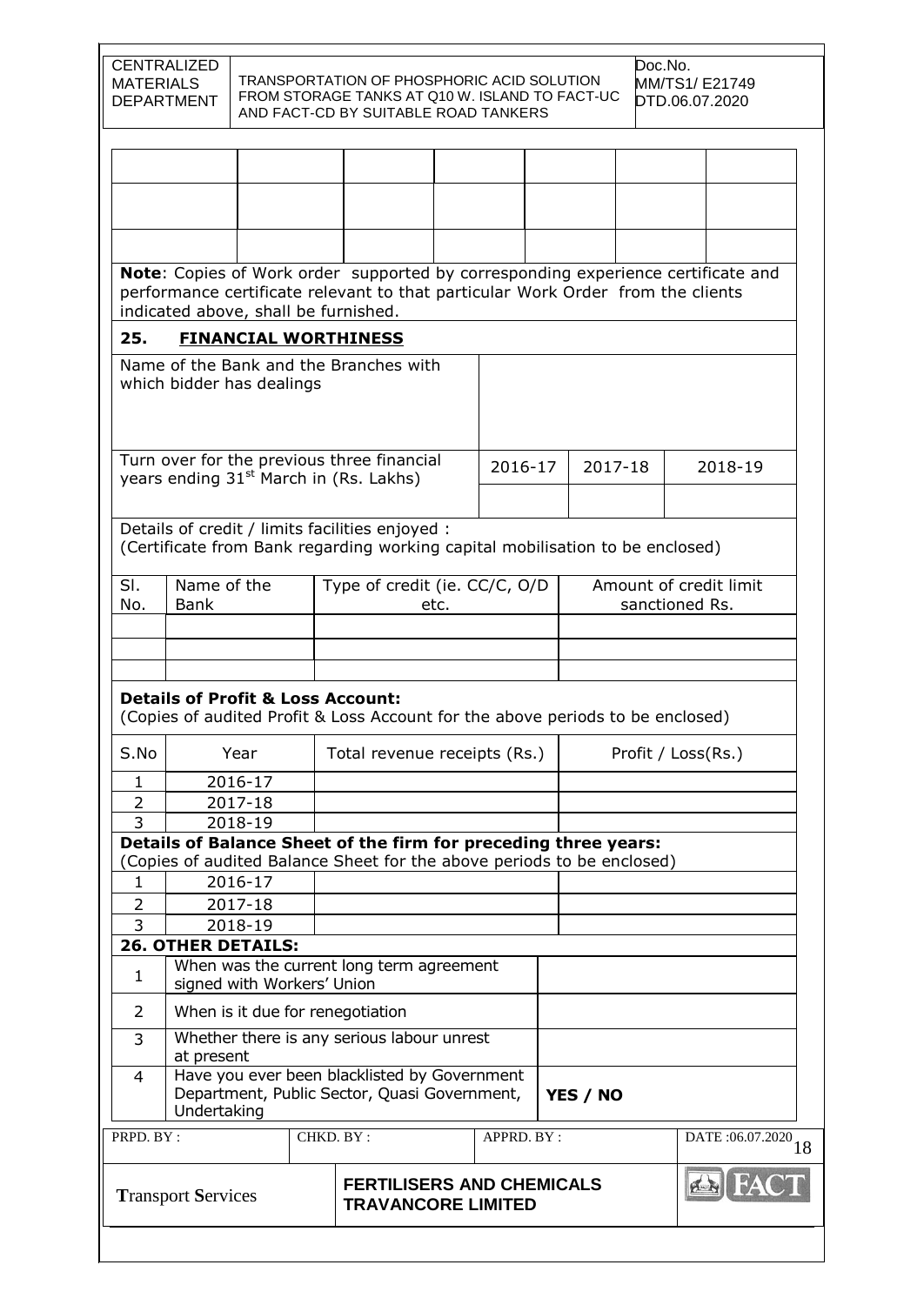| <b>CENTRALIZED</b><br>Doc.No.<br>TRANSPORTATION OF PHOSPHORIC ACID SOLUTION<br><b>MATERIALS</b><br>MM/TS1/E21749<br>FROM STORAGE TANKS AT Q10 W. ISLAND TO FACT-UC<br><b>DEPARTMENT</b><br>DTD.06.07.2020<br>AND FACT-CD BY SUITABLE ROAD TANKERS |                                                                                                                         |         |           |                                                                                                                                  |      |            |         |  |                                                                                  |
|---------------------------------------------------------------------------------------------------------------------------------------------------------------------------------------------------------------------------------------------------|-------------------------------------------------------------------------------------------------------------------------|---------|-----------|----------------------------------------------------------------------------------------------------------------------------------|------|------------|---------|--|----------------------------------------------------------------------------------|
|                                                                                                                                                                                                                                                   |                                                                                                                         |         |           |                                                                                                                                  |      |            |         |  |                                                                                  |
|                                                                                                                                                                                                                                                   |                                                                                                                         |         |           |                                                                                                                                  |      |            |         |  |                                                                                  |
|                                                                                                                                                                                                                                                   |                                                                                                                         |         |           |                                                                                                                                  |      |            |         |  |                                                                                  |
|                                                                                                                                                                                                                                                   |                                                                                                                         |         |           |                                                                                                                                  |      |            |         |  |                                                                                  |
|                                                                                                                                                                                                                                                   |                                                                                                                         |         |           |                                                                                                                                  |      |            |         |  |                                                                                  |
|                                                                                                                                                                                                                                                   | indicated above, shall be furnished.                                                                                    |         |           | performance certificate relevant to that particular Work Order from the clients                                                  |      |            |         |  | Note: Copies of Work order supported by corresponding experience certificate and |
| 25.                                                                                                                                                                                                                                               |                                                                                                                         |         |           | <b>FINANCIAL WORTHINESS</b>                                                                                                      |      |            |         |  |                                                                                  |
|                                                                                                                                                                                                                                                   | which bidder has dealings                                                                                               |         |           | Name of the Bank and the Branches with                                                                                           |      |            |         |  |                                                                                  |
|                                                                                                                                                                                                                                                   |                                                                                                                         |         |           | Turn over for the previous three financial                                                                                       |      | 2016-17    | 2017-18 |  | 2018-19                                                                          |
|                                                                                                                                                                                                                                                   |                                                                                                                         |         |           | years ending 31 <sup>st</sup> March in (Rs. Lakhs)                                                                               |      |            |         |  |                                                                                  |
|                                                                                                                                                                                                                                                   |                                                                                                                         |         |           |                                                                                                                                  |      |            |         |  |                                                                                  |
|                                                                                                                                                                                                                                                   |                                                                                                                         |         |           | Details of credit / limits facilities enjoyed :<br>(Certificate from Bank regarding working capital mobilisation to be enclosed) |      |            |         |  |                                                                                  |
| SI.                                                                                                                                                                                                                                               | Name of the                                                                                                             |         |           | Type of credit (ie. CC/C, O/D                                                                                                    |      |            |         |  | Amount of credit limit                                                           |
| No.                                                                                                                                                                                                                                               | <b>Bank</b>                                                                                                             |         |           |                                                                                                                                  | etc. |            |         |  | sanctioned Rs.                                                                   |
|                                                                                                                                                                                                                                                   |                                                                                                                         |         |           |                                                                                                                                  |      |            |         |  |                                                                                  |
|                                                                                                                                                                                                                                                   |                                                                                                                         |         |           |                                                                                                                                  |      |            |         |  |                                                                                  |
|                                                                                                                                                                                                                                                   |                                                                                                                         |         |           | <b>Details of Profit &amp; Loss Account:</b><br>(Copies of audited Profit & Loss Account for the above periods to be enclosed)   |      |            |         |  |                                                                                  |
| S.No                                                                                                                                                                                                                                              |                                                                                                                         | Year    |           | Total revenue receipts (Rs.)                                                                                                     |      |            |         |  | Profit / Loss(Rs.)                                                               |
| $\mathbf{1}$                                                                                                                                                                                                                                      |                                                                                                                         | 2016-17 |           |                                                                                                                                  |      |            |         |  |                                                                                  |
| $\overline{2}$                                                                                                                                                                                                                                    |                                                                                                                         | 2017-18 |           |                                                                                                                                  |      |            |         |  |                                                                                  |
| 3                                                                                                                                                                                                                                                 |                                                                                                                         | 2018-19 |           |                                                                                                                                  |      |            |         |  |                                                                                  |
|                                                                                                                                                                                                                                                   |                                                                                                                         |         |           | Details of Balance Sheet of the firm for preceding three years:                                                                  |      |            |         |  |                                                                                  |
|                                                                                                                                                                                                                                                   |                                                                                                                         |         |           | (Copies of audited Balance Sheet for the above periods to be enclosed)                                                           |      |            |         |  |                                                                                  |
| 1                                                                                                                                                                                                                                                 |                                                                                                                         | 2016-17 |           |                                                                                                                                  |      |            |         |  |                                                                                  |
| $\overline{2}$                                                                                                                                                                                                                                    |                                                                                                                         | 2017-18 |           |                                                                                                                                  |      |            |         |  |                                                                                  |
| 3                                                                                                                                                                                                                                                 |                                                                                                                         | 2018-19 |           |                                                                                                                                  |      |            |         |  |                                                                                  |
| $\mathbf{1}$                                                                                                                                                                                                                                      | <b>26. OTHER DETAILS:</b>                                                                                               |         |           | When was the current long term agreement                                                                                         |      |            |         |  |                                                                                  |
| 2                                                                                                                                                                                                                                                 | signed with Workers' Union<br>When is it due for renegotiation                                                          |         |           |                                                                                                                                  |      |            |         |  |                                                                                  |
| 3                                                                                                                                                                                                                                                 | Whether there is any serious labour unrest<br>at present                                                                |         |           |                                                                                                                                  |      |            |         |  |                                                                                  |
| 4                                                                                                                                                                                                                                                 | Have you ever been blacklisted by Government<br>Department, Public Sector, Quasi Government,<br>YES / NO<br>Undertaking |         |           |                                                                                                                                  |      |            |         |  |                                                                                  |
| PRPD. BY:                                                                                                                                                                                                                                         |                                                                                                                         |         | CHKD. BY: |                                                                                                                                  |      | APPRD. BY: |         |  | DATE: 06.07.2020 18                                                              |
| <b>FERTILISERS AND CHEMICALS</b><br><b>Transport Services</b><br><b>TRAVANCORE LIMITED</b>                                                                                                                                                        |                                                                                                                         |         |           |                                                                                                                                  |      |            |         |  |                                                                                  |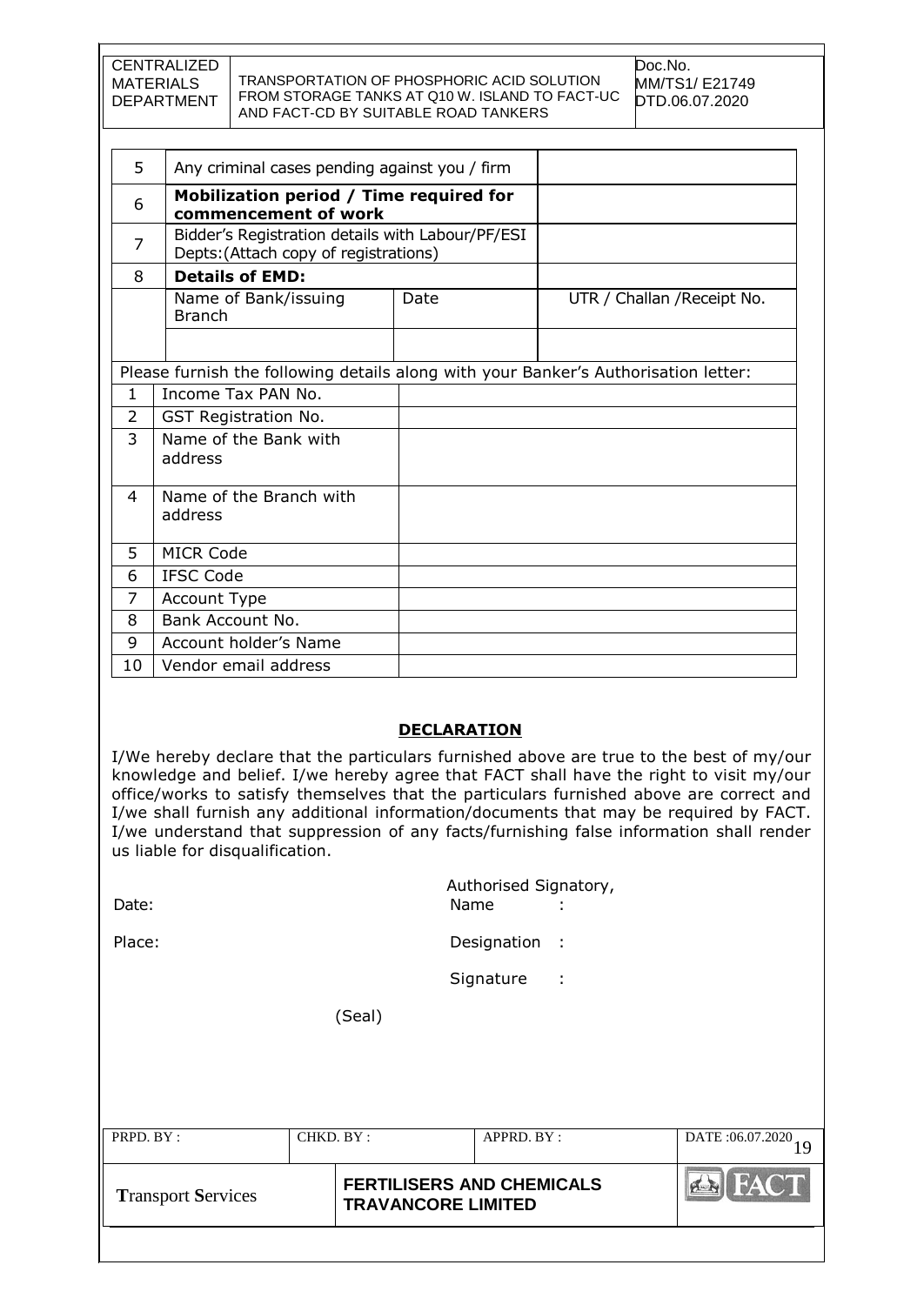| I CENTRALIZED. |                                                | Doc.No.               |
|----------------|------------------------------------------------|-----------------------|
| MATERIALS      | TRANSPORTATION OF PHOSPHORIC ACID SOLUTION     | <b>MM/TS1/ E21749</b> |
| DEPARTMENT     | FROM STORAGE TANKS AT Q10 W. ISLAND TO FACT-UC | DTD 06.07.2020        |
|                | AND FACT-CD BY SUITABLE ROAD TANKERS           |                       |

| 5              | Any criminal cases pending against you / firm                                             |      |                             |  |  |  |
|----------------|-------------------------------------------------------------------------------------------|------|-----------------------------|--|--|--|
| 6              | Mobilization period / Time required for<br>commencement of work                           |      |                             |  |  |  |
| 7              | Bidder's Registration details with Labour/PF/ESI<br>Depts: (Attach copy of registrations) |      |                             |  |  |  |
| 8              | <b>Details of EMD:</b>                                                                    |      |                             |  |  |  |
|                | Name of Bank/issuing<br><b>Branch</b>                                                     | Date | UTR / Challan / Receipt No. |  |  |  |
|                |                                                                                           |      |                             |  |  |  |
|                | Please furnish the following details along with your Banker's Authorisation letter:       |      |                             |  |  |  |
| $\mathbf{1}$   | Income Tax PAN No.                                                                        |      |                             |  |  |  |
| $\overline{2}$ | <b>GST Registration No.</b>                                                               |      |                             |  |  |  |
| 3              | Name of the Bank with<br>address                                                          |      |                             |  |  |  |
|                |                                                                                           |      |                             |  |  |  |
| 4              | Name of the Branch with                                                                   |      |                             |  |  |  |
|                | address                                                                                   |      |                             |  |  |  |
| 5              | <b>MICR Code</b>                                                                          |      |                             |  |  |  |
| 6              | <b>IFSC Code</b>                                                                          |      |                             |  |  |  |
| 7              | <b>Account Type</b>                                                                       |      |                             |  |  |  |
| 8              | Bank Account No.                                                                          |      |                             |  |  |  |
| 9              | Account holder's Name                                                                     |      |                             |  |  |  |
| 10             | Vendor email address                                                                      |      |                             |  |  |  |

#### **DECLARATION**

I/We hereby declare that the particulars furnished above are true to the best of my/our knowledge and belief. I/we hereby agree that FACT shall have the right to visit my/our office/works to satisfy themselves that the particulars furnished above are correct and I/we shall furnish any additional information/documents that may be required by FACT. I/we understand that suppression of any facts/furnishing false information shall render us liable for disqualification.

| <b>Transport Services</b> |           | <b>FERTILISERS AND CHEMICALS</b><br><b>TRAVANCORE LIMITED</b> | <b>FACT</b>           |
|---------------------------|-----------|---------------------------------------------------------------|-----------------------|
| PRPD. BY:                 | CHKD. BY: | APPRD. BY :                                                   | DATE:06.07.2020<br>19 |
|                           | (Seal)    |                                                               |                       |
|                           |           | Signature<br>÷                                                |                       |
| Place:                    |           | Designation<br>- 1                                            |                       |
| Date:                     |           | Authorised Signatory,<br>Name<br>÷                            |                       |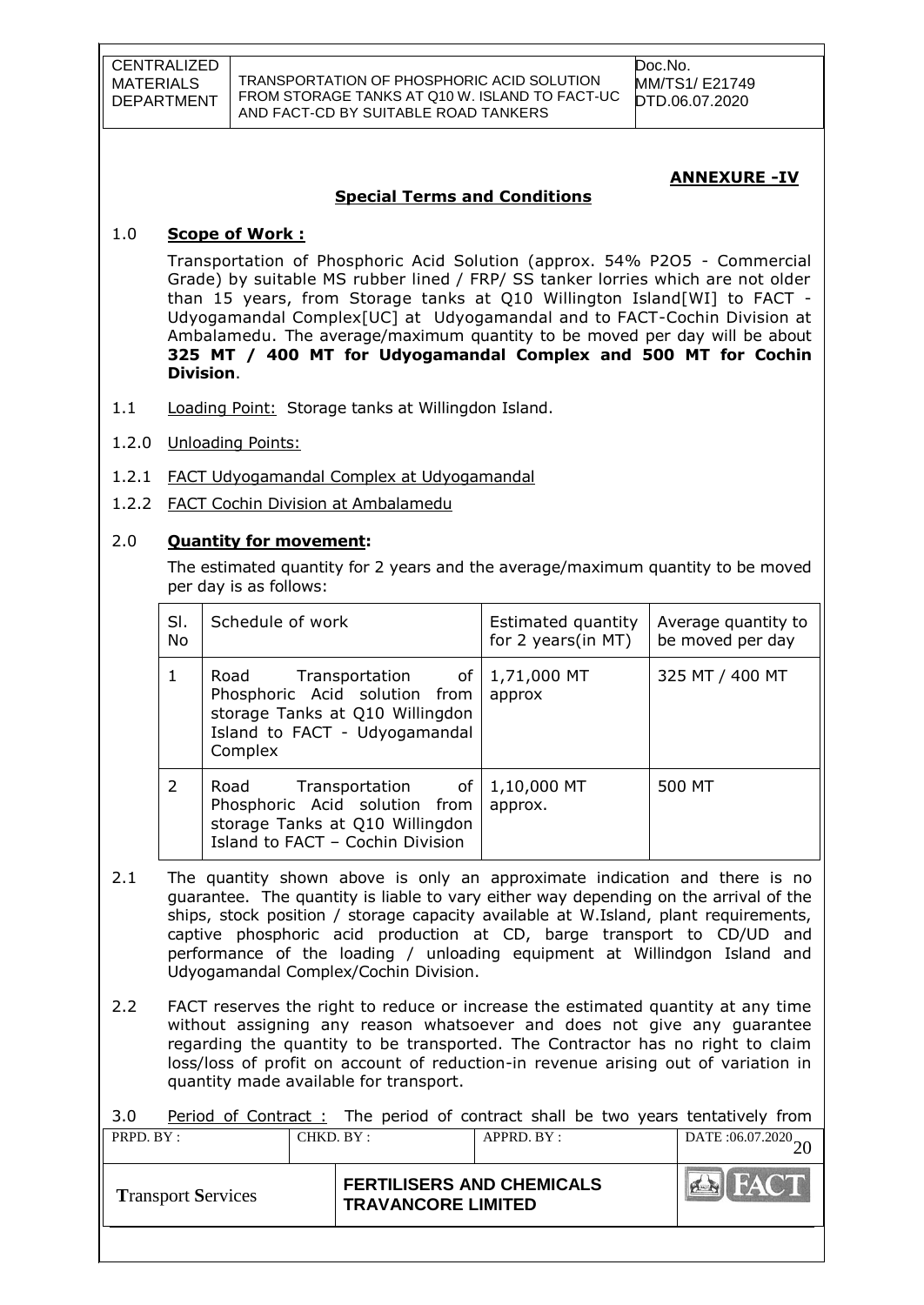Doc.No. MM/TS1/ E21749 DTD.06.07.2020

#### **ANNEXURE -IV**

#### **Special Terms and Conditions**

#### 1.0 **Scope of Work :**

Transportation of Phosphoric Acid Solution (approx. 54% P2O5 - Commercial Grade) by suitable MS rubber lined / FRP/ SS tanker lorries which are not older than 15 years, from Storage tanks at Q10 Willington Island[WI] to FACT - Udyogamandal Complex[UC] at Udyogamandal and to FACT-Cochin Division at Ambalamedu. The average/maximum quantity to be moved per day will be about **325 MT / 400 MT for Udyogamandal Complex and 500 MT for Cochin Division**.

- 1.1 Loading Point: Storage tanks at Willingdon Island.
- 1.2.0 Unloading Points:
- 1.2.1 FACT Udyogamandal Complex at Udyogamandal
- 1.2.2 FACT Cochin Division at Ambalamedu

#### 2.0 **Quantity for movement:**

The estimated quantity for 2 years and the average/maximum quantity to be moved per day is as follows:

| SI.<br>No | Schedule of work                                                                                                                          | Estimated quantity<br>for 2 years(in MT) | Average quantity to<br>be moved per day |
|-----------|-------------------------------------------------------------------------------------------------------------------------------------------|------------------------------------------|-----------------------------------------|
| 1         | Transportation of<br>Road<br>Phosphoric Acid solution from<br>storage Tanks at Q10 Willingdon<br>Island to FACT - Udyogamandal<br>Complex | 1,71,000 MT<br>approx                    | 325 MT / 400 MT                         |
| 2         | Road Transportation of<br>Phosphoric Acid solution from<br>storage Tanks at Q10 Willingdon<br>Island to FACT - Cochin Division            | 1,10,000 MT<br>approx.                   | 500 MT                                  |

- 2.1 The quantity shown above is only an approximate indication and there is no guarantee. The quantity is liable to vary either way depending on the arrival of the ships, stock position / storage capacity available at W.Island, plant requirements, captive phosphoric acid production at CD, barge transport to CD/UD and performance of the loading / unloading equipment at Willindgon Island and Udyogamandal Complex/Cochin Division.
- 2.2 FACT reserves the right to reduce or increase the estimated quantity at any time without assigning any reason whatsoever and does not give any guarantee regarding the quantity to be transported. The Contractor has no right to claim loss/loss of profit on account of reduction-in revenue arising out of variation in quantity made available for transport.

PRPD. BY : CHKD. BY : APPRD. BY : DATE :06.07.2020 3.0 Period of Contract: The period of contract shall be two years tentatively from

| 1 IV D. D.I.              |  | <u> CIIILD, DI, .</u>                                         | $P_{1111}$ .00.07.2020 |
|---------------------------|--|---------------------------------------------------------------|------------------------|
| <b>Transport Services</b> |  | <b>FERTILISERS AND CHEMICALS</b><br><b>TRAVANCORE LIMITED</b> | FACT                   |
|                           |  |                                                               |                        |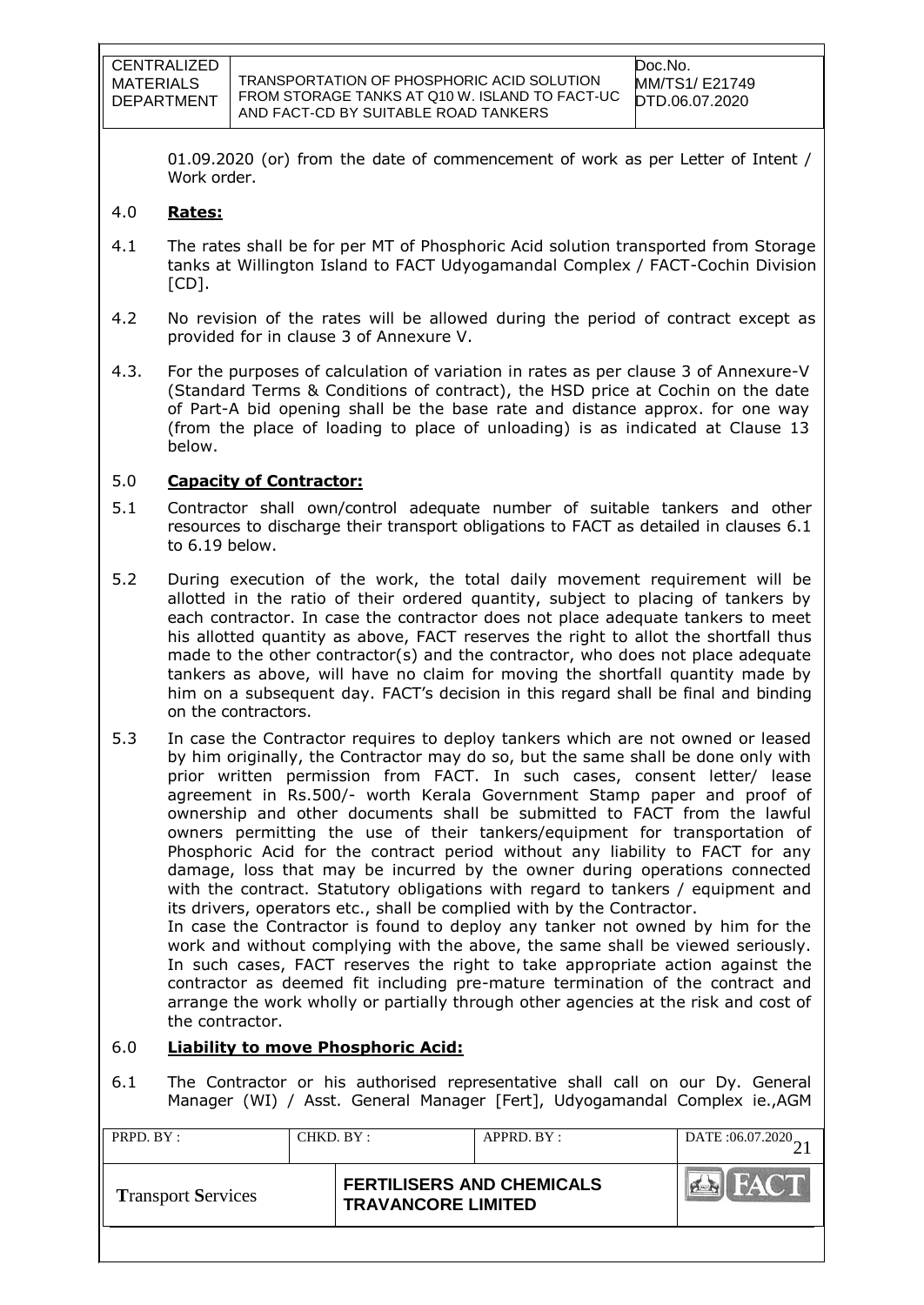01.09.2020 (or) from the date of commencement of work as per Letter of Intent / Work order.

## 4.0 **Rates:**

- 4.1 The rates shall be for per MT of Phosphoric Acid solution transported from Storage tanks at Willington Island to FACT Udyogamandal Complex / FACT-Cochin Division  $[CD]$ .
- 4.2 No revision of the rates will be allowed during the period of contract except as provided for in clause 3 of Annexure V.
- 4.3. For the purposes of calculation of variation in rates as per clause 3 of Annexure-V (Standard Terms & Conditions of contract), the HSD price at Cochin on the date of Part-A bid opening shall be the base rate and distance approx. for one way (from the place of loading to place of unloading) is as indicated at Clause 13 below.

# 5.0 **Capacity of Contractor:**

- 5.1 Contractor shall own/control adequate number of suitable tankers and other resources to discharge their transport obligations to FACT as detailed in clauses 6.1 to 6.19 below.
- 5.2 During execution of the work, the total daily movement requirement will be allotted in the ratio of their ordered quantity, subject to placing of tankers by each contractor. In case the contractor does not place adequate tankers to meet his allotted quantity as above, FACT reserves the right to allot the shortfall thus made to the other contractor(s) and the contractor, who does not place adequate tankers as above, will have no claim for moving the shortfall quantity made by him on a subsequent day. FACT's decision in this regard shall be final and binding on the contractors.
- 5.3 In case the Contractor requires to deploy tankers which are not owned or leased by him originally, the Contractor may do so, but the same shall be done only with prior written permission from FACT. In such cases, consent letter/ lease agreement in Rs.500/- worth Kerala Government Stamp paper and proof of ownership and other documents shall be submitted to FACT from the lawful owners permitting the use of their tankers/equipment for transportation of Phosphoric Acid for the contract period without any liability to FACT for any damage, loss that may be incurred by the owner during operations connected with the contract. Statutory obligations with regard to tankers / equipment and its drivers, operators etc., shall be complied with by the Contractor. In case the Contractor is found to deploy any tanker not owned by him for the work and without complying with the above, the same shall be viewed seriously. In such cases, FACT reserves the right to take appropriate action against the contractor as deemed fit including pre-mature termination of the contract and arrange the work wholly or partially through other agencies at the risk and cost of

# 6.0 **Liability to move Phosphoric Acid:**

the contractor.

6.1 The Contractor or his authorised representative shall call on our Dy. General Manager (WI) / Asst. General Manager [Fert], Udyogamandal Complex ie.,AGM

| PRPD. BY :                |  | CHKD. BY:<br>APPRD. BY:                                       |  | DATE: 06.07.2020 |
|---------------------------|--|---------------------------------------------------------------|--|------------------|
| <b>Transport Services</b> |  | <b>FERTILISERS AND CHEMICALS</b><br><b>TRAVANCORE LIMITED</b> |  | HAC T            |
|                           |  |                                                               |  |                  |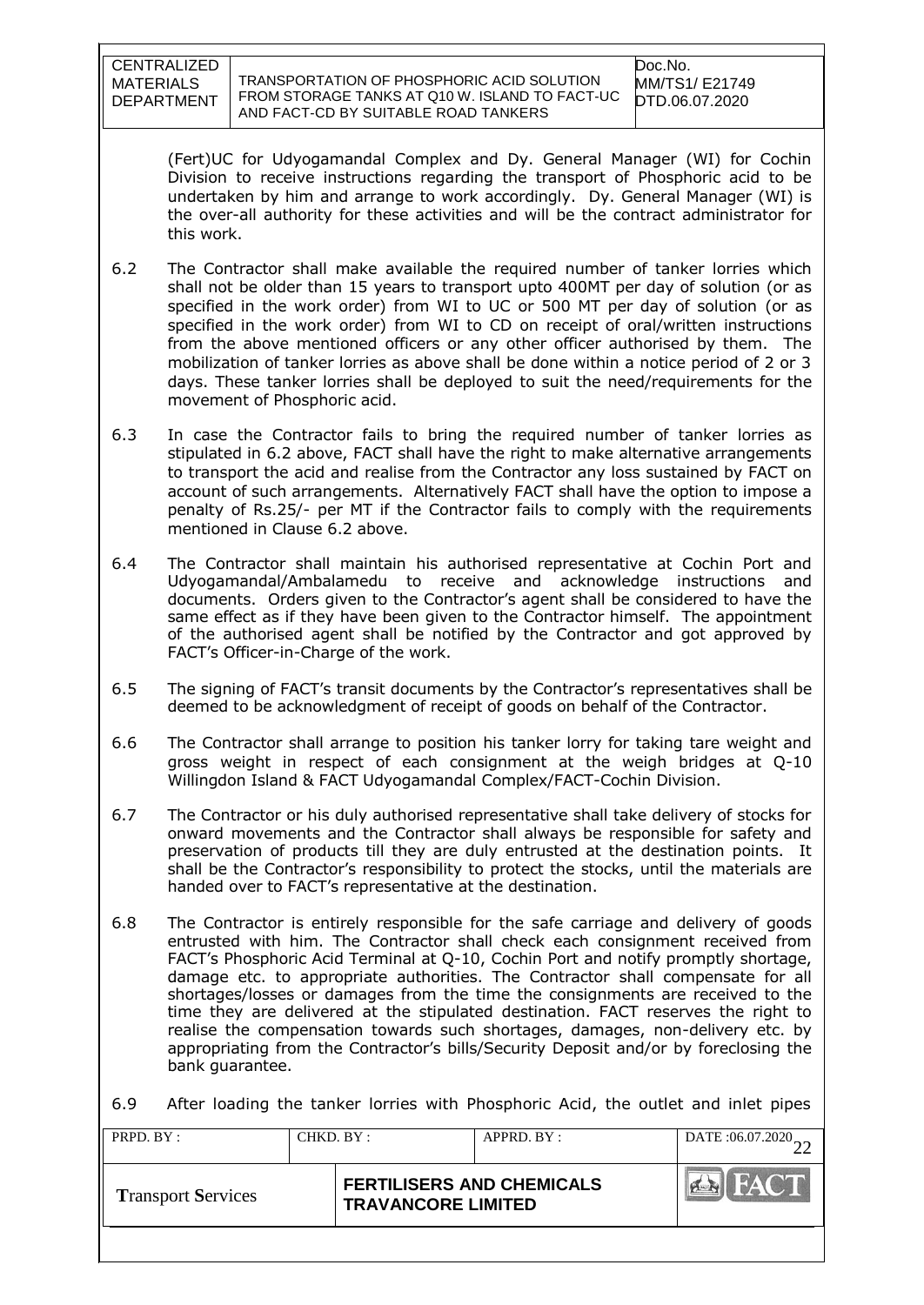TRANSPORTATION OF PHOSPHORIC ACID SOLUTION FROM STORAGE TANKS AT Q10 W. ISLAND TO FACT-UC AND FACT-CD BY SUITABLE ROAD TANKERS

Doc.No. MM/TS1/ E21749 DTD.06.07.2020

(Fert)UC for Udyogamandal Complex and Dy. General Manager (WI) for Cochin Division to receive instructions regarding the transport of Phosphoric acid to be undertaken by him and arrange to work accordingly. Dy. General Manager (WI) is the over-all authority for these activities and will be the contract administrator for this work.

- 6.2 The Contractor shall make available the required number of tanker lorries which shall not be older than 15 years to transport upto 400MT per day of solution (or as specified in the work order) from WI to UC or 500 MT per day of solution (or as specified in the work order) from WI to CD on receipt of oral/written instructions from the above mentioned officers or any other officer authorised by them. The mobilization of tanker lorries as above shall be done within a notice period of 2 or 3 days. These tanker lorries shall be deployed to suit the need/requirements for the movement of Phosphoric acid.
- 6.3 In case the Contractor fails to bring the required number of tanker lorries as stipulated in 6.2 above, FACT shall have the right to make alternative arrangements to transport the acid and realise from the Contractor any loss sustained by FACT on account of such arrangements. Alternatively FACT shall have the option to impose a penalty of Rs.25/- per MT if the Contractor fails to comply with the requirements mentioned in Clause 6.2 above.
- 6.4 The Contractor shall maintain his authorised representative at Cochin Port and Udyogamandal/Ambalamedu to receive and acknowledge instructions and documents. Orders given to the Contractor"s agent shall be considered to have the same effect as if they have been given to the Contractor himself. The appointment of the authorised agent shall be notified by the Contractor and got approved by FACT"s Officer-in-Charge of the work.
- 6.5 The signing of FACT"s transit documents by the Contractor"s representatives shall be deemed to be acknowledgment of receipt of goods on behalf of the Contractor.
- 6.6 The Contractor shall arrange to position his tanker lorry for taking tare weight and gross weight in respect of each consignment at the weigh bridges at Q-10 Willingdon Island & FACT Udyogamandal Complex/FACT-Cochin Division.
- 6.7 The Contractor or his duly authorised representative shall take delivery of stocks for onward movements and the Contractor shall always be responsible for safety and preservation of products till they are duly entrusted at the destination points. It shall be the Contractor"s responsibility to protect the stocks, until the materials are handed over to FACT"s representative at the destination.
- 6.8 The Contractor is entirely responsible for the safe carriage and delivery of goods entrusted with him. The Contractor shall check each consignment received from FACT"s Phosphoric Acid Terminal at Q-10, Cochin Port and notify promptly shortage, damage etc. to appropriate authorities. The Contractor shall compensate for all shortages/losses or damages from the time the consignments are received to the time they are delivered at the stipulated destination. FACT reserves the right to realise the compensation towards such shortages, damages, non-delivery etc. by appropriating from the Contractor"s bills/Security Deposit and/or by foreclosing the bank guarantee.

6.9 After loading the tanker lorries with Phosphoric Acid, the outlet and inlet pipes

| PRPD. BY:                 |  | APPRD. BY:<br>CHKD. BY:                                       |  | DATE:06.07.2020           |
|---------------------------|--|---------------------------------------------------------------|--|---------------------------|
| <b>Transport Services</b> |  | <b>FERTILISERS AND CHEMICALS</b><br><b>TRAVANCORE LIMITED</b> |  | <b>FACT</b><br>$\sqrt{4}$ |
|                           |  |                                                               |  |                           |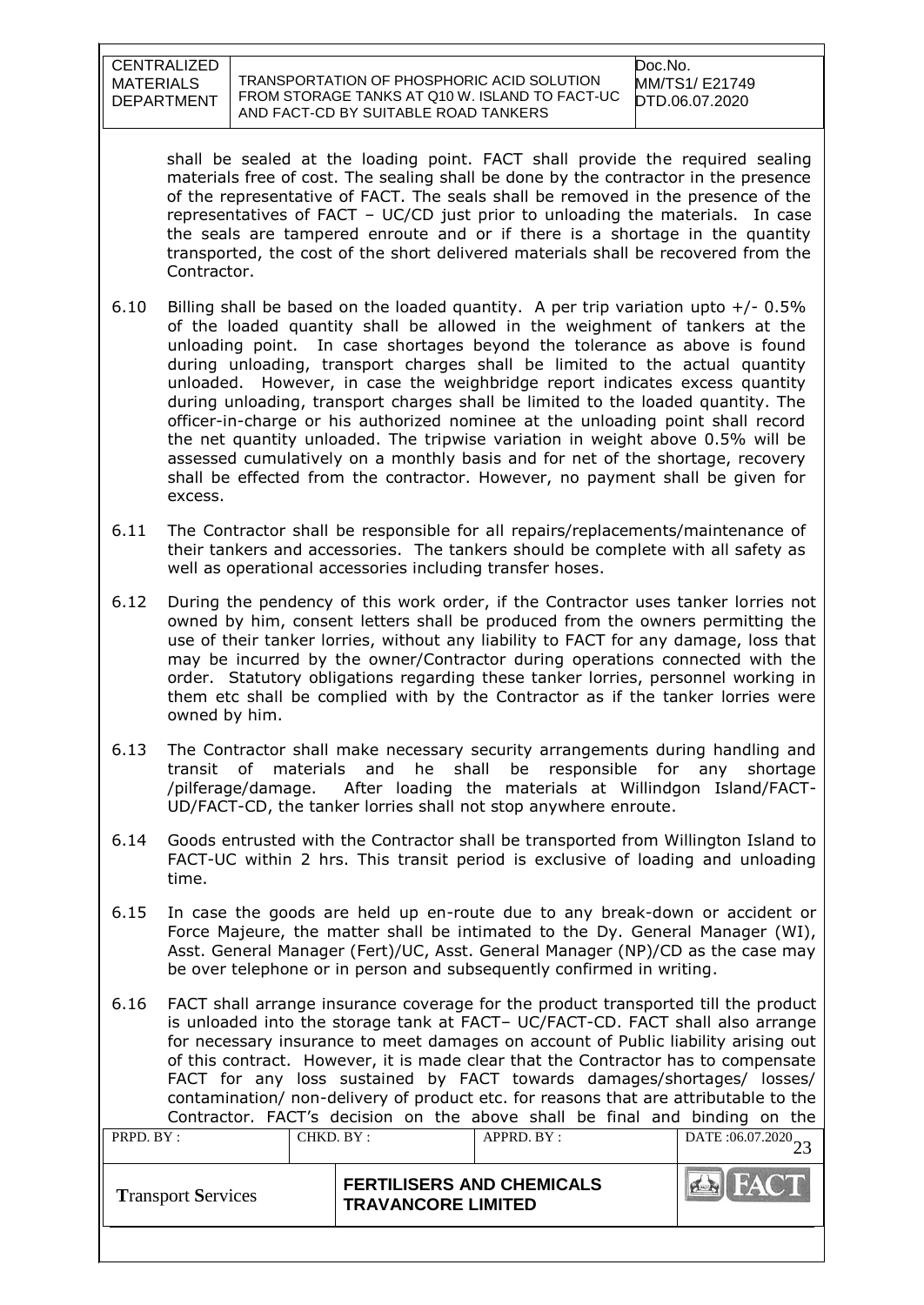TRANSPORTATION OF PHOSPHORIC ACID SOLUTION FROM STORAGE TANKS AT Q10 W. ISLAND TO FACT-UC AND FACT-CD BY SUITABLE ROAD TANKERS

shall be sealed at the loading point. FACT shall provide the required sealing materials free of cost. The sealing shall be done by the contractor in the presence of the representative of FACT. The seals shall be removed in the presence of the representatives of FACT – UC/CD just prior to unloading the materials. In case the seals are tampered enroute and or if there is a shortage in the quantity transported, the cost of the short delivered materials shall be recovered from the Contractor.

- 6.10 Billing shall be based on the loaded quantity. A per trip variation upto  $+/$  0.5% of the loaded quantity shall be allowed in the weighment of tankers at the unloading point. In case shortages beyond the tolerance as above is found during unloading, transport charges shall be limited to the actual quantity unloaded. However, in case the weighbridge report indicates excess quantity during unloading, transport charges shall be limited to the loaded quantity. The officer-in-charge or his authorized nominee at the unloading point shall record the net quantity unloaded. The tripwise variation in weight above 0.5% will be assessed cumulatively on a monthly basis and for net of the shortage, recovery shall be effected from the contractor. However, no payment shall be given for excess.
- 6.11 The Contractor shall be responsible for all repairs/replacements/maintenance of their tankers and accessories. The tankers should be complete with all safety as well as operational accessories including transfer hoses.
- 6.12 During the pendency of this work order, if the Contractor uses tanker lorries not owned by him, consent letters shall be produced from the owners permitting the use of their tanker lorries, without any liability to FACT for any damage, loss that may be incurred by the owner/Contractor during operations connected with the order. Statutory obligations regarding these tanker lorries, personnel working in them etc shall be complied with by the Contractor as if the tanker lorries were owned by him.
- 6.13 The Contractor shall make necessary security arrangements during handling and transit of materials and he shall be responsible for any shortage /pilferage/damage. After loading the materials at Willindgon Island/FACT-UD/FACT-CD, the tanker lorries shall not stop anywhere enroute.
- 6.14 Goods entrusted with the Contractor shall be transported from Willington Island to FACT-UC within 2 hrs. This transit period is exclusive of loading and unloading time.
- 6.15 In case the goods are held up en-route due to any break-down or accident or Force Majeure, the matter shall be intimated to the Dy. General Manager (WI), Asst. General Manager (Fert)/UC, Asst. General Manager (NP)/CD as the case may be over telephone or in person and subsequently confirmed in writing.
- 6.16 FACT shall arrange insurance coverage for the product transported till the product is unloaded into the storage tank at FACT– UC/FACT-CD. FACT shall also arrange for necessary insurance to meet damages on account of Public liability arising out of this contract. However, it is made clear that the Contractor has to compensate FACT for any loss sustained by FACT towards damages/shortages/ losses/ contamination/ non-delivery of product etc. for reasons that are attributable to the Contractor. FACT"s decision on the above shall be final and binding on the PRPD. BY : CHKD. BY : APPRD. BY : DATE :06.07.2020 23 **Transport Services FERTILISERS AND CHEMICALS**  $6 - 5$ **TRAVANCORE LIMITED**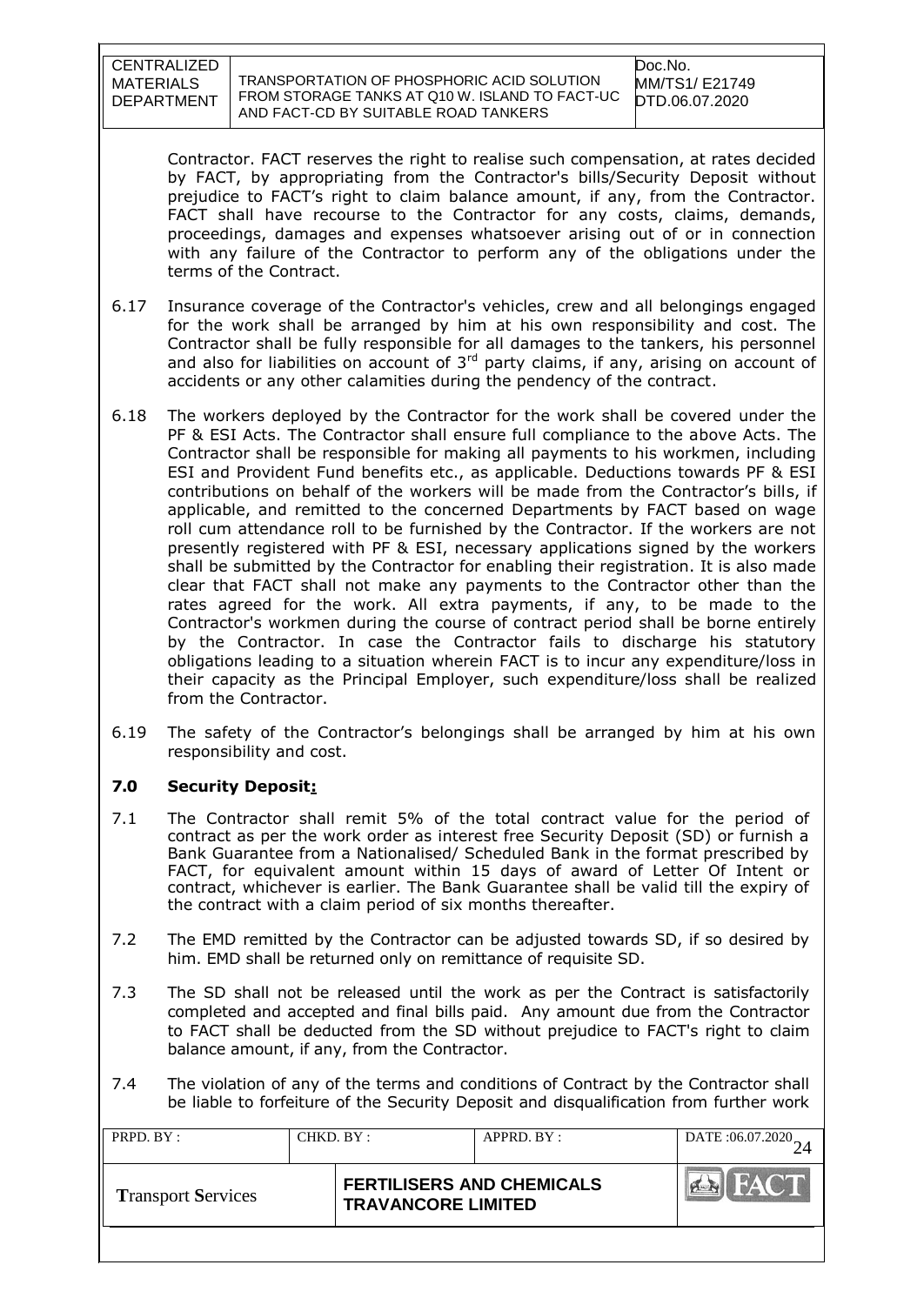TRANSPORTATION OF PHOSPHORIC ACID SOLUTION FROM STORAGE TANKS AT Q10 W. ISLAND TO FACT-UC AND FACT-CD BY SUITABLE ROAD TANKERS

Doc.No. MM/TS1/ E21749 DTD.06.07.2020

Contractor. FACT reserves the right to realise such compensation, at rates decided by FACT, by appropriating from the Contractor's bills/Security Deposit without prejudice to FACT"s right to claim balance amount, if any, from the Contractor. FACT shall have recourse to the Contractor for any costs, claims, demands, proceedings, damages and expenses whatsoever arising out of or in connection with any failure of the Contractor to perform any of the obligations under the terms of the Contract.

- 6.17 Insurance coverage of the Contractor's vehicles, crew and all belongings engaged for the work shall be arranged by him at his own responsibility and cost. The Contractor shall be fully responsible for all damages to the tankers, his personnel and also for liabilities on account of  $3<sup>rd</sup>$  party claims, if any, arising on account of accidents or any other calamities during the pendency of the contract.
- 6.18 The workers deployed by the Contractor for the work shall be covered under the PF & ESI Acts. The Contractor shall ensure full compliance to the above Acts. The Contractor shall be responsible for making all payments to his workmen, including ESI and Provident Fund benefits etc., as applicable. Deductions towards PF & ESI contributions on behalf of the workers will be made from the Contractor"s bills, if applicable, and remitted to the concerned Departments by FACT based on wage roll cum attendance roll to be furnished by the Contractor. If the workers are not presently registered with PF & ESI, necessary applications signed by the workers shall be submitted by the Contractor for enabling their registration. It is also made clear that FACT shall not make any payments to the Contractor other than the rates agreed for the work. All extra payments, if any, to be made to the Contractor's workmen during the course of contract period shall be borne entirely by the Contractor. In case the Contractor fails to discharge his statutory obligations leading to a situation wherein FACT is to incur any expenditure/loss in their capacity as the Principal Employer, such expenditure/loss shall be realized from the Contractor.
- 6.19 The safety of the Contractor"s belongings shall be arranged by him at his own responsibility and cost.

# **7.0 Security Deposit:**

- 7.1 The Contractor shall remit 5% of the total contract value for the period of contract as per the work order as interest free Security Deposit (SD) or furnish a Bank Guarantee from a Nationalised/ Scheduled Bank in the format prescribed by FACT, for equivalent amount within 15 days of award of Letter Of Intent or contract, whichever is earlier. The Bank Guarantee shall be valid till the expiry of the contract with a claim period of six months thereafter.
- 7.2 The EMD remitted by the Contractor can be adjusted towards SD, if so desired by him. EMD shall be returned only on remittance of requisite SD.
- 7.3 The SD shall not be released until the work as per the Contract is satisfactorily completed and accepted and final bills paid. Any amount due from the Contractor to FACT shall be deducted from the SD without prejudice to FACT's right to claim balance amount, if any, from the Contractor.
- 7.4 The violation of any of the terms and conditions of Contract by the Contractor shall be liable to forfeiture of the Security Deposit and disqualification from further work

| PRPD. BY:                 |  | CHKD. BY:<br>APPRD. BY:                                       |  | DATE: 06.07.2020          |
|---------------------------|--|---------------------------------------------------------------|--|---------------------------|
| <b>Transport Services</b> |  | <b>FERTILISERS AND CHEMICALS</b><br><b>TRAVANCORE LIMITED</b> |  | <b>FACT</b><br><b>PER</b> |
|                           |  |                                                               |  |                           |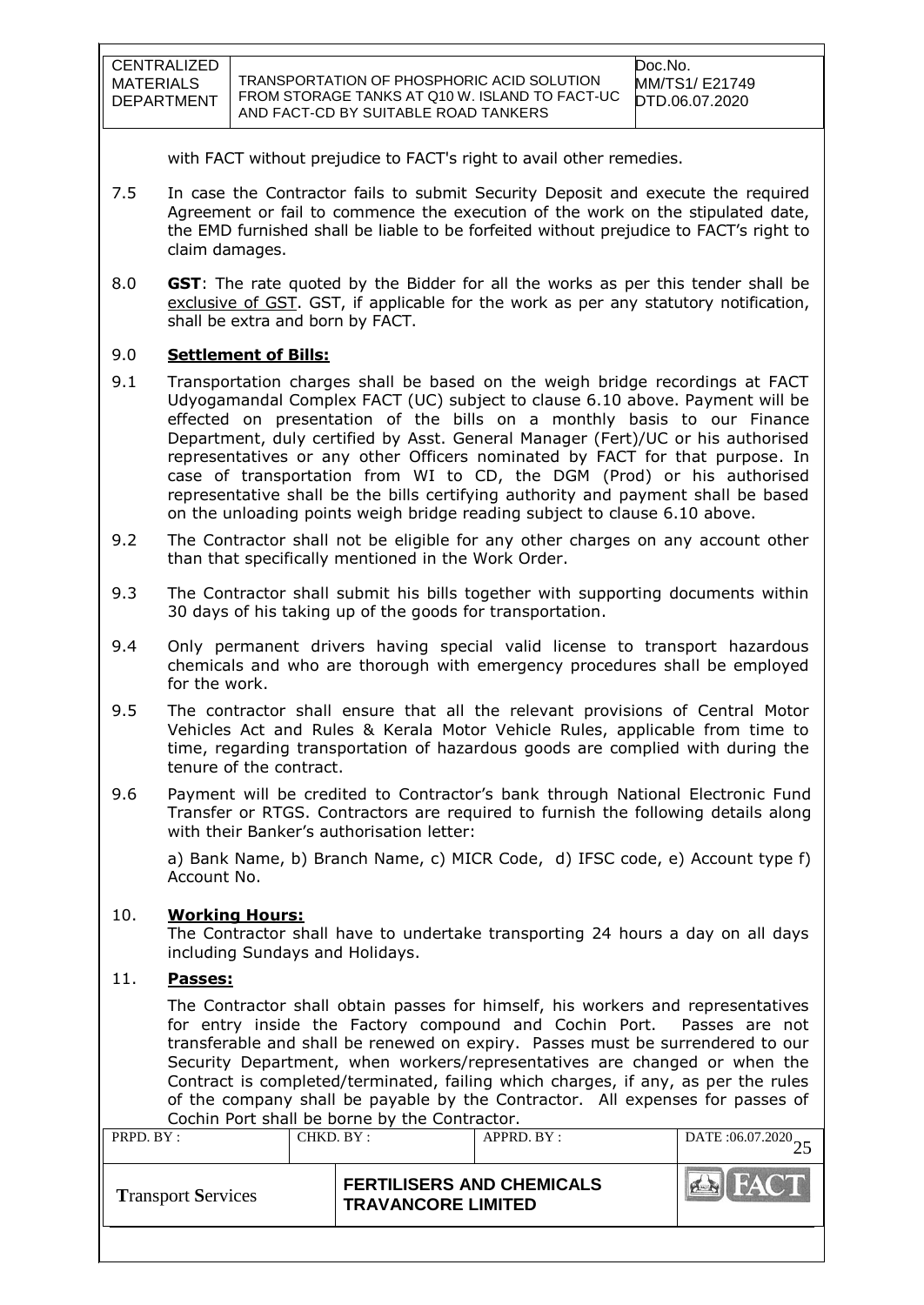| CENTRALIZED                    |                                                                                                                                      | Doc.No.                          |
|--------------------------------|--------------------------------------------------------------------------------------------------------------------------------------|----------------------------------|
| MATERIALS<br><b>DEPARTMENT</b> | TRANSPORTATION OF PHOSPHORIC ACID SOLUTION<br>FROM STORAGE TANKS AT Q10 W. ISLAND TO FACT-UC<br>AND FACT-CD BY SUITABLE ROAD TANKERS | MM/TS1/ E21749<br>DTD.06.07.2020 |

with FACT without prejudice to FACT's right to avail other remedies.

- 7.5 In case the Contractor fails to submit Security Deposit and execute the required Agreement or fail to commence the execution of the work on the stipulated date, the EMD furnished shall be liable to be forfeited without prejudice to FACT"s right to claim damages.
- 8.0 **GST**: The rate quoted by the Bidder for all the works as per this tender shall be exclusive of GST. GST, if applicable for the work as per any statutory notification, shall be extra and born by FACT.

## 9.0 **Settlement of Bills:**

- 9.1 Transportation charges shall be based on the weigh bridge recordings at FACT Udyogamandal Complex FACT (UC) subject to clause 6.10 above. Payment will be effected on presentation of the bills on a monthly basis to our Finance Department, duly certified by Asst. General Manager (Fert)/UC or his authorised representatives or any other Officers nominated by FACT for that purpose. In case of transportation from WI to CD, the DGM (Prod) or his authorised representative shall be the bills certifying authority and payment shall be based on the unloading points weigh bridge reading subject to clause 6.10 above.
- 9.2 The Contractor shall not be eligible for any other charges on any account other than that specifically mentioned in the Work Order.
- 9.3 The Contractor shall submit his bills together with supporting documents within 30 days of his taking up of the goods for transportation.
- 9.4 Only permanent drivers having special valid license to transport hazardous chemicals and who are thorough with emergency procedures shall be employed for the work.
- 9.5 The contractor shall ensure that all the relevant provisions of Central Motor Vehicles Act and Rules & Kerala Motor Vehicle Rules, applicable from time to time, regarding transportation of hazardous goods are complied with during the tenure of the contract.
- 9.6 Payment will be credited to Contractor's bank through National Electronic Fund Transfer or RTGS. Contractors are required to furnish the following details along with their Banker's authorisation letter:

a) Bank Name, b) Branch Name, c) MICR Code, d) IFSC code, e) Account type f) Account No.

#### 10. **Working Hours:**

The Contractor shall have to undertake transporting 24 hours a day on all days including Sundays and Holidays.

# 11. **Passes:**

The Contractor shall obtain passes for himself, his workers and representatives for entry inside the Factory compound and Cochin Port. Passes are not transferable and shall be renewed on expiry. Passes must be surrendered to our Security Department, when workers/representatives are changed or when the Contract is completed/terminated, failing which charges, if any, as per the rules of the company shall be payable by the Contractor. All expenses for passes of Cochin Port shall be borne by the Contractor.

| PRPD. BY:                 |  | CHKD. BY:<br>APPRD. BY:                                       |  | DATE: 06.07.2020 |
|---------------------------|--|---------------------------------------------------------------|--|------------------|
| <b>Transport Services</b> |  | <b>FERTILISERS AND CHEMICALS</b><br><b>TRAVANCORE LIMITED</b> |  |                  |
|                           |  |                                                               |  |                  |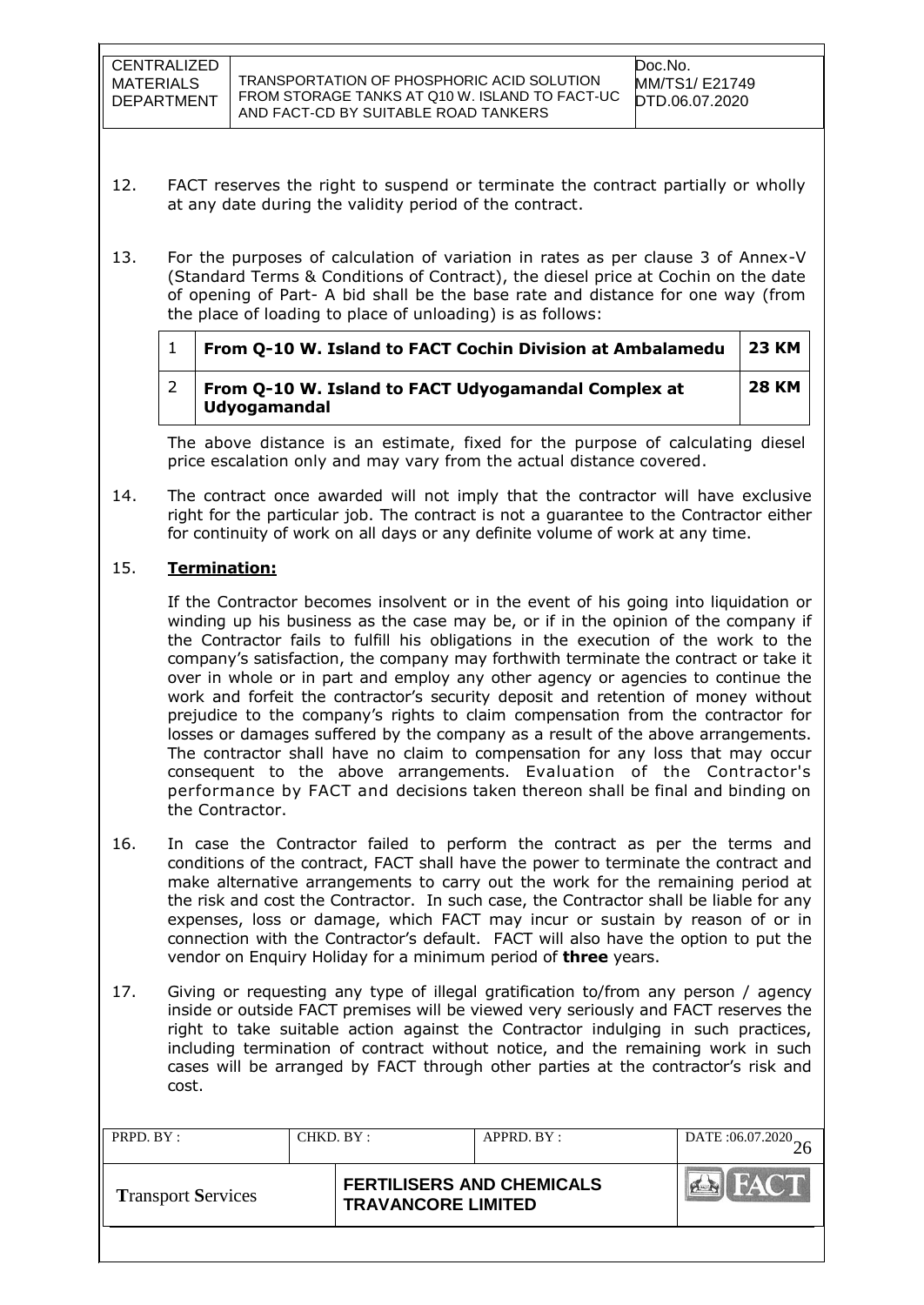- 12. FACT reserves the right to suspend or terminate the contract partially or wholly at any date during the validity period of the contract.
- 13. For the purposes of calculation of variation in rates as per clause 3 of Annex-V (Standard Terms & Conditions of Contract), the diesel price at Cochin on the date of opening of Part- A bid shall be the base rate and distance for one way (from the place of loading to place of unloading) is as follows:

| From Q-10 W. Island to FACT Cochin Division at Ambalamedu           | 23 KM        |  |
|---------------------------------------------------------------------|--------------|--|
| From Q-10 W. Island to FACT Udyogamandal Complex at<br>Udyogamandal | <b>28 KM</b> |  |

The above distance is an estimate, fixed for the purpose of calculating diesel price escalation only and may vary from the actual distance covered.

14. The contract once awarded will not imply that the contractor will have exclusive right for the particular job. The contract is not a guarantee to the Contractor either for continuity of work on all days or any definite volume of work at any time.

## 15. **Termination:**

If the Contractor becomes insolvent or in the event of his going into liquidation or winding up his business as the case may be, or if in the opinion of the company if the Contractor fails to fulfill his obligations in the execution of the work to the company"s satisfaction, the company may forthwith terminate the contract or take it over in whole or in part and employ any other agency or agencies to continue the work and forfeit the contractor"s security deposit and retention of money without prejudice to the company"s rights to claim compensation from the contractor for losses or damages suffered by the company as a result of the above arrangements. The contractor shall have no claim to compensation for any loss that may occur consequent to the above arrangements. Evaluation of the Contractor's performance by FACT and decisions taken thereon shall be final and binding on the Contractor.

- 16. In case the Contractor failed to perform the contract as per the terms and conditions of the contract, FACT shall have the power to terminate the contract and make alternative arrangements to carry out the work for the remaining period at the risk and cost the Contractor. In such case, the Contractor shall be liable for any expenses, loss or damage, which FACT may incur or sustain by reason of or in connection with the Contractor"s default. FACT will also have the option to put the vendor on Enquiry Holiday for a minimum period of **three** years.
- 17. Giving or requesting any type of illegal gratification to/from any person / agency inside or outside FACT premises will be viewed very seriously and FACT reserves the right to take suitable action against the Contractor indulging in such practices, including termination of contract without notice, and the remaining work in such cases will be arranged by FACT through other parties at the contractor"s risk and cost.

| PRPD. BY:                 | CHKD. BY: |                                                               | APPRD. BY: | DATE: 06.07.2020 |
|---------------------------|-----------|---------------------------------------------------------------|------------|------------------|
| <b>Transport Services</b> |           | <b>FERTILISERS AND CHEMICALS</b><br><b>TRAVANCORE LIMITED</b> |            | <b>FACT</b>      |
|                           |           |                                                               |            |                  |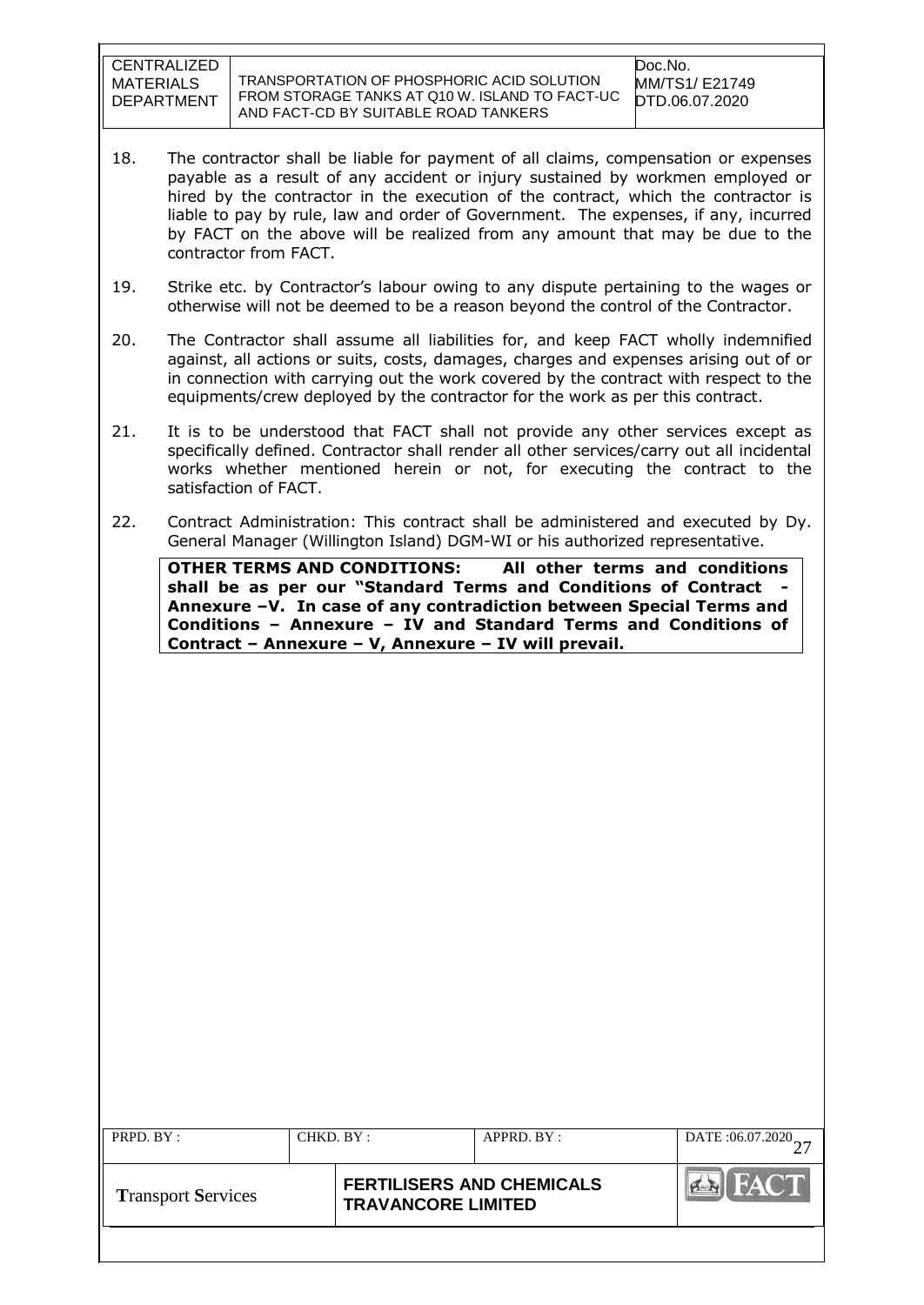TRANSPORTATION OF PHOSPHORIC ACID SOLUTION FROM STORAGE TANKS AT Q10 W. ISLAND TO FACT-UC AND FACT-CD BY SUITABLE ROAD TANKERS

- 18. The contractor shall be liable for payment of all claims, compensation or expenses payable as a result of any accident or injury sustained by workmen employed or hired by the contractor in the execution of the contract, which the contractor is liable to pay by rule, law and order of Government. The expenses, if any, incurred by FACT on the above will be realized from any amount that may be due to the contractor from FACT.
- 19. Strike etc. by Contractor"s labour owing to any dispute pertaining to the wages or otherwise will not be deemed to be a reason beyond the control of the Contractor.
- 20. The Contractor shall assume all liabilities for, and keep FACT wholly indemnified against, all actions or suits, costs, damages, charges and expenses arising out of or in connection with carrying out the work covered by the contract with respect to the equipments/crew deployed by the contractor for the work as per this contract.
- 21. It is to be understood that FACT shall not provide any other services except as specifically defined. Contractor shall render all other services/carry out all incidental works whether mentioned herein or not, for executing the contract to the satisfaction of FACT.
- 22. Contract Administration: This contract shall be administered and executed by Dy. General Manager (Willington Island) DGM-WI or his authorized representative.

**OTHER TERMS AND CONDITIONS: All other terms and conditions shall be as per our "Standard Terms and Conditions of Contract - Annexure –V. In case of any contradiction between Special Terms and Conditions – Annexure – IV and Standard Terms and Conditions of Contract – Annexure – V, Annexure – IV will prevail.**

| PRPD. BY:                 | CHKD. BY: |                                                               | APPRD. BY: | DATE:06.07.2020 |
|---------------------------|-----------|---------------------------------------------------------------|------------|-----------------|
| <b>Transport Services</b> |           | <b>FERTILISERS AND CHEMICALS</b><br><b>TRAVANCORE LIMITED</b> |            |                 |
|                           |           |                                                               |            |                 |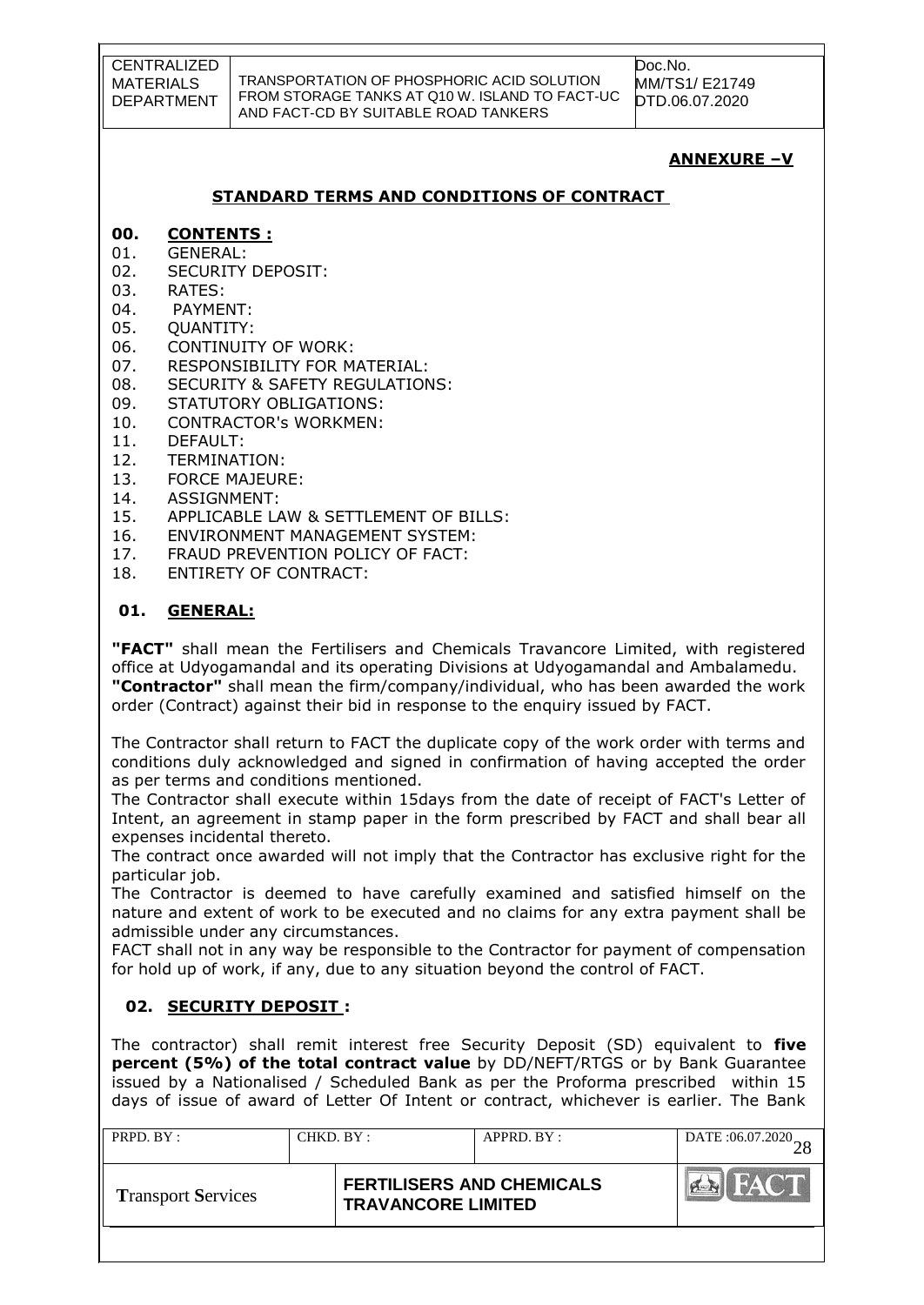Doc.No. MM/TS1/ E21749 DTD.06.07.2020

# **ANNEXURE –V**

## **STANDARD TERMS AND CONDITIONS OF CONTRACT**

#### **00. CONTENTS :**

- 01. GENERAL:
- 02. SECURITY DEPOSIT:
- 03. RATES:
- 04. PAYMENT:
- 05. QUANTITY:
- 06. CONTINUITY OF WORK:
- 07. RESPONSIBILITY FOR MATERIAL:
- 08. SECURITY & SAFETY REGULATIONS:
- 09. STATUTORY OBLIGATIONS:
- 10. CONTRACTOR's WORKMEN:
- 11. DEFAULT:
- 12. TERMINATION:
- 13. FORCE MAJEURE:
- 14. ASSIGNMENT:
- 15. APPLICABLE LAW & SETTLEMENT OF BILLS:
- 16. ENVIRONMENT MANAGEMENT SYSTEM:
- 17. FRAUD PREVENTION POLICY OF FACT:
- 18. ENTIRETY OF CONTRACT:

# **01. GENERAL:**

**"FACT"** shall mean the Fertilisers and Chemicals Travancore Limited, with registered office at Udyogamandal and its operating Divisions at Udyogamandal and Ambalamedu. **"Contractor"** shall mean the firm/company/individual, who has been awarded the work order (Contract) against their bid in response to the enquiry issued by FACT.

The Contractor shall return to FACT the duplicate copy of the work order with terms and conditions duly acknowledged and signed in confirmation of having accepted the order as per terms and conditions mentioned.

The Contractor shall execute within 15days from the date of receipt of FACT's Letter of Intent, an agreement in stamp paper in the form prescribed by FACT and shall bear all expenses incidental thereto.

The contract once awarded will not imply that the Contractor has exclusive right for the particular job.

The Contractor is deemed to have carefully examined and satisfied himself on the nature and extent of work to be executed and no claims for any extra payment shall be admissible under any circumstances.

FACT shall not in any way be responsible to the Contractor for payment of compensation for hold up of work, if any, due to any situation beyond the control of FACT.

# **02. SECURITY DEPOSIT :**

The contractor) shall remit interest free Security Deposit (SD) equivalent to **five percent (5%) of the total contract value** by DD/NEFT/RTGS or by Bank Guarantee issued by a Nationalised / Scheduled Bank as per the Proforma prescribed within 15 days of issue of award of Letter Of Intent or contract, whichever is earlier. The Bank

| PRPD. BY :                | CHKD. BY: |                                                               | APPRD. BY: | DATE:06.07.2020 |
|---------------------------|-----------|---------------------------------------------------------------|------------|-----------------|
| <b>Transport Services</b> |           | <b>FERTILISERS AND CHEMICALS</b><br><b>TRAVANCORE LIMITED</b> |            | <b>HACTE</b>    |
|                           |           |                                                               |            |                 |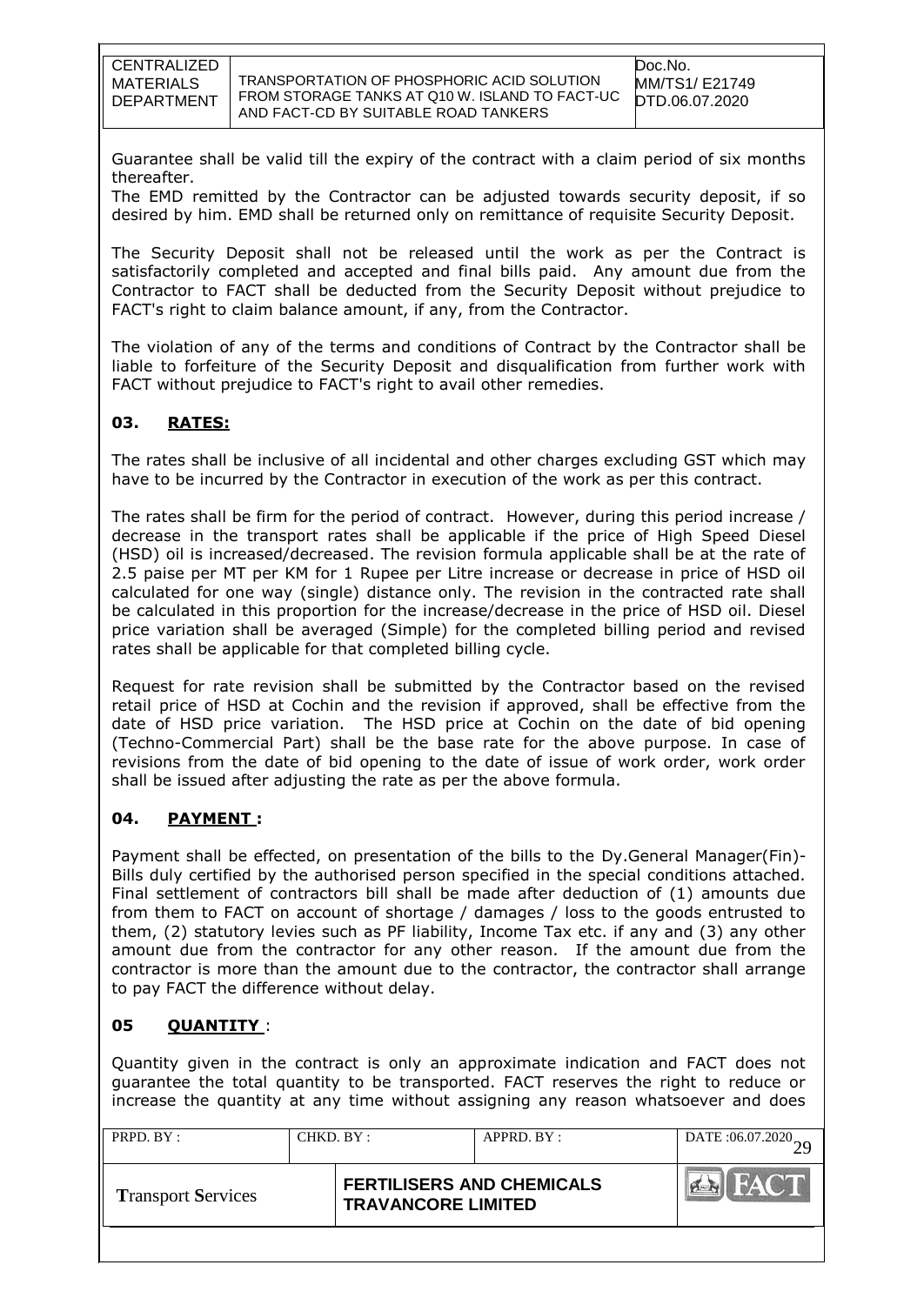Guarantee shall be valid till the expiry of the contract with a claim period of six months thereafter.

The EMD remitted by the Contractor can be adjusted towards security deposit, if so desired by him. EMD shall be returned only on remittance of requisite Security Deposit.

The Security Deposit shall not be released until the work as per the Contract is satisfactorily completed and accepted and final bills paid. Any amount due from the Contractor to FACT shall be deducted from the Security Deposit without prejudice to FACT's right to claim balance amount, if any, from the Contractor.

The violation of any of the terms and conditions of Contract by the Contractor shall be liable to forfeiture of the Security Deposit and disqualification from further work with FACT without prejudice to FACT's right to avail other remedies.

# **03. RATES:**

The rates shall be inclusive of all incidental and other charges excluding GST which may have to be incurred by the Contractor in execution of the work as per this contract.

The rates shall be firm for the period of contract. However, during this period increase / decrease in the transport rates shall be applicable if the price of High Speed Diesel (HSD) oil is increased/decreased. The revision formula applicable shall be at the rate of 2.5 paise per MT per KM for 1 Rupee per Litre increase or decrease in price of HSD oil calculated for one way (single) distance only. The revision in the contracted rate shall be calculated in this proportion for the increase/decrease in the price of HSD oil. Diesel price variation shall be averaged (Simple) for the completed billing period and revised rates shall be applicable for that completed billing cycle.

Request for rate revision shall be submitted by the Contractor based on the revised retail price of HSD at Cochin and the revision if approved, shall be effective from the date of HSD price variation. The HSD price at Cochin on the date of bid opening (Techno-Commercial Part) shall be the base rate for the above purpose. In case of revisions from the date of bid opening to the date of issue of work order, work order shall be issued after adjusting the rate as per the above formula.

#### **04. PAYMENT :**

Payment shall be effected, on presentation of the bills to the Dy.General Manager(Fin)- Bills duly certified by the authorised person specified in the special conditions attached. Final settlement of contractors bill shall be made after deduction of (1) amounts due from them to FACT on account of shortage / damages / loss to the goods entrusted to them, (2) statutory levies such as PF liability, Income Tax etc. if any and (3) any other amount due from the contractor for any other reason. If the amount due from the contractor is more than the amount due to the contractor, the contractor shall arrange to pay FACT the difference without delay.

#### **05 QUANTITY** :

Quantity given in the contract is only an approximate indication and FACT does not guarantee the total quantity to be transported. FACT reserves the right to reduce or increase the quantity at any time without assigning any reason whatsoever and does

| PRPD. BY:                 | CHKD. BY: |                                                               | APPRD. BY: | DATE:06.07.2020 |
|---------------------------|-----------|---------------------------------------------------------------|------------|-----------------|
| <b>Transport Services</b> |           | <b>FERTILISERS AND CHEMICALS</b><br><b>TRAVANCORE LIMITED</b> |            | HAC T           |
|                           |           |                                                               |            |                 |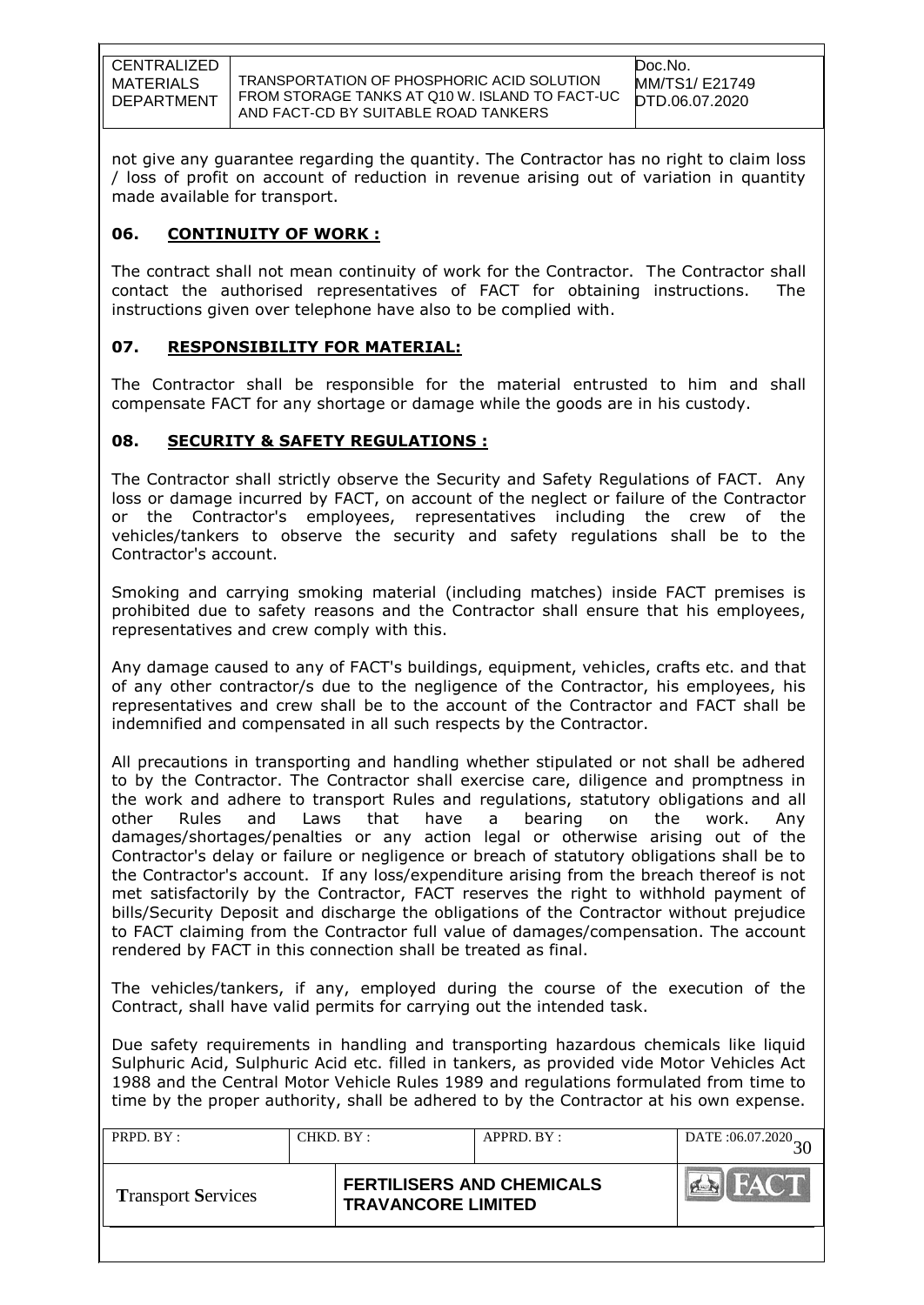TRANSPORTATION OF PHOSPHORIC ACID SOLUTION FROM STORAGE TANKS AT Q10 W. ISLAND TO FACT-UC AND FACT-CD BY SUITABLE ROAD TANKERS

not give any guarantee regarding the quantity. The Contractor has no right to claim loss / loss of profit on account of reduction in revenue arising out of variation in quantity made available for transport.

## **06. CONTINUITY OF WORK :**

The contract shall not mean continuity of work for the Contractor. The Contractor shall contact the authorised representatives of FACT for obtaining instructions. The instructions given over telephone have also to be complied with.

## **07. RESPONSIBILITY FOR MATERIAL:**

The Contractor shall be responsible for the material entrusted to him and shall compensate FACT for any shortage or damage while the goods are in his custody.

## **08. SECURITY & SAFETY REGULATIONS :**

The Contractor shall strictly observe the Security and Safety Regulations of FACT. Any loss or damage incurred by FACT, on account of the neglect or failure of the Contractor or the Contractor's employees, representatives including the crew of the vehicles/tankers to observe the security and safety regulations shall be to the Contractor's account.

Smoking and carrying smoking material (including matches) inside FACT premises is prohibited due to safety reasons and the Contractor shall ensure that his employees, representatives and crew comply with this.

Any damage caused to any of FACT's buildings, equipment, vehicles, crafts etc. and that of any other contractor/s due to the negligence of the Contractor, his employees, his representatives and crew shall be to the account of the Contractor and FACT shall be indemnified and compensated in all such respects by the Contractor.

All precautions in transporting and handling whether stipulated or not shall be adhered to by the Contractor. The Contractor shall exercise care, diligence and promptness in the work and adhere to transport Rules and regulations, statutory obligations and all other Rules and Laws that have a bearing on the work. Any damages/shortages/penalties or any action legal or otherwise arising out of the Contractor's delay or failure or negligence or breach of statutory obligations shall be to the Contractor's account. If any loss/expenditure arising from the breach thereof is not met satisfactorily by the Contractor, FACT reserves the right to withhold payment of bills/Security Deposit and discharge the obligations of the Contractor without prejudice to FACT claiming from the Contractor full value of damages/compensation. The account rendered by FACT in this connection shall be treated as final.

The vehicles/tankers, if any, employed during the course of the execution of the Contract, shall have valid permits for carrying out the intended task.

Due safety requirements in handling and transporting hazardous chemicals like liquid Sulphuric Acid, Sulphuric Acid etc. filled in tankers, as provided vide Motor Vehicles Act 1988 and the Central Motor Vehicle Rules 1989 and regulations formulated from time to time by the proper authority, shall be adhered to by the Contractor at his own expense.

| PRPD. BY :                | CHKD. BY: |                                                               | APPRD. BY: | DATE:06.07.2020 |
|---------------------------|-----------|---------------------------------------------------------------|------------|-----------------|
| <b>Transport Services</b> |           | <b>FERTILISERS AND CHEMICALS</b><br><b>TRAVANCORE LIMITED</b> |            | HAC T           |
|                           |           |                                                               |            |                 |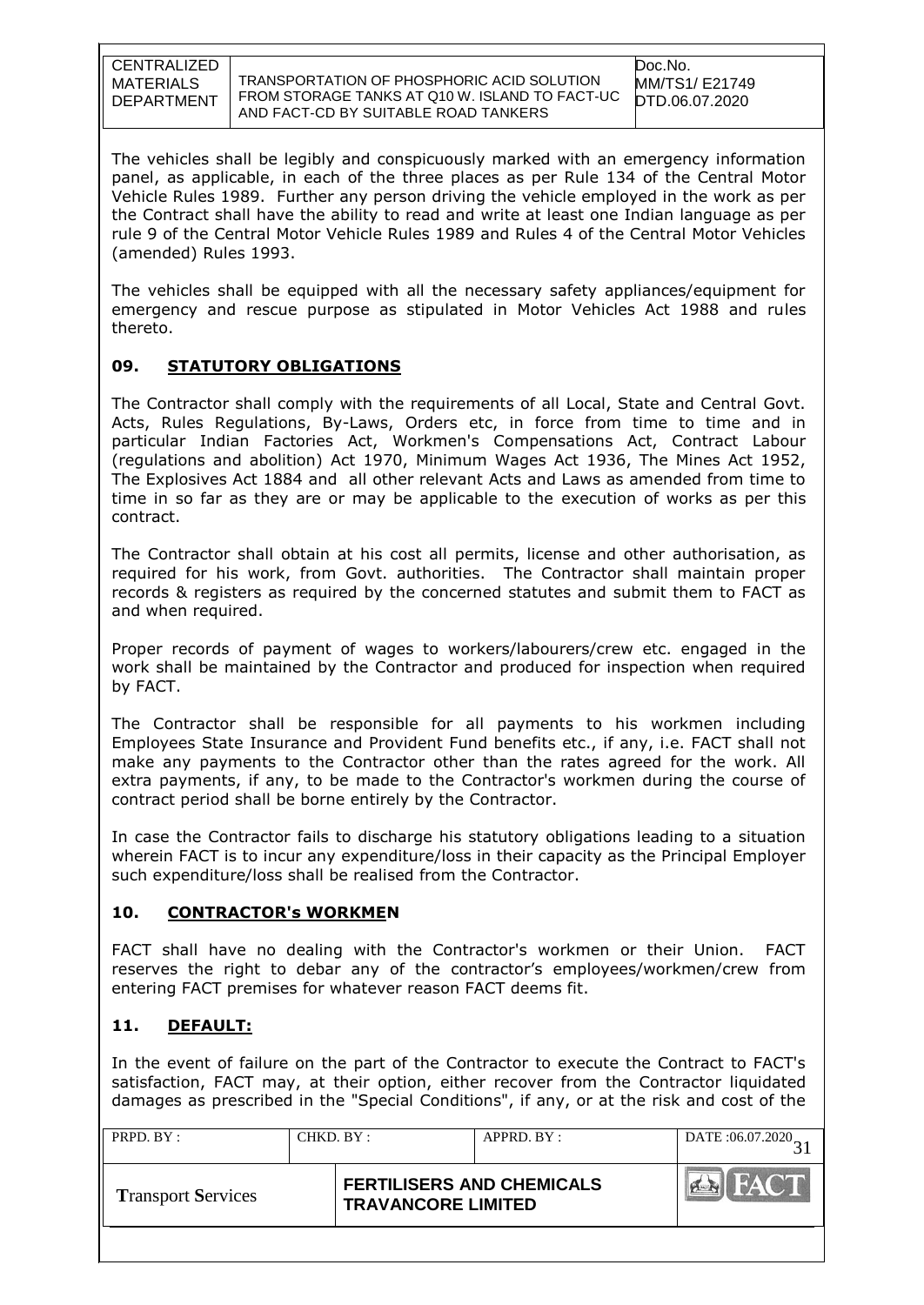TRANSPORTATION OF PHOSPHORIC ACID SOLUTION FROM STORAGE TANKS AT Q10 W. ISLAND TO FACT-UC AND FACT-CD BY SUITABLE ROAD TANKERS

The vehicles shall be legibly and conspicuously marked with an emergency information panel, as applicable, in each of the three places as per Rule 134 of the Central Motor Vehicle Rules 1989. Further any person driving the vehicle employed in the work as per the Contract shall have the ability to read and write at least one Indian language as per rule 9 of the Central Motor Vehicle Rules 1989 and Rules 4 of the Central Motor Vehicles (amended) Rules 1993.

The vehicles shall be equipped with all the necessary safety appliances/equipment for emergency and rescue purpose as stipulated in Motor Vehicles Act 1988 and rules thereto.

## **09. STATUTORY OBLIGATIONS**

The Contractor shall comply with the requirements of all Local, State and Central Govt. Acts, Rules Regulations, By-Laws, Orders etc, in force from time to time and in particular Indian Factories Act, Workmen's Compensations Act, Contract Labour (regulations and abolition) Act 1970, Minimum Wages Act 1936, The Mines Act 1952, The Explosives Act 1884 and all other relevant Acts and Laws as amended from time to time in so far as they are or may be applicable to the execution of works as per this contract.

The Contractor shall obtain at his cost all permits, license and other authorisation, as required for his work, from Govt. authorities. The Contractor shall maintain proper records & registers as required by the concerned statutes and submit them to FACT as and when required.

Proper records of payment of wages to workers/labourers/crew etc. engaged in the work shall be maintained by the Contractor and produced for inspection when required by FACT.

The Contractor shall be responsible for all payments to his workmen including Employees State Insurance and Provident Fund benefits etc., if any, i.e. FACT shall not make any payments to the Contractor other than the rates agreed for the work. All extra payments, if any, to be made to the Contractor's workmen during the course of contract period shall be borne entirely by the Contractor.

In case the Contractor fails to discharge his statutory obligations leading to a situation wherein FACT is to incur any expenditure/loss in their capacity as the Principal Employer such expenditure/loss shall be realised from the Contractor.

#### **10. CONTRACTOR's WORKMEN**

FACT shall have no dealing with the Contractor's workmen or their Union. FACT reserves the right to debar any of the contractor"s employees/workmen/crew from entering FACT premises for whatever reason FACT deems fit.

# **11. DEFAULT:**

In the event of failure on the part of the Contractor to execute the Contract to FACT's satisfaction, FACT may, at their option, either recover from the Contractor liquidated damages as prescribed in the "Special Conditions", if any, or at the risk and cost of the

| PRPD. BY:                 | CHKD. BY: |                                                               | APPRD. BY: | DATE: 06.07.2020 |
|---------------------------|-----------|---------------------------------------------------------------|------------|------------------|
| <b>Transport Services</b> |           | <b>FERTILISERS AND CHEMICALS</b><br><b>TRAVANCORE LIMITED</b> |            | FACT.            |
|                           |           |                                                               |            |                  |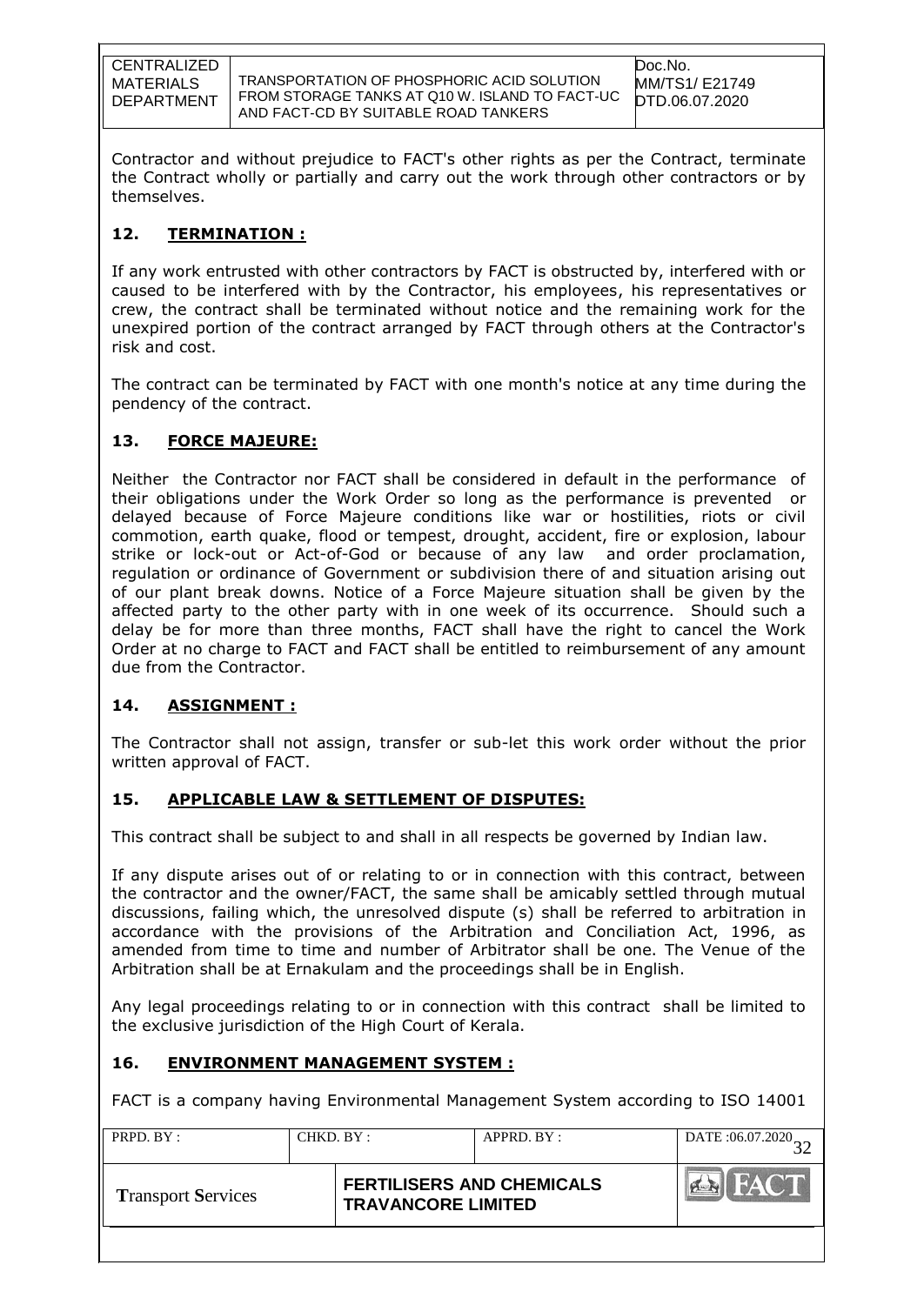TRANSPORTATION OF PHOSPHORIC ACID SOLUTION FROM STORAGE TANKS AT Q10 W. ISLAND TO FACT-UC AND FACT-CD BY SUITABLE ROAD TANKERS

Contractor and without prejudice to FACT's other rights as per the Contract, terminate the Contract wholly or partially and carry out the work through other contractors or by themselves.

# **12. TERMINATION :**

If any work entrusted with other contractors by FACT is obstructed by, interfered with or caused to be interfered with by the Contractor, his employees, his representatives or crew, the contract shall be terminated without notice and the remaining work for the unexpired portion of the contract arranged by FACT through others at the Contractor's risk and cost.

The contract can be terminated by FACT with one month's notice at any time during the pendency of the contract.

# **13. FORCE MAJEURE:**

Neither the Contractor nor FACT shall be considered in default in the performance of their obligations under the Work Order so long as the performance is prevented or delayed because of Force Majeure conditions like war or hostilities, riots or civil commotion, earth quake, flood or tempest, drought, accident, fire or explosion, labour strike or lock-out or Act-of-God or because of any law and order proclamation, regulation or ordinance of Government or subdivision there of and situation arising out of our plant break downs. Notice of a Force Majeure situation shall be given by the affected party to the other party with in one week of its occurrence. Should such a delay be for more than three months, FACT shall have the right to cancel the Work Order at no charge to FACT and FACT shall be entitled to reimbursement of any amount due from the Contractor.

# **14. ASSIGNMENT :**

The Contractor shall not assign, transfer or sub-let this work order without the prior written approval of FACT.

# **15. APPLICABLE LAW & SETTLEMENT OF DISPUTES:**

This contract shall be subject to and shall in all respects be governed by Indian law.

If any dispute arises out of or relating to or in connection with this contract, between the contractor and the owner/FACT, the same shall be amicably settled through mutual discussions, failing which, the unresolved dispute (s) shall be referred to arbitration in accordance with the provisions of the Arbitration and Conciliation Act, 1996, as amended from time to time and number of Arbitrator shall be one. The Venue of the Arbitration shall be at Ernakulam and the proceedings shall be in English.

Any legal proceedings relating to or in connection with this contract shall be limited to the exclusive jurisdiction of the High Court of Kerala.

# **16. ENVIRONMENT MANAGEMENT SYSTEM :**

FACT is a company having Environmental Management System according to ISO 14001

| PRPD. BY:                 | CHKD. BY: |                           | $APPRD$ . $BY$ :                 | DATE: $06.07.2020$ |
|---------------------------|-----------|---------------------------|----------------------------------|--------------------|
| <b>Transport Services</b> |           | <b>TRAVANCORE LIMITED</b> | <b>FERTILISERS AND CHEMICALS</b> | HACTE              |
|                           |           |                           |                                  |                    |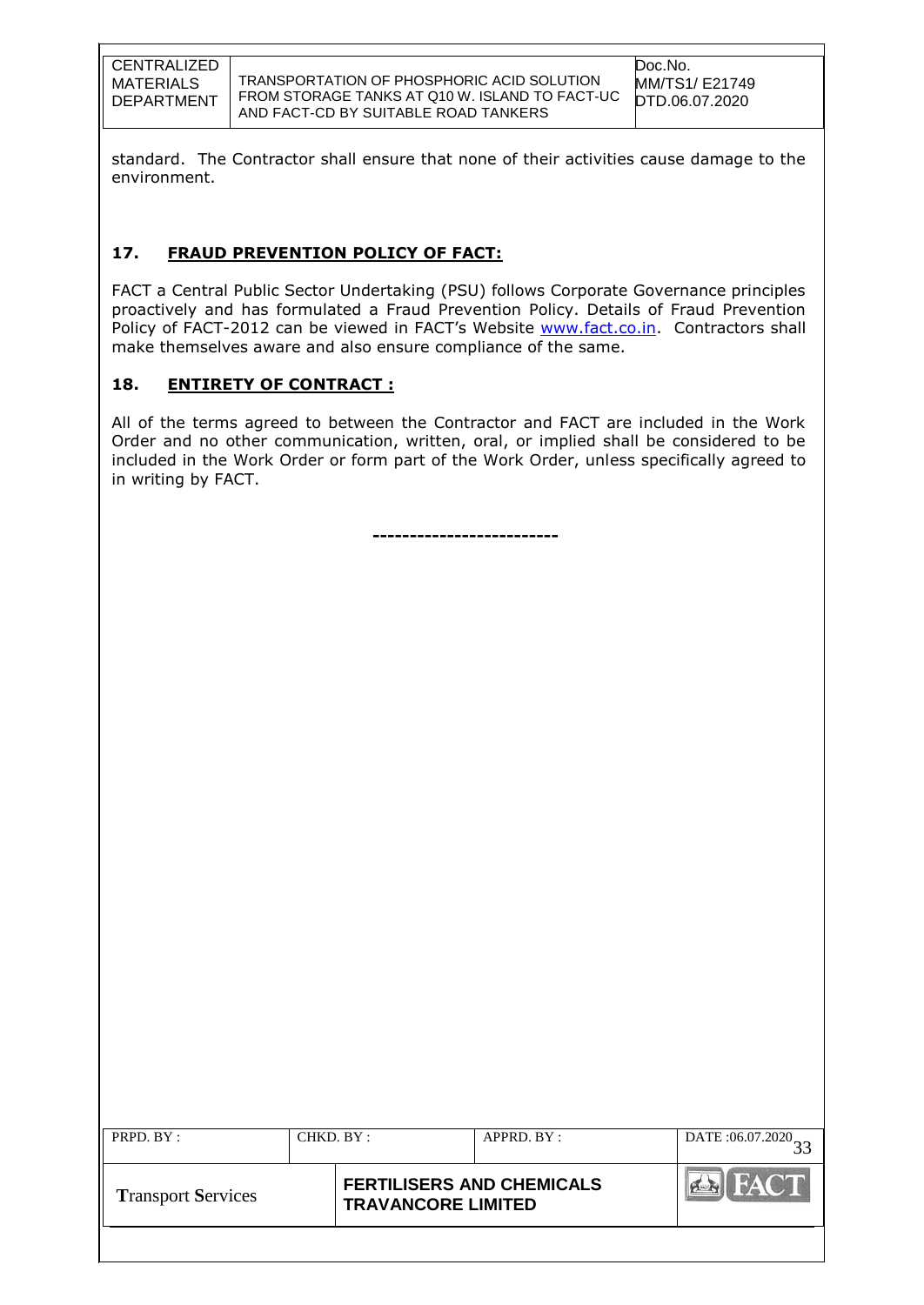TRANSPORTATION OF PHOSPHORIC ACID SOLUTION FROM STORAGE TANKS AT Q10 W. ISLAND TO FACT-UC AND FACT-CD BY SUITABLE ROAD TANKERS

standard. The Contractor shall ensure that none of their activities cause damage to the environment.

# **17. FRAUD PREVENTION POLICY OF FACT:**

FACT a Central Public Sector Undertaking (PSU) follows Corporate Governance principles proactively and has formulated a Fraud Prevention Policy. Details of Fraud Prevention Policy of FACT-2012 can be viewed in FACT's Website [www.fact.co.in.](http://www.fact.co.in/) Contractors shall make themselves aware and also ensure compliance of the same.

# **18. ENTIRETY OF CONTRACT :**

All of the terms agreed to between the Contractor and FACT are included in the Work Order and no other communication, written, oral, or implied shall be considered to be included in the Work Order or form part of the Work Order, unless specifically agreed to in writing by FACT.

**-------------------------**

| PRPD. BY:                 | CHKD. BY: |                                                               | APPRD. BY: | DATE: 06.07.2020 |
|---------------------------|-----------|---------------------------------------------------------------|------------|------------------|
| <b>Transport Services</b> |           | <b>FERTILISERS AND CHEMICALS</b><br><b>TRAVANCORE LIMITED</b> |            | FAC'H            |
|                           |           |                                                               |            |                  |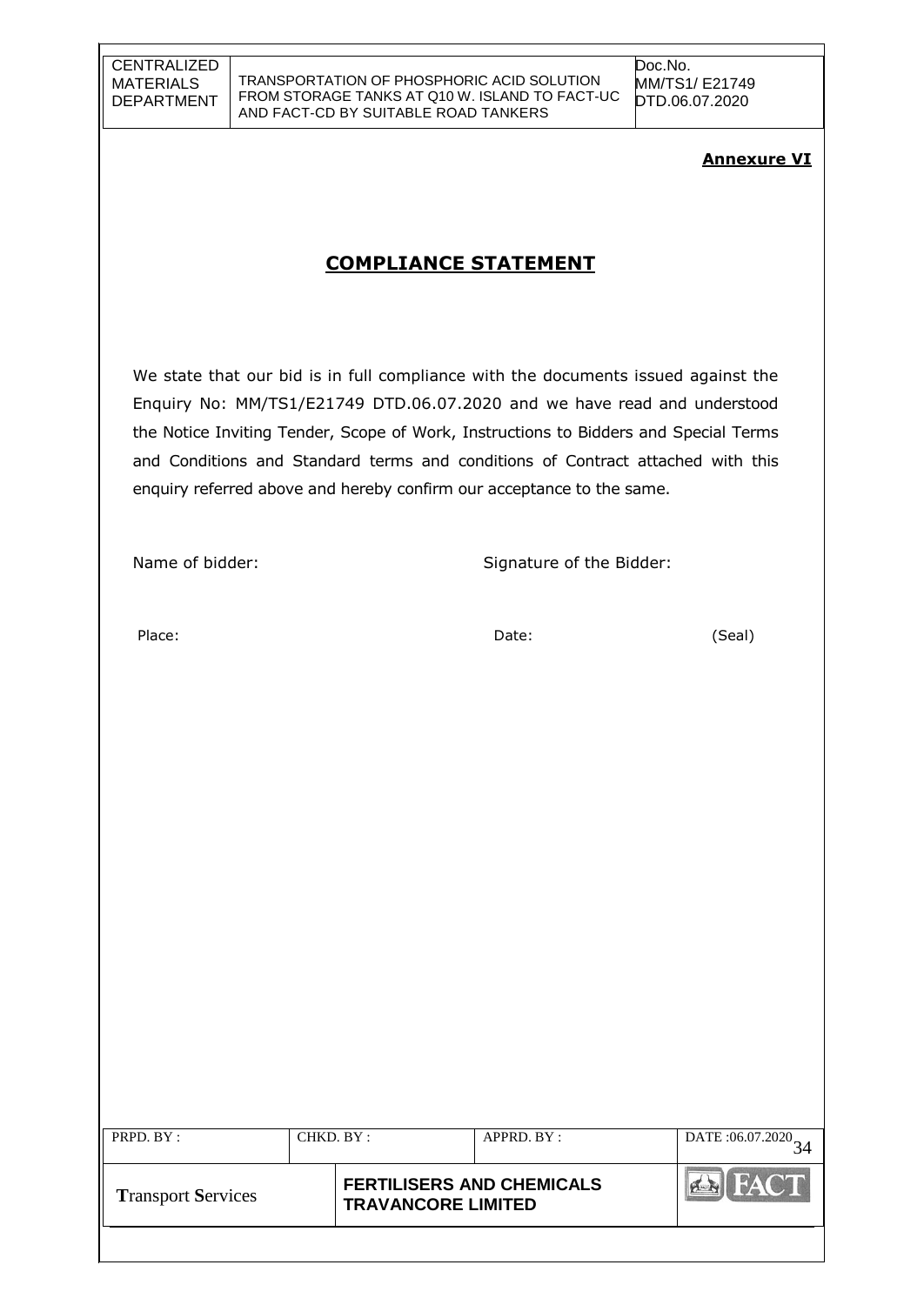## **Annexure VI**

# **COMPLIANCE STATEMENT**

We state that our bid is in full compliance with the documents issued against the Enquiry No: MM/TS1/E21749 DTD.06.07.2020 and we have read and understood the Notice Inviting Tender, Scope of Work, Instructions to Bidders and Special Terms and Conditions and Standard terms and conditions of Contract attached with this enquiry referred above and hereby confirm our acceptance to the same.

Name of bidder: Signature of the Bidder:

Place: Date: (Seal)

| PRPD. BY:                 | CHKD. BY : |                                                               | APPRD. BY: | DATE:06.07.2020 |
|---------------------------|------------|---------------------------------------------------------------|------------|-----------------|
| <b>Transport Services</b> |            | <b>FERTILISERS AND CHEMICALS</b><br><b>TRAVANCORE LIMITED</b> |            | <b>FACT</b>     |
|                           |            |                                                               |            |                 |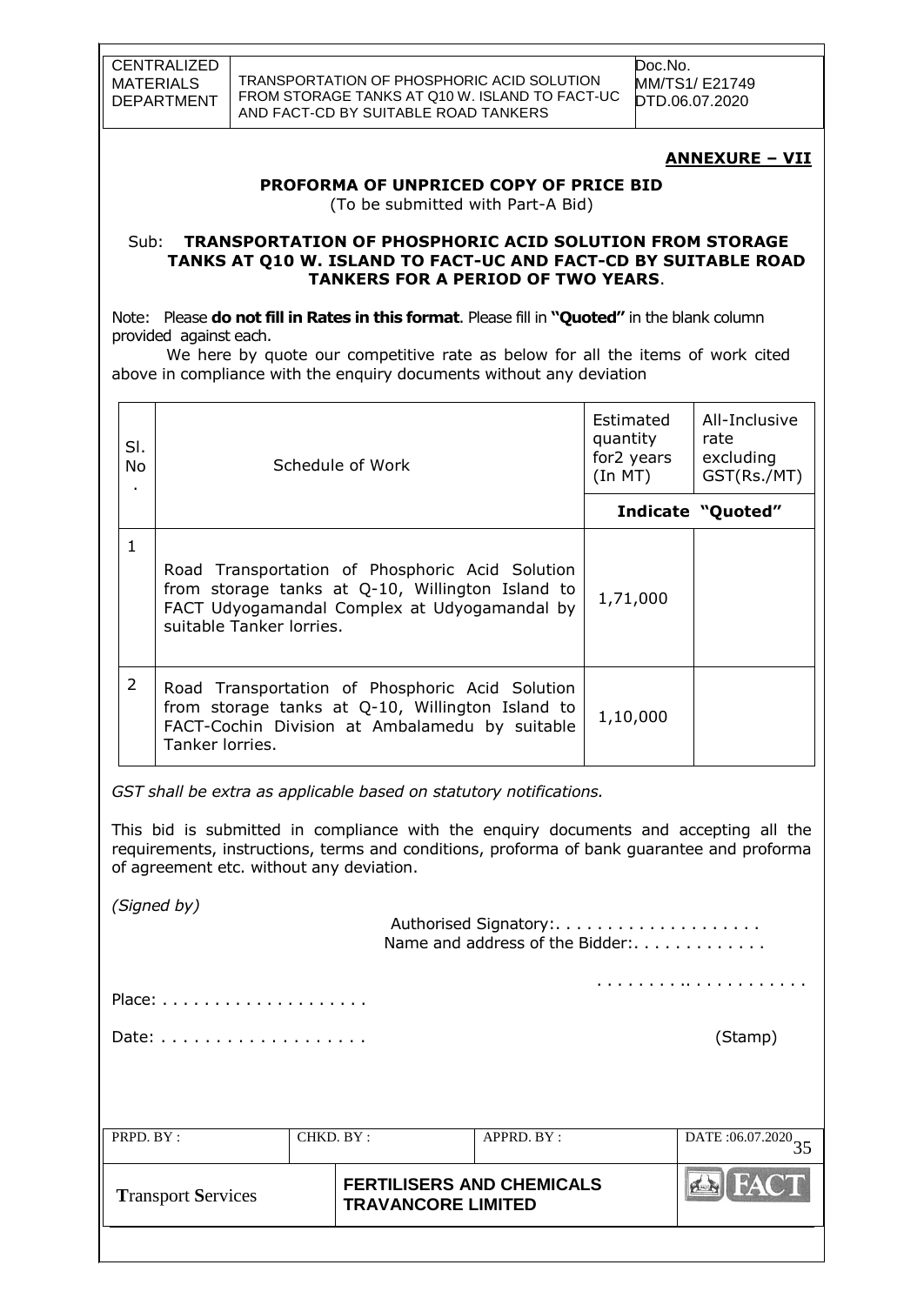TRANSPORTATION OF PHOSPHORIC ACID SOLUTION FROM STORAGE TANKS AT Q10 W. ISLAND TO FACT-UC AND FACT-CD BY SUITABLE ROAD TANKERS

Doc.No. MM/TS1/ E21749 DTD.06.07.2020

**ANNEXURE – VII**

## **PROFORMA OF UNPRICED COPY OF PRICE BID**

(To be submitted with Part-A Bid)

#### Sub: **TRANSPORTATION OF PHOSPHORIC ACID SOLUTION FROM STORAGE TANKS AT Q10 W. ISLAND TO FACT-UC AND FACT-CD BY SUITABLE ROAD TANKERS FOR A PERIOD OF TWO YEARS**.

Note: Please **do not fill in Rates in this format**. Please fill in **"Quoted"** in the blank column provided against each.

 We here by quote our competitive rate as below for all the items of work cited above in compliance with the enquiry documents without any deviation

| SI.<br>No.<br>٠ | Schedule of Work                                                                                                                                                                | Estimated<br>quantity<br>for2 years<br>(In M T) | All-Inclusive<br>rate<br>excluding<br>GST(Rs./MT) |
|-----------------|---------------------------------------------------------------------------------------------------------------------------------------------------------------------------------|-------------------------------------------------|---------------------------------------------------|
|                 |                                                                                                                                                                                 |                                                 | Indicate "Quoted"                                 |
| 1               | Road Transportation of Phosphoric Acid Solution<br>from storage tanks at Q-10, Willington Island to<br>FACT Udyogamandal Complex at Udyogamandal by<br>suitable Tanker lorries. | 1,71,000                                        |                                                   |
| 2               | Road Transportation of Phosphoric Acid Solution<br>from storage tanks at Q-10, Willington Island to<br>FACT-Cochin Division at Ambalamedu by suitable<br>Tanker lorries.        | 1,10,000                                        |                                                   |

*GST shall be extra as applicable based on statutory notifications.*

This bid is submitted in compliance with the enquiry documents and accepting all the requirements, instructions, terms and conditions, proforma of bank guarantee and proforma of agreement etc. without any deviation.

*(Signed by)*

| PRPD. BY : | CHKD. BY: | APPRD. BY:                      | DATE: $06.07.2020$ <sub>35</sub> |
|------------|-----------|---------------------------------|----------------------------------|
|            |           |                                 |                                  |
|            |           |                                 | (Stamp)                          |
|            |           |                                 |                                  |
|            |           |                                 |                                  |
|            |           | Name and address of the Bidder: |                                  |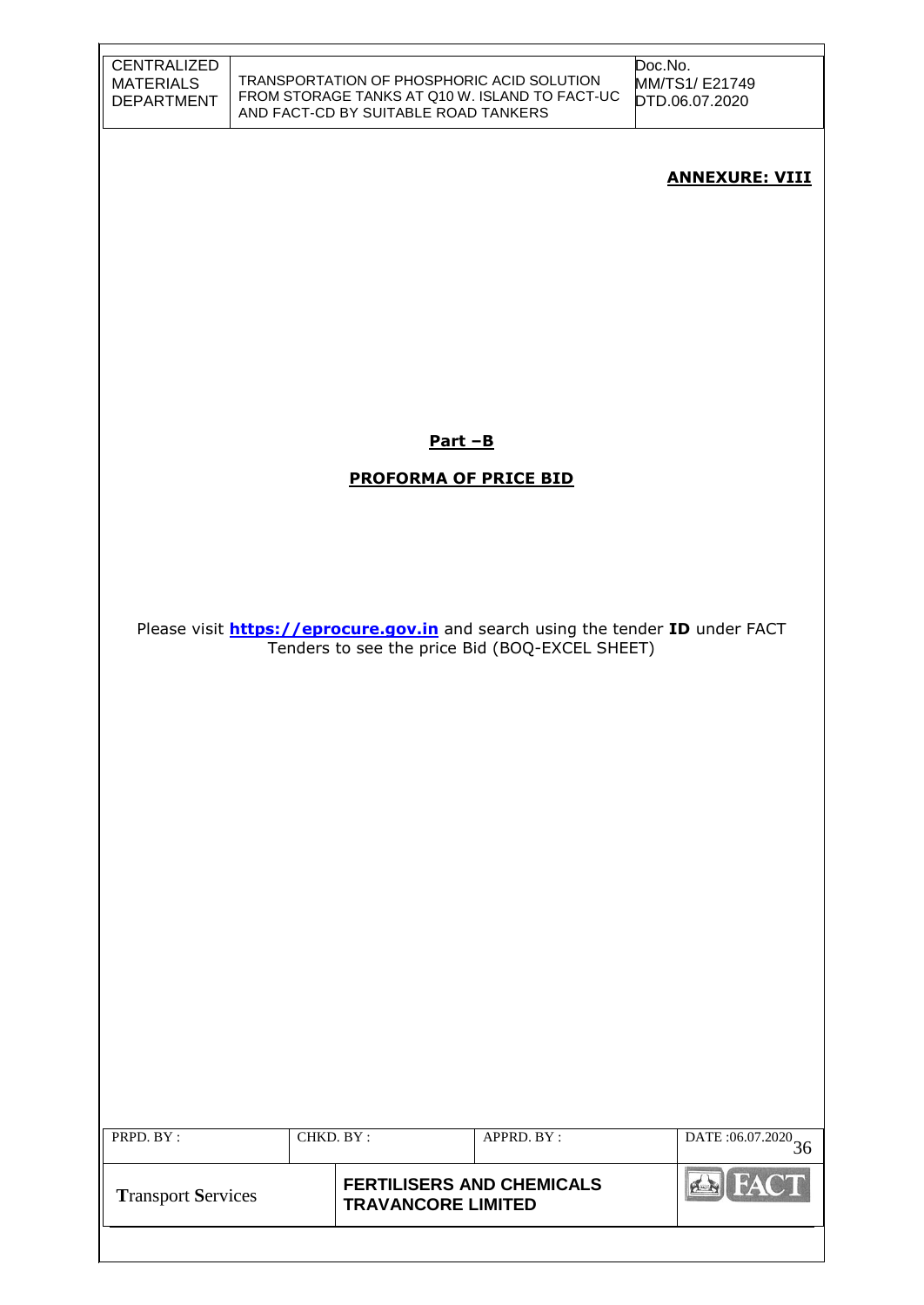| <b>CENTRALIZED</b><br><b>MATERIALS</b><br><b>DEPARTMENT</b> |           | TRANSPORTATION OF PHOSPHORIC ACID SOLUTION<br>AND FACT-CD BY SUITABLE ROAD TANKERS | FROM STORAGE TANKS AT Q10 W. ISLAND TO FACT-UC | Doc.No.<br>MM/TS1/E21749<br>DTD.06.07.2020                                            |
|-------------------------------------------------------------|-----------|------------------------------------------------------------------------------------|------------------------------------------------|---------------------------------------------------------------------------------------|
|                                                             |           |                                                                                    |                                                | <b>ANNEXURE: VIII</b>                                                                 |
|                                                             |           |                                                                                    |                                                |                                                                                       |
|                                                             |           |                                                                                    |                                                |                                                                                       |
|                                                             |           |                                                                                    |                                                |                                                                                       |
|                                                             |           | $Part - B$                                                                         |                                                |                                                                                       |
|                                                             |           | <b>PROFORMA OF PRICE BID</b>                                                       |                                                |                                                                                       |
|                                                             |           |                                                                                    |                                                |                                                                                       |
|                                                             |           |                                                                                    |                                                |                                                                                       |
|                                                             |           |                                                                                    |                                                |                                                                                       |
|                                                             |           |                                                                                    |                                                |                                                                                       |
|                                                             |           |                                                                                    | Tenders to see the price Bid (BOQ-EXCEL SHEET) | Please visit <b>https://eprocure.gov.in</b> and search using the tender ID under FACT |
|                                                             |           |                                                                                    |                                                |                                                                                       |
|                                                             |           |                                                                                    |                                                |                                                                                       |
|                                                             |           |                                                                                    |                                                |                                                                                       |
|                                                             |           |                                                                                    |                                                |                                                                                       |
|                                                             |           |                                                                                    |                                                |                                                                                       |
|                                                             |           |                                                                                    |                                                |                                                                                       |
|                                                             |           |                                                                                    |                                                |                                                                                       |
|                                                             |           |                                                                                    |                                                |                                                                                       |
|                                                             |           |                                                                                    |                                                |                                                                                       |
|                                                             |           |                                                                                    |                                                |                                                                                       |
|                                                             |           |                                                                                    |                                                |                                                                                       |
|                                                             |           |                                                                                    |                                                |                                                                                       |
|                                                             |           |                                                                                    |                                                |                                                                                       |
| PRPD. BY:                                                   | CHKD. BY: |                                                                                    | APPRD. BY:                                     | DATE: $06.07.2020$ 36                                                                 |
|                                                             |           |                                                                                    |                                                |                                                                                       |
| <b>Transport Services</b>                                   |           | <b>FERTILISERS AND CHEMICALS</b><br><b>TRAVANCORE LIMITED</b>                      |                                                | <b>FACT</b>                                                                           |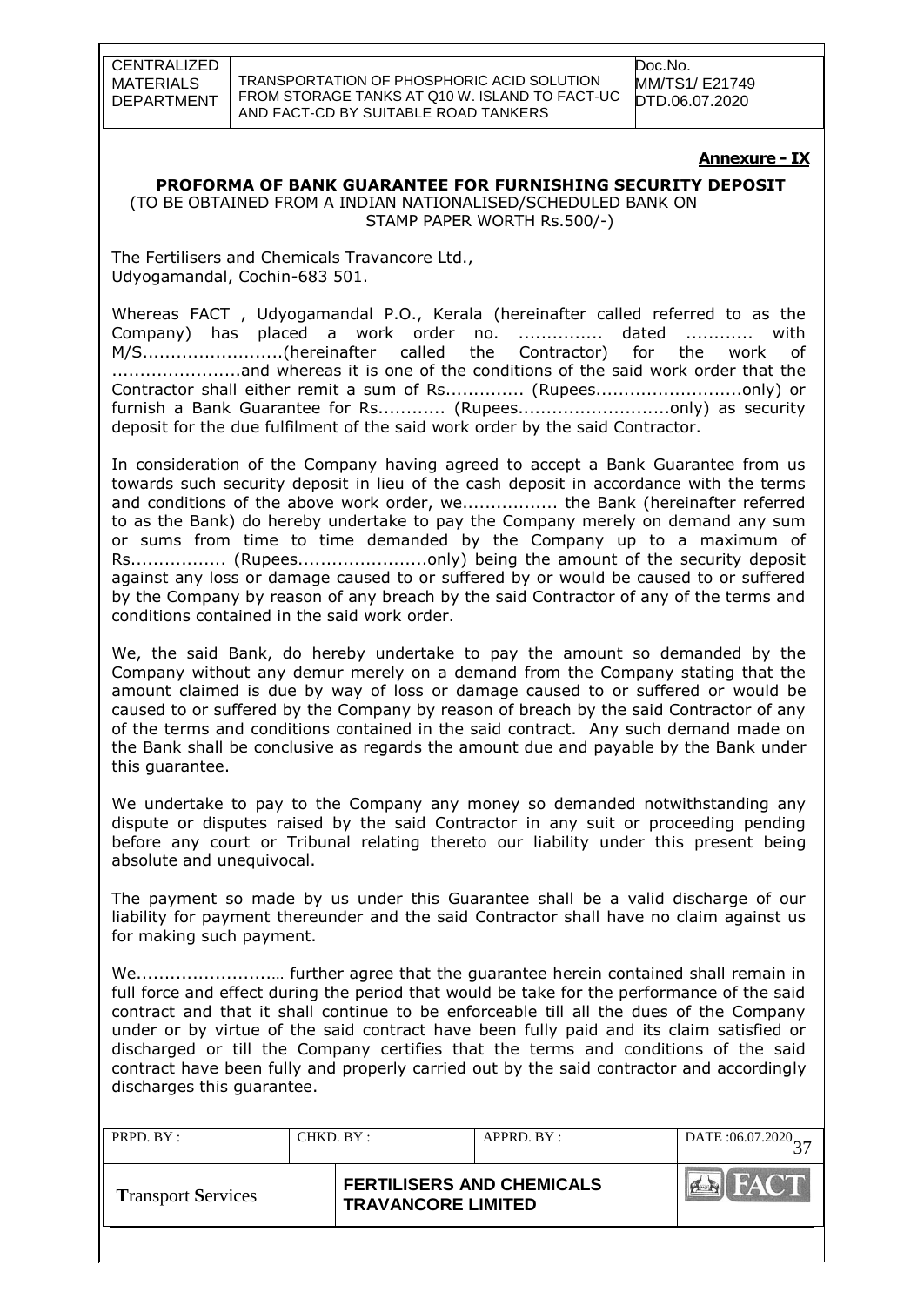TRANSPORTATION OF PHOSPHORIC ACID SOLUTION FROM STORAGE TANKS AT Q10 W. ISLAND TO FACT-UC AND FACT-CD BY SUITABLE ROAD TANKERS

Doc.No. MM/TS1/ E21749 DTD.06.07.2020

#### **Annexure - IX**

# **PROFORMA OF BANK GUARANTEE FOR FURNISHING SECURITY DEPOSIT**

 (TO BE OBTAINED FROM A INDIAN NATIONALISED/SCHEDULED BANK ON STAMP PAPER WORTH Rs.500/-)

The Fertilisers and Chemicals Travancore Ltd., Udyogamandal, Cochin-683 501.

Whereas FACT , Udyogamandal P.O., Kerala (hereinafter called referred to as the Company) has placed a work order no. ............... dated ............ with M/S.........................(hereinafter called the Contractor) for the work of .......................and whereas it is one of the conditions of the said work order that the Contractor shall either remit a sum of Rs.............. (Rupees..........................only) or furnish a Bank Guarantee for Rs............ (Rupees.................................only) as security deposit for the due fulfilment of the said work order by the said Contractor.

In consideration of the Company having agreed to accept a Bank Guarantee from us towards such security deposit in lieu of the cash deposit in accordance with the terms and conditions of the above work order, we................... the Bank (hereinafter referred to as the Bank) do hereby undertake to pay the Company merely on demand any sum or sums from time to time demanded by the Company up to a maximum of Rs.................. (Rupees..............................only) being the amount of the security deposit against any loss or damage caused to or suffered by or would be caused to or suffered by the Company by reason of any breach by the said Contractor of any of the terms and conditions contained in the said work order.

We, the said Bank, do hereby undertake to pay the amount so demanded by the Company without any demur merely on a demand from the Company stating that the amount claimed is due by way of loss or damage caused to or suffered or would be caused to or suffered by the Company by reason of breach by the said Contractor of any of the terms and conditions contained in the said contract. Any such demand made on the Bank shall be conclusive as regards the amount due and payable by the Bank under this guarantee.

We undertake to pay to the Company any money so demanded notwithstanding any dispute or disputes raised by the said Contractor in any suit or proceeding pending before any court or Tribunal relating thereto our liability under this present being absolute and unequivocal.

The payment so made by us under this Guarantee shall be a valid discharge of our liability for payment thereunder and the said Contractor shall have no claim against us for making such payment.

We........................… further agree that the guarantee herein contained shall remain in full force and effect during the period that would be take for the performance of the said contract and that it shall continue to be enforceable till all the dues of the Company under or by virtue of the said contract have been fully paid and its claim satisfied or discharged or till the Company certifies that the terms and conditions of the said contract have been fully and properly carried out by the said contractor and accordingly discharges this guarantee.

| PRPD. BY:                 | CHKD. BY:                 | $APPRD$ $BY$ :                   |      |
|---------------------------|---------------------------|----------------------------------|------|
| <b>Transport Services</b> | <b>TRAVANCORE LIMITED</b> | <b>FERTILISERS AND CHEMICALS</b> | FACT |
|                           |                           |                                  |      |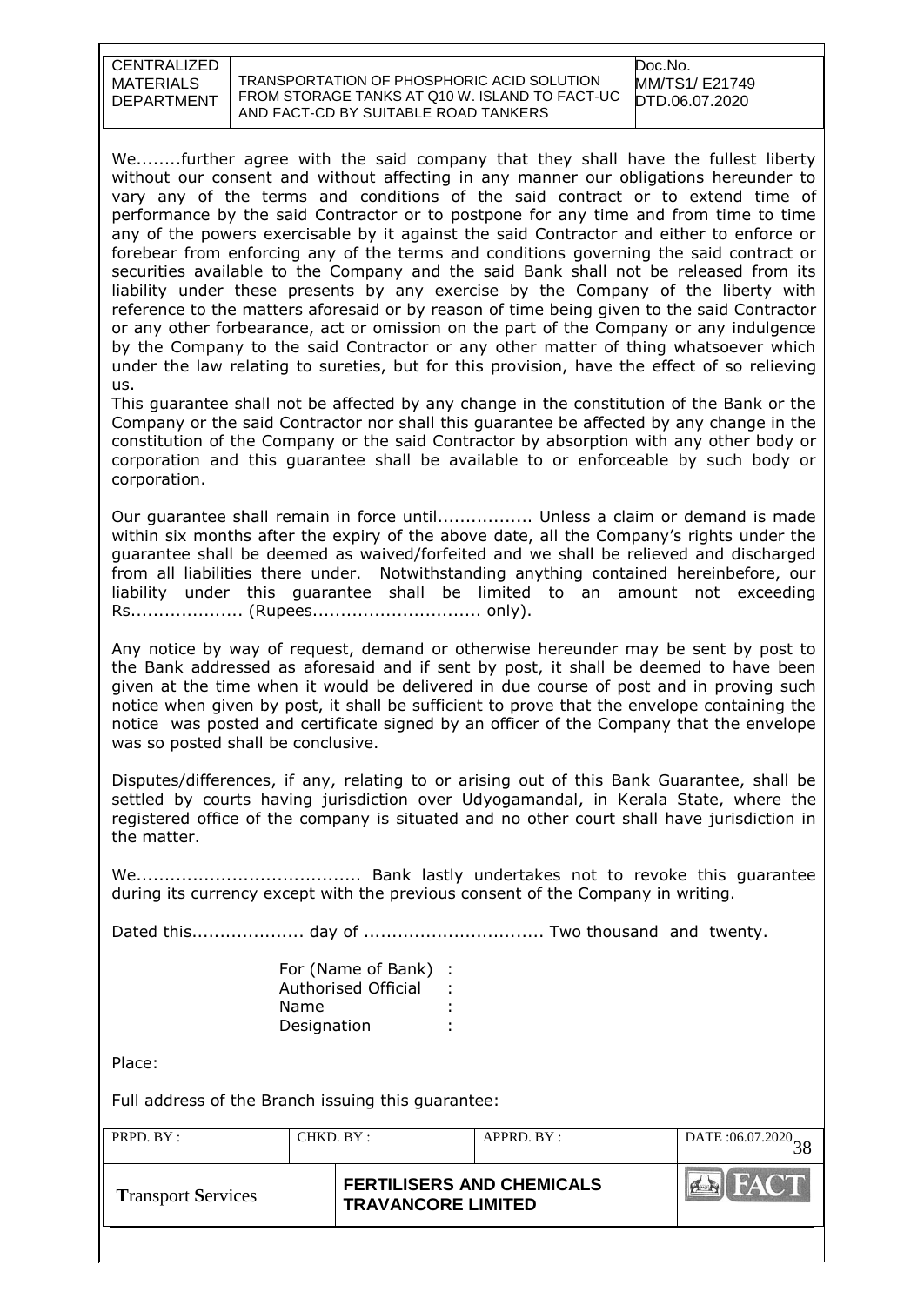TRANSPORTATION OF PHOSPHORIC ACID SOLUTION FROM STORAGE TANKS AT Q10 W. ISLAND TO FACT-UC AND FACT-CD BY SUITABLE ROAD TANKERS

We........further agree with the said company that they shall have the fullest liberty without our consent and without affecting in any manner our obligations hereunder to vary any of the terms and conditions of the said contract or to extend time of performance by the said Contractor or to postpone for any time and from time to time any of the powers exercisable by it against the said Contractor and either to enforce or forebear from enforcing any of the terms and conditions governing the said contract or securities available to the Company and the said Bank shall not be released from its liability under these presents by any exercise by the Company of the liberty with reference to the matters aforesaid or by reason of time being given to the said Contractor or any other forbearance, act or omission on the part of the Company or any indulgence by the Company to the said Contractor or any other matter of thing whatsoever which under the law relating to sureties, but for this provision, have the effect of so relieving us.

This guarantee shall not be affected by any change in the constitution of the Bank or the Company or the said Contractor nor shall this guarantee be affected by any change in the constitution of the Company or the said Contractor by absorption with any other body or corporation and this guarantee shall be available to or enforceable by such body or corporation.

Our guarantee shall remain in force until................. Unless a claim or demand is made within six months after the expiry of the above date, all the Company's rights under the guarantee shall be deemed as waived/forfeited and we shall be relieved and discharged from all liabilities there under. Notwithstanding anything contained hereinbefore, our liability under this guarantee shall be limited to an amount not exceeding Rs.................... (Rupees.............................. only).

Any notice by way of request, demand or otherwise hereunder may be sent by post to the Bank addressed as aforesaid and if sent by post, it shall be deemed to have been given at the time when it would be delivered in due course of post and in proving such notice when given by post, it shall be sufficient to prove that the envelope containing the notice was posted and certificate signed by an officer of the Company that the envelope was so posted shall be conclusive.

Disputes/differences, if any, relating to or arising out of this Bank Guarantee, shall be settled by courts having jurisdiction over Udyogamandal, in Kerala State, where the registered office of the company is situated and no other court shall have jurisdiction in the matter.

We........................................ Bank lastly undertakes not to revoke this guarantee during its currency except with the previous consent of the Company in writing.

Dated this.................... day of ................................ Two thousand and twenty.

| For (Name of Bank)         | ÷ |
|----------------------------|---|
| <b>Authorised Official</b> |   |
| Name                       |   |
| Designation                |   |

Place:

Full address of the Branch issuing this guarantee:

| PRPD. BY:                 |  | CHKD. BY:<br>APPRD. BY:                                       |  | DATE: 06.07.2020 |
|---------------------------|--|---------------------------------------------------------------|--|------------------|
| <b>Transport Services</b> |  | <b>FERTILISERS AND CHEMICALS</b><br><b>TRAVANCORE LIMITED</b> |  | HACT             |
|                           |  |                                                               |  |                  |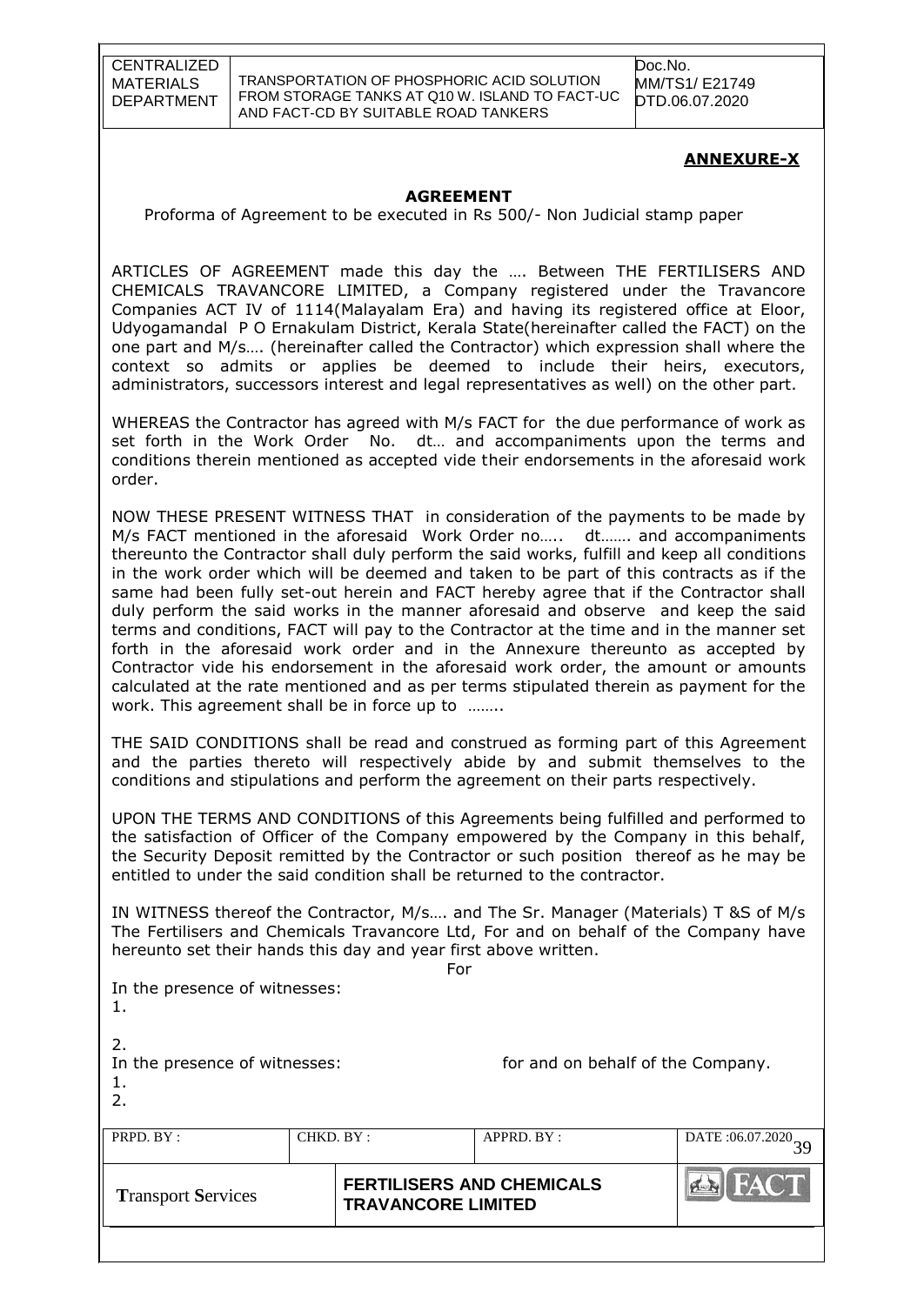TRANSPORTATION OF PHOSPHORIC ACID SOLUTION FROM STORAGE TANKS AT Q10 W. ISLAND TO FACT-UC AND FACT-CD BY SUITABLE ROAD TANKERS

Doc.No. MM/TS1/ E21749 DTD.06.07.2020

## **ANNEXURE-X**

#### **AGREEMENT**

Proforma of Agreement to be executed in Rs 500/- Non Judicial stamp paper

ARTICLES OF AGREEMENT made this day the …. Between THE FERTILISERS AND CHEMICALS TRAVANCORE LIMITED, a Company registered under the Travancore Companies ACT IV of 1114(Malayalam Era) and having its registered office at Eloor, Udyogamandal P O Ernakulam District, Kerala State(hereinafter called the FACT) on the one part and M/s…. (hereinafter called the Contractor) which expression shall where the context so admits or applies be deemed to include their heirs, executors, administrators, successors interest and legal representatives as well) on the other part.

WHEREAS the Contractor has agreed with M/s FACT for the due performance of work as set forth in the Work Order No. dt… and accompaniments upon the terms and conditions therein mentioned as accepted vide their endorsements in the aforesaid work order.

NOW THESE PRESENT WITNESS THAT in consideration of the payments to be made by M/s FACT mentioned in the aforesaid Work Order no….. dt……. and accompaniments thereunto the Contractor shall duly perform the said works, fulfill and keep all conditions in the work order which will be deemed and taken to be part of this contracts as if the same had been fully set-out herein and FACT hereby agree that if the Contractor shall duly perform the said works in the manner aforesaid and observe and keep the said terms and conditions, FACT will pay to the Contractor at the time and in the manner set forth in the aforesaid work order and in the Annexure thereunto as accepted by Contractor vide his endorsement in the aforesaid work order, the amount or amounts calculated at the rate mentioned and as per terms stipulated therein as payment for the work. This agreement shall be in force up to ……..

THE SAID CONDITIONS shall be read and construed as forming part of this Agreement and the parties thereto will respectively abide by and submit themselves to the conditions and stipulations and perform the agreement on their parts respectively.

UPON THE TERMS AND CONDITIONS of this Agreements being fulfilled and performed to the satisfaction of Officer of the Company empowered by the Company in this behalf, the Security Deposit remitted by the Contractor or such position thereof as he may be entitled to under the said condition shall be returned to the contractor.

IN WITNESS thereof the Contractor, M/s…. and The Sr. Manager (Materials) T &S of M/s The Fertilisers and Chemicals Travancore Ltd, For and on behalf of the Company have hereunto set their hands this day and year first above written.

For

In the presence of witnesses: 1.

2.

1. 2.

In the presence of witnesses: for and on behalf of the Company.

| PRPD. BY:                 | CHKD. BY:                 | $APPRD$ . $BY$ :                 |              |
|---------------------------|---------------------------|----------------------------------|--------------|
| <b>Transport Services</b> | <b>TRAVANCORE LIMITED</b> | <b>FERTILISERS AND CHEMICALS</b> | <b>AFACT</b> |
|                           |                           |                                  |              |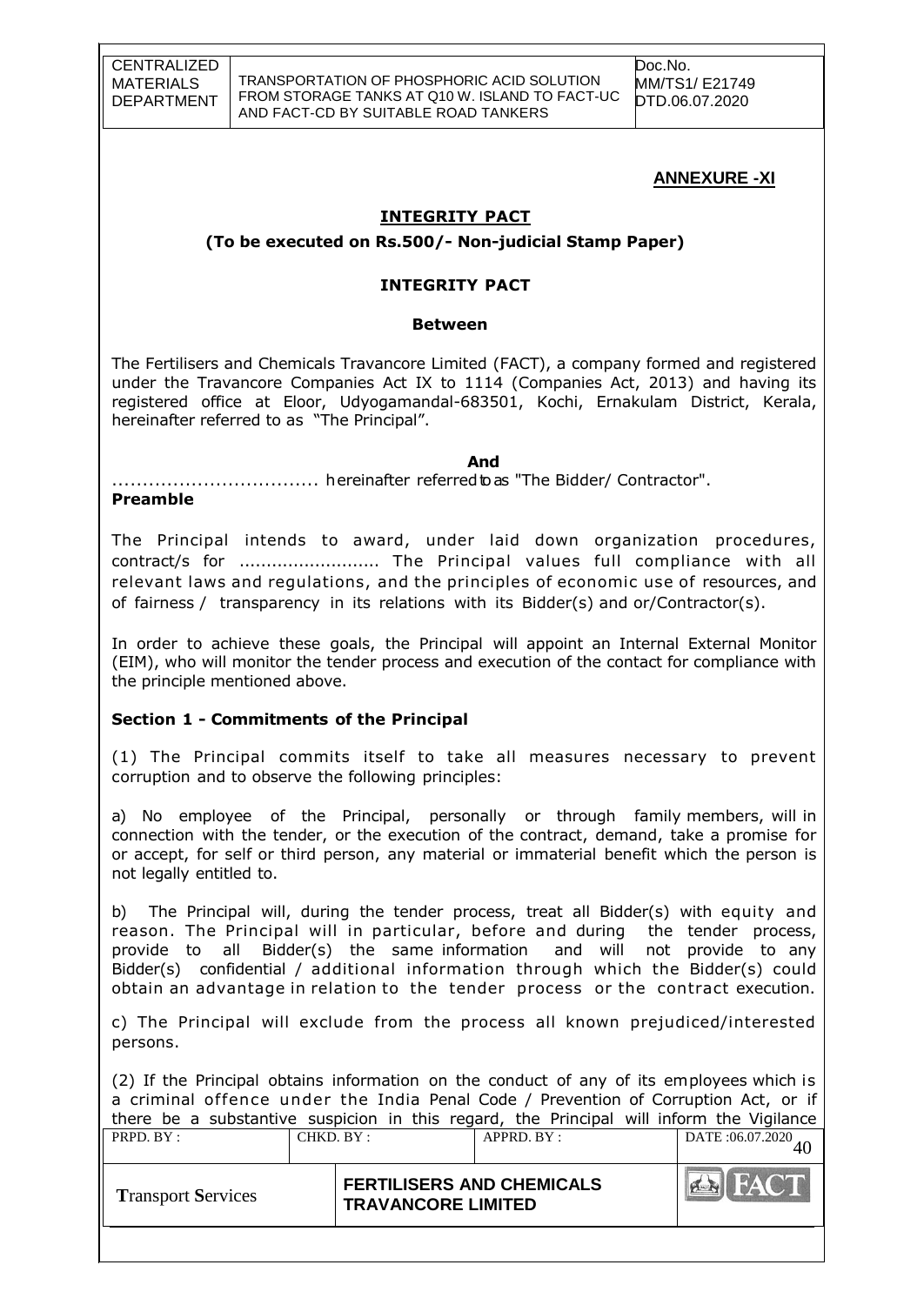TRANSPORTATION OF PHOSPHORIC ACID SOLUTION FROM STORAGE TANKS AT Q10 W. ISLAND TO FACT-UC AND FACT-CD BY SUITABLE ROAD TANKERS

Doc.No. MM/TS1/ E21749 DTD.06.07.2020

# **ANNEXURE -XI**

#### **INTEGRITY PACT**

**(To be executed on Rs.500/- Non-judicial Stamp Paper)**

#### **INTEGRITY PACT**

#### **Between**

The Fertilisers and Chemicals Travancore Limited (FACT), a company formed and registered under the Travancore Companies Act IX to 1114 (Companies Act, 2013) and having its registered office at Eloor, Udyogamandal-683501, Kochi, Ernakulam District, Kerala, hereinafter referred to as "The Principal".

*And* .................................. hereinafter referredtoas "The Bidder/ Contractor".

#### **Preamble**

The Principal intends to award, under laid down organization procedures, contract/s for .......................... The Principal values full compliance with all relevant laws and regulations, and the principles of economic use of resources, and of fairness / transparency in its relations with its Bidder(s) and or/Contractor(s).

In order to achieve these goals, the Principal will appoint an Internal External Monitor (EIM), who will monitor the tender process and execution of the contact for compliance with the principle mentioned above.

#### **Section 1 - Commitments of the Principal**

(1) The Principal commits itself to take all measures necessary to prevent corruption and to observe the following principles:

a) No employee of the Principal, personally or through family members, will in connection with the tender, or the execution of the contract, demand, take a promise for or accept, for self or third person, any material or immaterial benefit which the person is not legally entitled to.

b) The Principal will, during the tender process, treat all Bidder(s) with equity and reason. The Principal will in particular, before and during the tender process, provide to all Bidder(s) the same information and will not provide to any Bidder(s) confidential / additional information through which the Bidder(s) could obtain an advantage in relation to the tender process or the contract execution.

c) The Principal will exclude from the process all known prejudiced/interested persons.

(2) If the Principal obtains information on the conduct of any of its employees which is a criminal offence under the India Penal Code / Prevention of Corruption Act, or if there be a substantive suspicion in this regard, the Principal will inform the VigilancePRPD. BY : CHKD. BY : APPRD. BY : DATE :06.07.2020 40  $f$ **Transport Services FERTILISERS AND CHEMICALS TRAVANCORE LIMITED**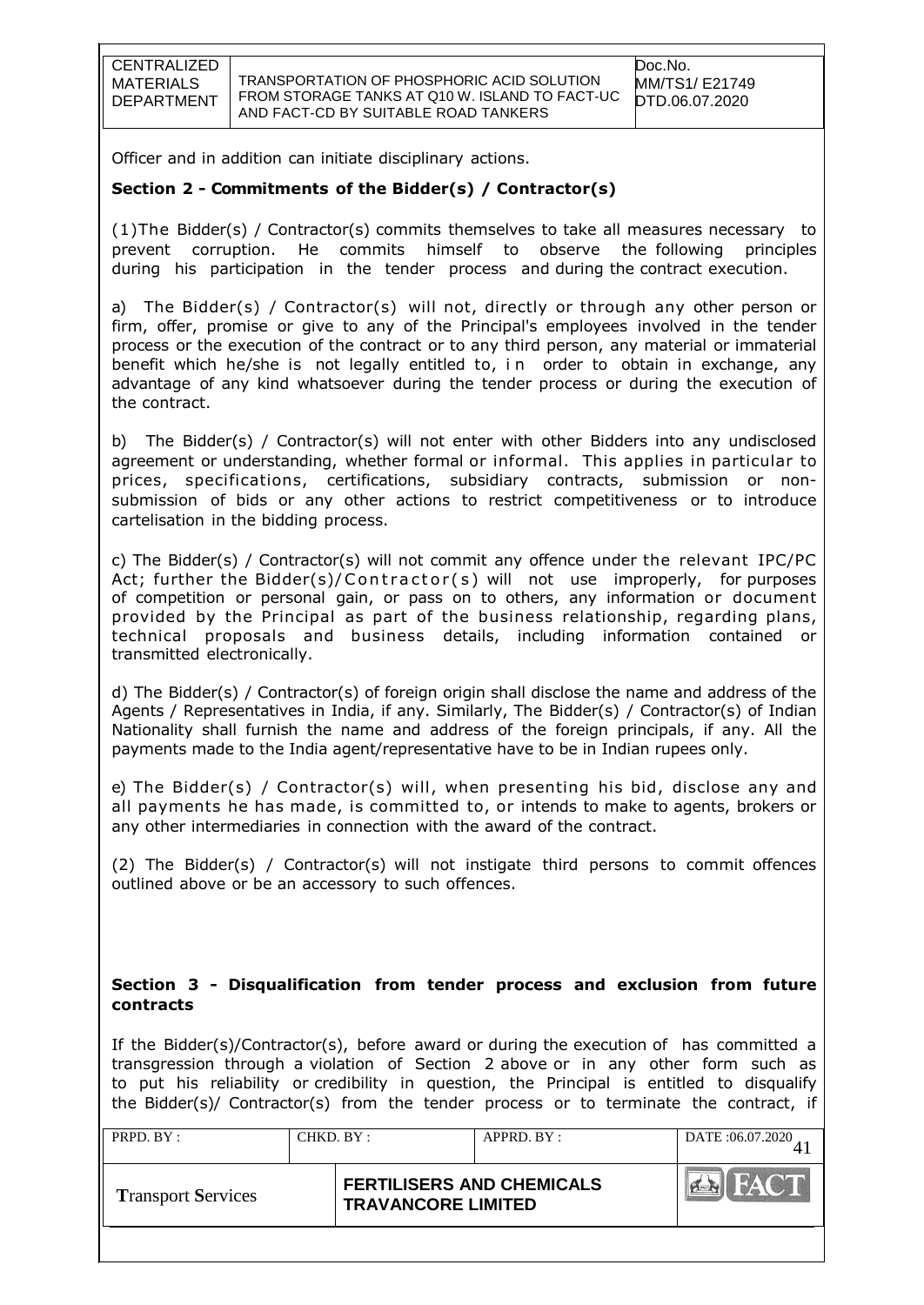TRANSPORTATION OF PHOSPHORIC ACID SOLUTION FROM STORAGE TANKS AT Q10 W. ISLAND TO FACT-UC AND FACT-CD BY SUITABLE ROAD TANKERS

Officer and in addition can initiate disciplinary actions.

# **Section 2 - Commitments of the Bidder(s) / Contractor(s)**

(1)The Bidder(s) / Contractor(s) commits themselves to take all measures necessary to prevent corruption. He commits himself to observe the following principles during his participation in the tender process and during the contract execution.

a) The Bidder(s) / Contractor(s) will not, directly or through any other person or firm, offer, promise or give to any of the Principal's employees involved in the tender process or the execution of the contract or to any third person, any material or immaterial benefit which he/she is not legally entitled to, in order to obtain in exchange, any advantage of any kind whatsoever during the tender process or during the execution of the contract.

b) The Bidder(s) / Contractor(s) will not enter with other Bidders into any undisclosed agreement or understanding, whether formal or informal. This applies in particular to prices, specifications, certifications, subsidiary contracts, submission or nonsubmission of bids or any other actions to restrict competitiveness or to introduce cartelisation in the bidding process.

c) The Bidder(s) / Contractor(s) will not commit any offence under the relevant IPC/PC Act; further the Bidder(s)/Contractor(s) will not use improperly, for purposes of competition or personal gain, or pass on to others, any information or document provided by the Principal as part of the business relationship, regarding plans, technical proposals and business details, including information contained or transmitted electronically.

d) The Bidder(s) / Contractor(s) of foreign origin shall disclose the name and address of the Agents / Representatives in India, if any. Similarly, The Bidder(s) / Contractor(s) of Indian Nationality shall furnish the name and address of the foreign principals, if any. All the payments made to the India agent/representative have to be in Indian rupees only.

e) The Bidder(s) / Contractor(s) will, when presenting his bid, disclose any and all payments he has made, is committed to, or intends to make to agents, brokers or any other intermediaries in connection with the award of the contract.

(2) The Bidder(s) / Contractor(s) will not instigate third persons to commit offences outlined above or be an accessory to such offences.

## **Section 3 - Disqualification from tender process and exclusion from future contracts**

If the Bidder(s)/Contractor(s), before award or during the execution of has committed a transgression through a violation of Section 2 above or in any other form such as to put his reliability or credibility in question, the Principal is entitled to disqualify the Bidder(s)/ Contractor(s) from the tender process or to terminate the contract, if

| PRPD. BY:                 |  | CHKD. BY:<br>APPRD. BY:                                       |  | DATE: 06.07.2020 |
|---------------------------|--|---------------------------------------------------------------|--|------------------|
| <b>Transport Services</b> |  | <b>FERTILISERS AND CHEMICALS</b><br><b>TRAVANCORE LIMITED</b> |  |                  |
|                           |  |                                                               |  |                  |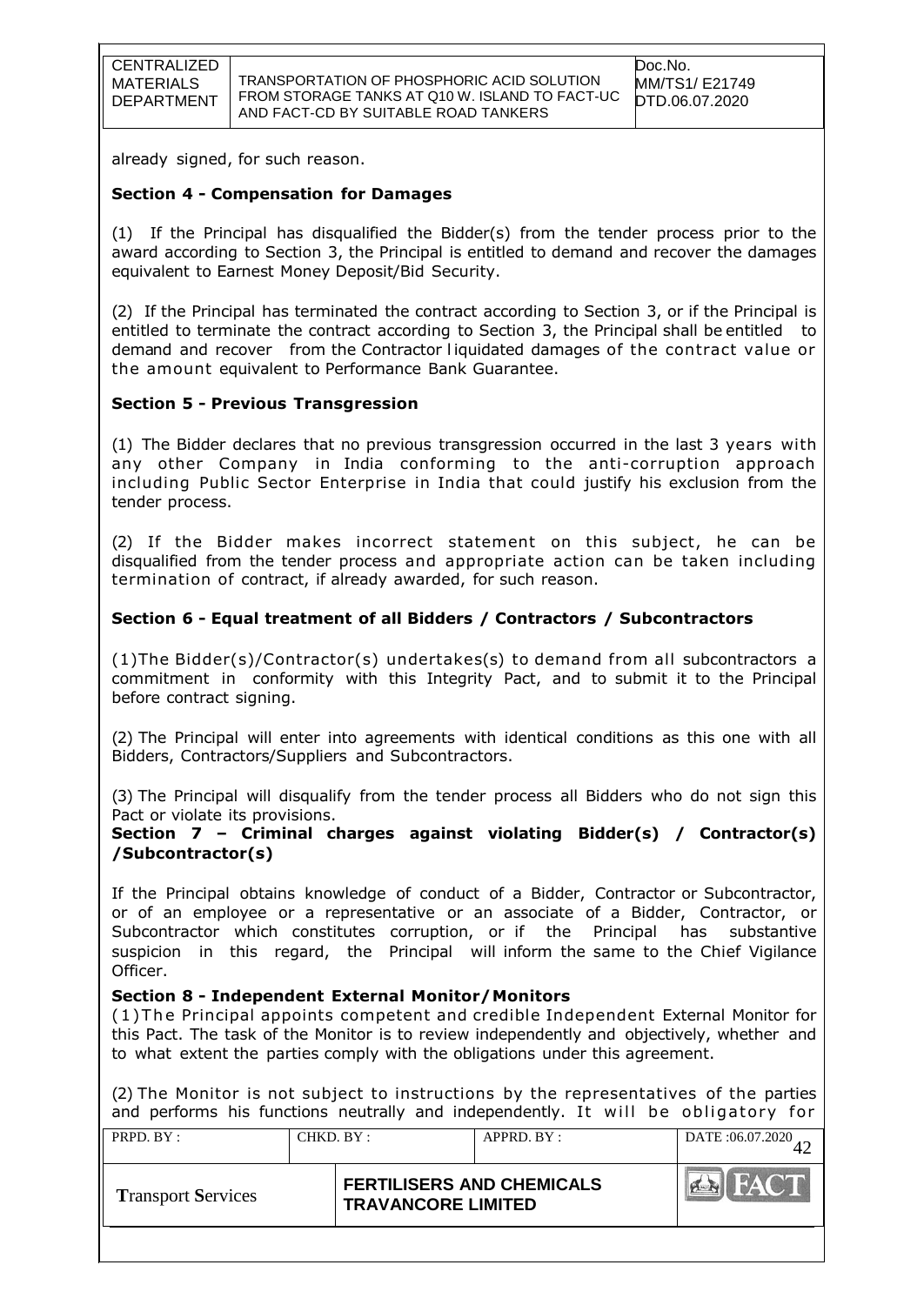already signed, for such reason.

#### **Section 4 - Compensation for Damages**

(1) If the Principal has disqualified the Bidder(s) from the tender process prior to the award according to Section 3, the Principal is entitled to demand and recover the damages equivalent to Earnest Money Deposit/Bid Security.

(2) If the Principal has terminated the contract according to Section 3, or if the Principal is entitled to terminate the contract according to Section 3, the Principal shall be entitled to demand and recover from the Contractor l iquidated damages of the contract value or the amount equivalent to Performance Bank Guarantee.

#### **Section 5 - Previous Transgression**

(1) The Bidder declares that no previous transgression occurred in the last 3 years with any other Company in India conforming to the anti-corruption approach including Public Sector Enterprise in India that could justify his exclusion from the tender process.

(2) If the Bidder makes incorrect statement on this subject, he can be disqualified from the tender process and appropriate action can be taken including termination of contract, if already awarded, for such reason.

#### **Section 6 - Equal treatment of all Bidders / Contractors / Subcontractors**

(1)The Bidder(s)/Contractor(s) undertakes(s) to demand from all subcontractors a commitment in conformity with this Integrity Pact, and to submit it to the Principal before contract signing.

(2) The Principal will enter into agreements with identical conditions as this one with all Bidders, Contractors/Suppliers and Subcontractors.

(3) The Principal will disqualify from the tender process all Bidders who do not sign this Pact or violate its provisions.

#### **Section 7 – Criminal charges against violating Bidder(s) / Contractor(s) /Subcontractor(s)**

If the Principal obtains knowledge of conduct of a Bidder, Contractor or Subcontractor, or of an employee or a representative or an associate of a Bidder, Contractor, or Subcontractor which constitutes corruption, or if the Principal has substantive suspicion in this regard, the Principal will inform the same to the Chief Vigilance Officer.

#### **Section 8 - Independent External Monitor/Monitors**

( 1 ) T he Principal appoints competent and credible Independent External Monitor for this Pact. The task of the Monitor is to review independently and objectively, whether and to what extent the parties comply with the obligations under this agreement.

(2) The Monitor is not subject to instructions by the representatives of the parties and performs his functions neutrally and independently. It will be obligatory for

| PRPD. BY:                 | CHKD. BY:                 |  | APPRD. BY:                       | DATE: 06.07.2020 |
|---------------------------|---------------------------|--|----------------------------------|------------------|
| <b>Transport Services</b> | <b>TRAVANCORE LIMITED</b> |  | <b>FERTILISERS AND CHEMICALS</b> | FACT<br>PER      |
|                           |                           |  |                                  |                  |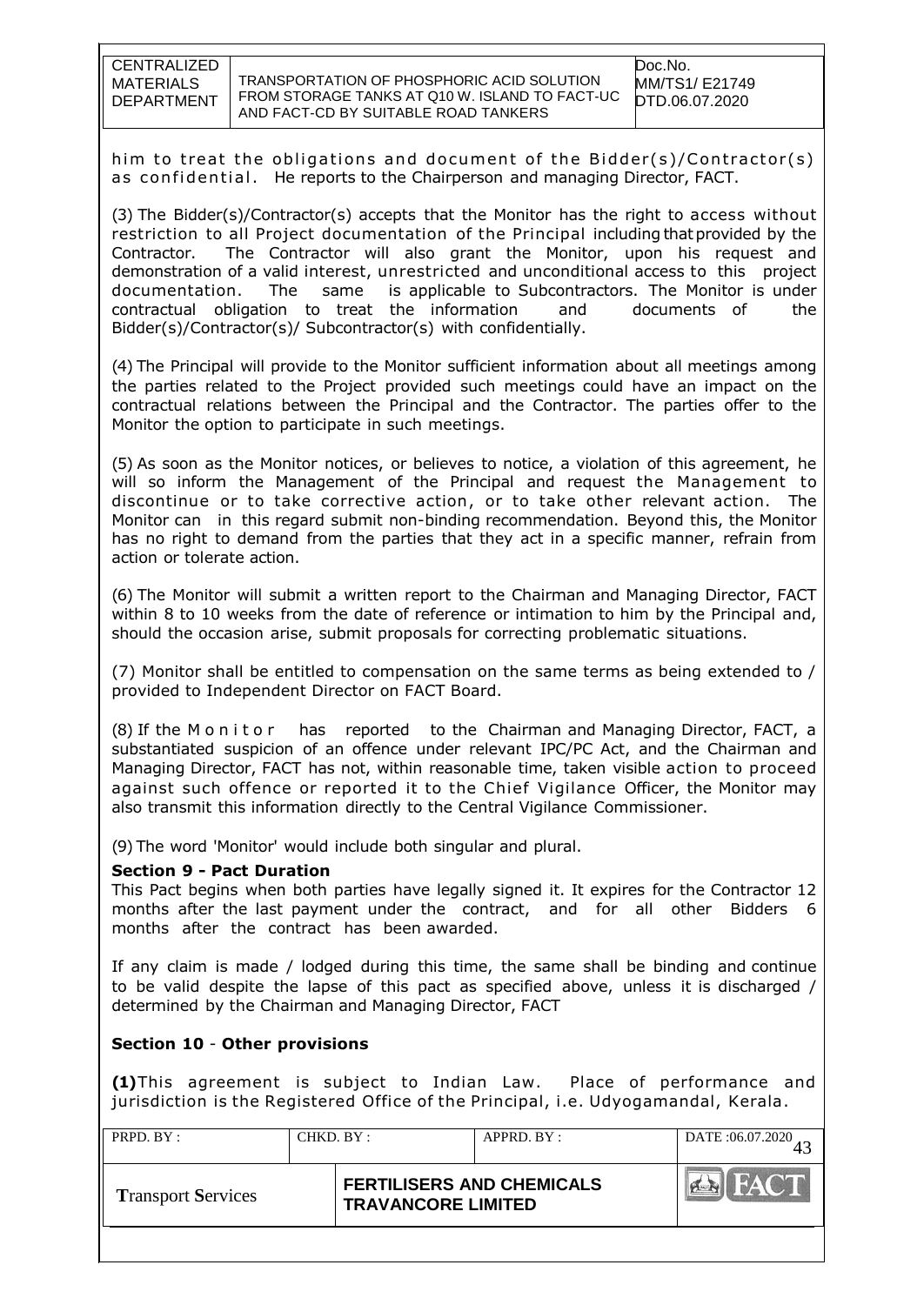TRANSPORTATION OF PHOSPHORIC ACID SOLUTION FROM STORAGE TANKS AT Q10 W. ISLAND TO FACT-UC AND FACT-CD BY SUITABLE ROAD TANKERS

him to treat the obligations and document of the Bidder(s)/Contractor(s) as confidential. He reports to the Chairperson and managing Director, FACT.

(3) The Bidder(s)/Contractor(s) accepts that the Monitor has the right to access without restriction to all Project documentation of the Principal including thatprovided by the Contractor. The Contractor will also grant the Monitor, upon his request and demonstration of a valid interest, unrestricted and unconditional access to this project documentation. The same is applicable to Subcontractors. The Monitor is under contractual obligation to treat the information and documents of the Bidder(s)/Contractor(s)/ Subcontractor(s) with confidentially.

(4) The Principal will provide to the Monitor sufficient information about all meetings among the parties related to the Project provided such meetings could have an impact on the contractual relations between the Principal and the Contractor. The parties offer to the Monitor the option to participate in such meetings.

(5) As soon as the Monitor notices, or believes to notice, a violation of this agreement, he will so inform the Management of the Principal and request the Management to discontinue or to take corrective action, or to take other relevant action. The Monitor can in this regard submit non-binding recommendation. Beyond this, the Monitor has no right to demand from the parties that they act in a specific manner, refrain from action or tolerate action.

(6) The Monitor will submit a written report to the Chairman and Managing Director, FACT within 8 to 10 weeks from the date of reference or intimation to him by the Principal and, should the occasion arise, submit proposals for correcting problematic situations.

(7) Monitor shall be entitled to compensation on the same terms as being extended to / provided to Independent Director on FACT Board.

(8) If the M o n it o r has reported to the Chairman and Managing Director, FACT, a substantiated suspicion of an offence under relevant IPC/PC Act, and the Chairman and Managing Director, FACT has not, within reasonable time, taken visible action to proceed against such offence or reported it to the Chief Vigilance Officer, the Monitor may also transmit this information directly to the Central Vigilance Commissioner.

(9) The word 'Monitor' would include both singular and plural.

#### **Section 9 - Pact Duration**

This Pact begins when both parties have legally signed it. It expires for the Contractor 12 months after the last payment under the contract, and for all other Bidders 6 months after the contract has been awarded.

If any claim is made / lodged during this time, the same shall be binding and continue to be valid despite the lapse of this pact as specified above, unless it is discharged / determined by the Chairman and Managing Director, FACT

# **Section 10** - **Other provisions**

**(1)**This agreement is subject to Indian Law. Place of performance and jurisdiction is the Registered Office of the Principal, i.e. Udyogamandal, Kerala.

| PRPD. BY:                 | CHKD. BY:                 | APPRD. BY:                       |                 |
|---------------------------|---------------------------|----------------------------------|-----------------|
| <b>Transport Services</b> | <b>TRAVANCORE LIMITED</b> | <b>FERTILISERS AND CHEMICALS</b> | HAC'T<br>$\sim$ |
|                           |                           |                                  |                 |